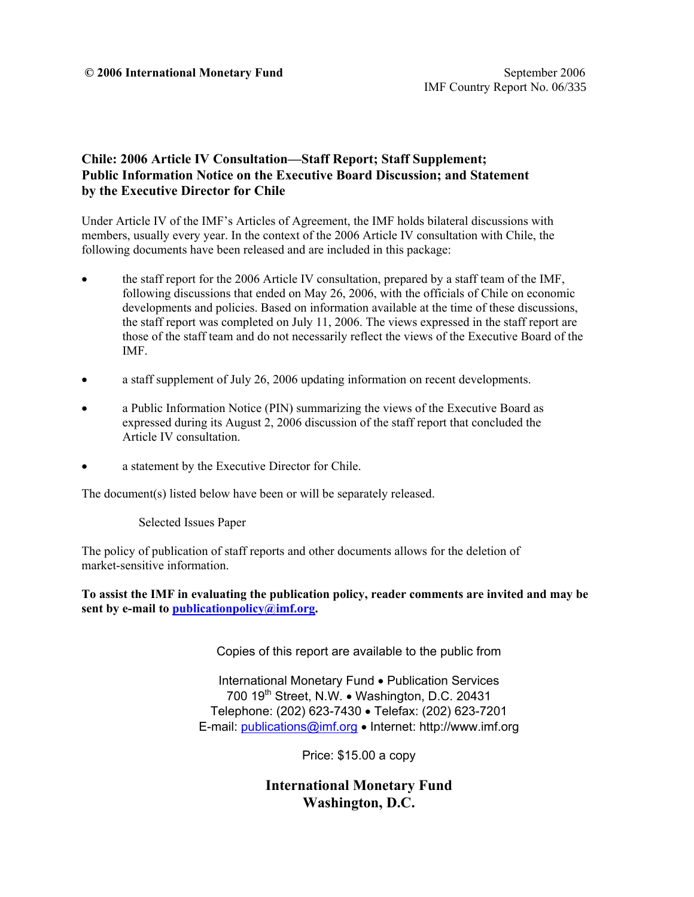#### **Chile: 2006 Article IV Consultation—Staff Report; Staff Supplement; Public Information Notice on the Executive Board Discussion; and Statement by the Executive Director for Chile**

Under Article IV of the IMF's Articles of Agreement, the IMF holds bilateral discussions with members, usually every year. In the context of the 2006 Article IV consultation with Chile, the following documents have been released and are included in this package:

- the staff report for the 2006 Article IV consultation, prepared by a staff team of the IMF, following discussions that ended on May 26, 2006, with the officials of Chile on economic developments and policies. Based on information available at the time of these discussions, the staff report was completed on July 11, 2006. The views expressed in the staff report are those of the staff team and do not necessarily reflect the views of the Executive Board of the IMF.
- a staff supplement of July 26, 2006 updating information on recent developments.
- a Public Information Notice (PIN) summarizing the views of the Executive Board as expressed during its August 2, 2006 discussion of the staff report that concluded the Article IV consultation.
- a statement by the Executive Director for Chile.

The document(s) listed below have been or will be separately released.

Selected Issues Paper

The policy of publication of staff reports and other documents allows for the deletion of market-sensitive information.

**To assist the IMF in evaluating the publication policy, reader comments are invited and may be sent by e-mail to publicationpolicy@imf.org.** 

Copies of this report are available to the public from

International Monetary Fund • Publication Services 700  $19<sup>th</sup>$  Street, N.W. • Washington, D.C. 20431 Telephone: (202) 623-7430 • Telefax: (202) 623-7201 E-mail: publications@imf.org • Internet: http://www.imf.org

Price: \$15.00 a copy

**International Monetary Fund Washington, D.C.**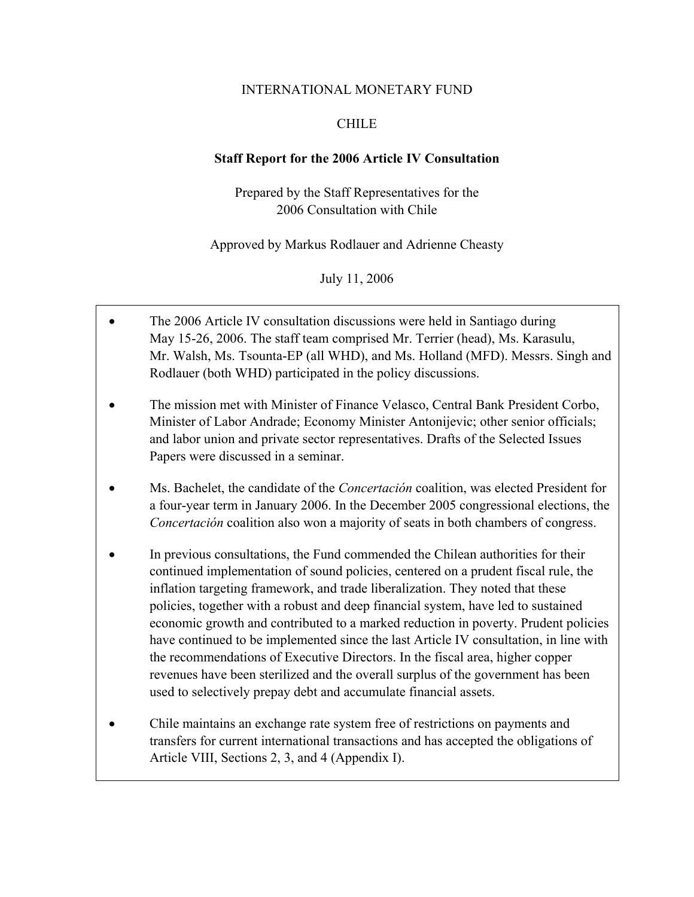#### INTERNATIONAL MONETARY FUND

#### CHILE

#### **Staff Report for the 2006 Article IV Consultation**

Prepared by the Staff Representatives for the 2006 Consultation with Chile

Approved by Markus Rodlauer and Adrienne Cheasty

July 11, 2006

- The 2006 Article IV consultation discussions were held in Santiago during May 15-26, 2006. The staff team comprised Mr. Terrier (head), Ms. Karasulu, Mr. Walsh, Ms. Tsounta-EP (all WHD), and Ms. Holland (MFD). Messrs. Singh and Rodlauer (both WHD) participated in the policy discussions.
- The mission met with Minister of Finance Velasco, Central Bank President Corbo, Minister of Labor Andrade; Economy Minister Antonijevic; other senior officials; and labor union and private sector representatives. Drafts of the Selected Issues Papers were discussed in a seminar.
- Ms. Bachelet, the candidate of the *Concertación* coalition, was elected President for a four-year term in January 2006. In the December 2005 congressional elections, the *Concertación* coalition also won a majority of seats in both chambers of congress.
- In previous consultations, the Fund commended the Chilean authorities for their continued implementation of sound policies, centered on a prudent fiscal rule, the inflation targeting framework, and trade liberalization. They noted that these policies, together with a robust and deep financial system, have led to sustained economic growth and contributed to a marked reduction in poverty. Prudent policies have continued to be implemented since the last Article IV consultation, in line with the recommendations of Executive Directors. In the fiscal area, higher copper revenues have been sterilized and the overall surplus of the government has been used to selectively prepay debt and accumulate financial assets.
- Chile maintains an exchange rate system free of restrictions on payments and transfers for current international transactions and has accepted the obligations of Article VIII, Sections 2, 3, and 4 (Appendix I).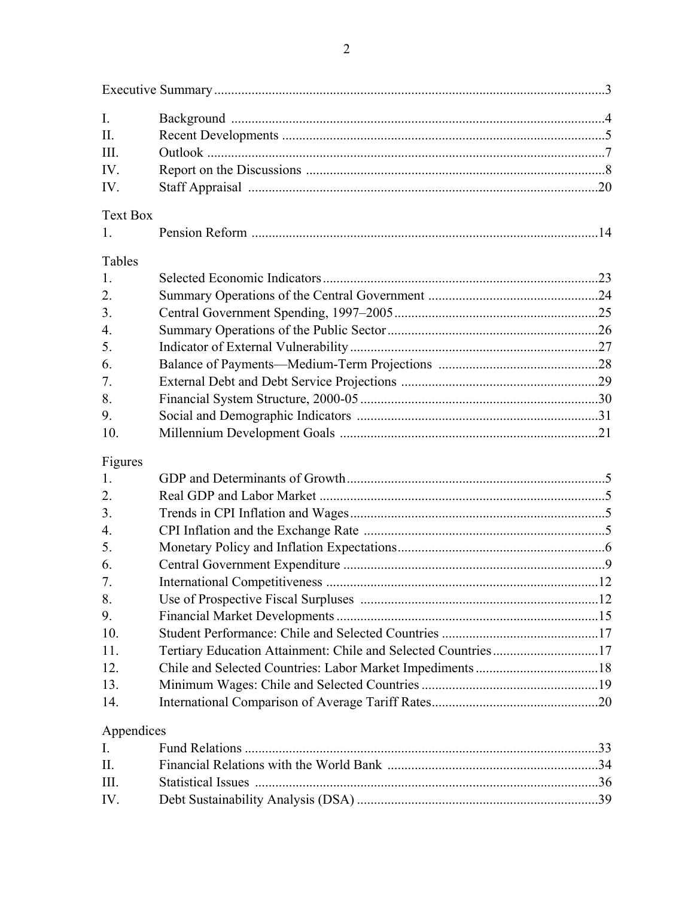| I.               |  |
|------------------|--|
| $\Pi$ .          |  |
| III.             |  |
| IV.              |  |
| IV.              |  |
| <b>Text Box</b>  |  |
| 1.               |  |
| Tables           |  |
| 1.               |  |
| 2.               |  |
| 3.               |  |
|                  |  |
| 4.               |  |
| 5.               |  |
| 6.               |  |
| 7.               |  |
| 8.               |  |
| 9.               |  |
| 10.              |  |
| Figures          |  |
| 1.               |  |
| $\overline{2}$ . |  |
| 3.               |  |
| 4.               |  |
| 5.               |  |
| 6.               |  |
| 7.               |  |
| 8.               |  |
| 9.               |  |
| 10.              |  |
| 11.              |  |
| 12.              |  |
| 13.              |  |
| 14.              |  |
|                  |  |
| Appendices       |  |
| $I_{\cdot}$      |  |
| II.              |  |
| III.             |  |
| IV.              |  |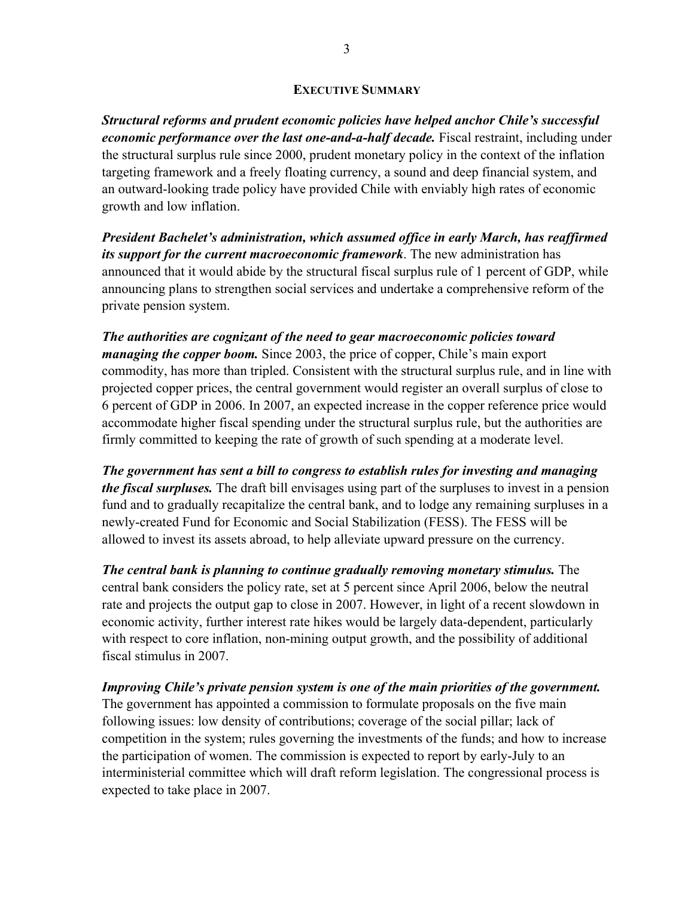#### **EXECUTIVE SUMMARY**

*Structural reforms and prudent economic policies have helped anchor Chile's successful economic performance over the last one-and-a-half decade.* Fiscal restraint, including under the structural surplus rule since 2000, prudent monetary policy in the context of the inflation targeting framework and a freely floating currency, a sound and deep financial system, and an outward-looking trade policy have provided Chile with enviably high rates of economic growth and low inflation.

*President Bachelet's administration, which assumed office in early March, has reaffirmed its support for the current macroeconomic framework*. The new administration has announced that it would abide by the structural fiscal surplus rule of 1 percent of GDP, while announcing plans to strengthen social services and undertake a comprehensive reform of the private pension system.

*The authorities are cognizant of the need to gear macroeconomic policies toward managing the copper boom.* Since 2003, the price of copper, Chile's main export commodity, has more than tripled. Consistent with the structural surplus rule, and in line with projected copper prices, the central government would register an overall surplus of close to 6 percent of GDP in 2006. In 2007, an expected increase in the copper reference price would accommodate higher fiscal spending under the structural surplus rule, but the authorities are firmly committed to keeping the rate of growth of such spending at a moderate level.

*The government has sent a bill to congress to establish rules for investing and managing the fiscal surpluses.* The draft bill envisages using part of the surpluses to invest in a pension fund and to gradually recapitalize the central bank, and to lodge any remaining surpluses in a newly-created Fund for Economic and Social Stabilization (FESS). The FESS will be allowed to invest its assets abroad, to help alleviate upward pressure on the currency.

*The central bank is planning to continue gradually removing monetary stimulus.* The central bank considers the policy rate, set at 5 percent since April 2006, below the neutral rate and projects the output gap to close in 2007. However, in light of a recent slowdown in economic activity, further interest rate hikes would be largely data-dependent, particularly with respect to core inflation, non-mining output growth, and the possibility of additional fiscal stimulus in 2007.

*Improving Chile's private pension system is one of the main priorities of the government.*

The government has appointed a commission to formulate proposals on the five main following issues: low density of contributions; coverage of the social pillar; lack of competition in the system; rules governing the investments of the funds; and how to increase the participation of women. The commission is expected to report by early-July to an interministerial committee which will draft reform legislation. The congressional process is expected to take place in 2007.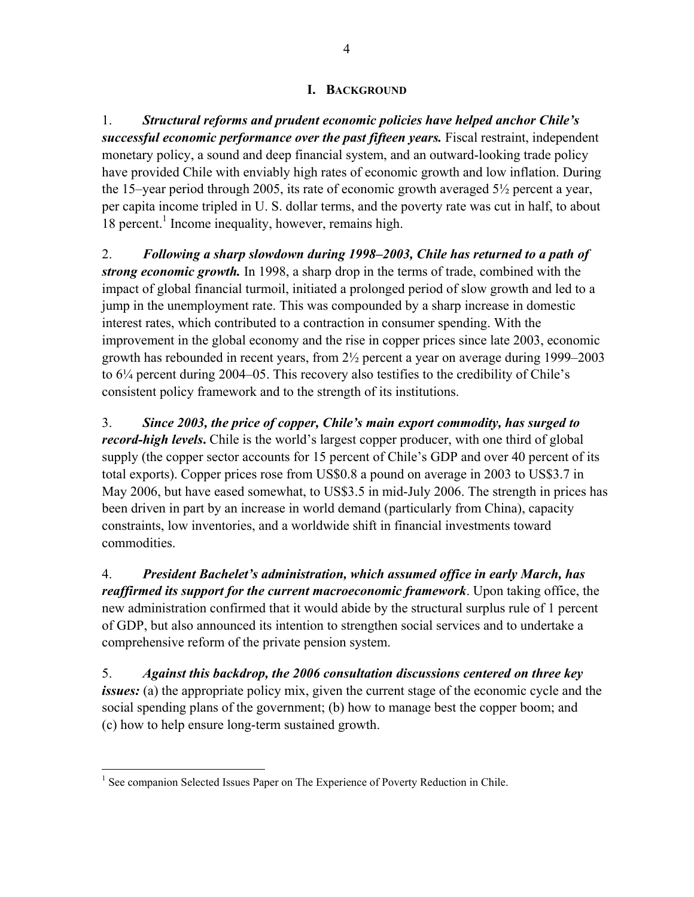## **I. BACKGROUND**

1. *Structural reforms and prudent economic policies have helped anchor Chile's successful economic performance over the past fifteen years.* Fiscal restraint, independent monetary policy, a sound and deep financial system, and an outward-looking trade policy have provided Chile with enviably high rates of economic growth and low inflation. During the 15–year period through 2005, its rate of economic growth averaged 5½ percent a year, per capita income tripled in U. S. dollar terms, and the poverty rate was cut in half, to about 18 percent.<sup>1</sup> Income inequality, however, remains high.

2. *Following a sharp slowdown during 1998–2003, Chile has returned to a path of strong economic growth.* In 1998, a sharp drop in the terms of trade, combined with the impact of global financial turmoil, initiated a prolonged period of slow growth and led to a jump in the unemployment rate. This was compounded by a sharp increase in domestic interest rates, which contributed to a contraction in consumer spending. With the improvement in the global economy and the rise in copper prices since late 2003, economic growth has rebounded in recent years, from 2½ percent a year on average during 1999–2003 to 6¼ percent during 2004–05. This recovery also testifies to the credibility of Chile's consistent policy framework and to the strength of its institutions.

3. *Since 2003, the price of copper, Chile's main export commodity, has surged to record-high levels***.** Chile is the world's largest copper producer, with one third of global supply (the copper sector accounts for 15 percent of Chile's GDP and over 40 percent of its total exports). Copper prices rose from US\$0.8 a pound on average in 2003 to US\$3.7 in May 2006, but have eased somewhat, to US\$3.5 in mid-July 2006. The strength in prices has been driven in part by an increase in world demand (particularly from China), capacity constraints, low inventories, and a worldwide shift in financial investments toward commodities.

4. *President Bachelet's administration, which assumed office in early March, has reaffirmed its support for the current macroeconomic framework*. Upon taking office, the new administration confirmed that it would abide by the structural surplus rule of 1 percent of GDP, but also announced its intention to strengthen social services and to undertake a comprehensive reform of the private pension system.

5. *Against this backdrop, the 2006 consultation discussions centered on three key issues:* (a) the appropriate policy mix, given the current stage of the economic cycle and the social spending plans of the government; (b) how to manage best the copper boom; and (c) how to help ensure long-term sustained growth.

 $\overline{a}$ <sup>1</sup> See companion Selected Issues Paper on The Experience of Poverty Reduction in Chile.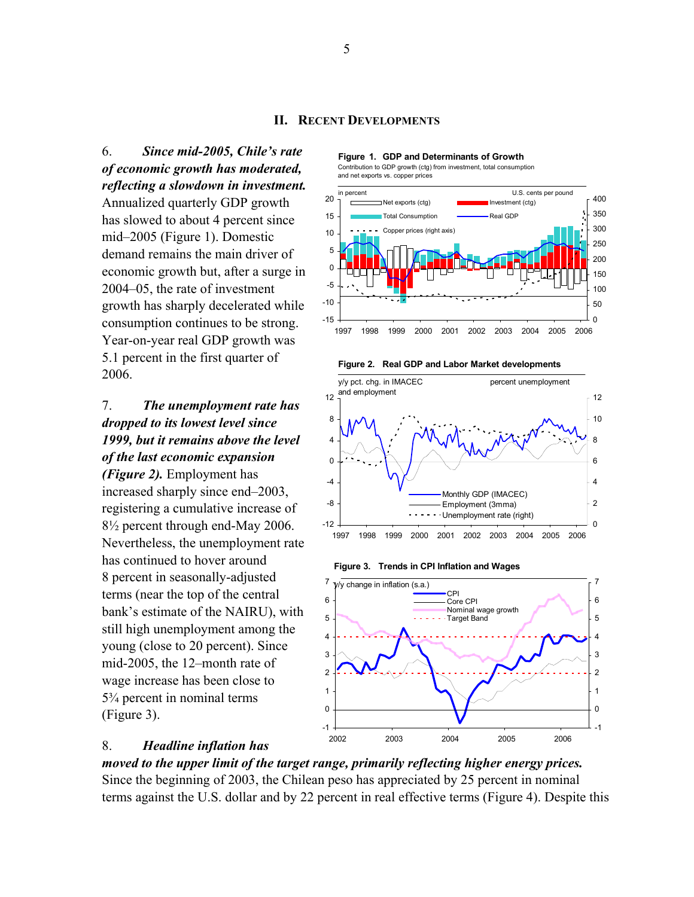6. *Since mid-2005, Chile's rate of economic growth has moderated, reflecting a slowdown in investment.* 

Annualized quarterly GDP growth has slowed to about 4 percent since mid–2005 (Figure 1). Domestic demand remains the main driver of economic growth but, after a surge in 2004–05, the rate of investment growth has sharply decelerated while consumption continues to be strong. Year-on-year real GDP growth was 5.1 percent in the first quarter of 2006.

# 7. *The unemployment rate has dropped to its lowest level since 1999, but it remains above the level of the last economic expansion*

*(Figure 2).* Employment has increased sharply since end–2003, registering a cumulative increase of 8½ percent through end-May 2006. Nevertheless, the unemployment rate has continued to hover around 8 percent in seasonally-adjusted terms (near the top of the central bank's estimate of the NAIRU), with still high unemployment among the young (close to 20 percent). Since mid-2005, the 12–month rate of wage increase has been close to 5¾ percent in nominal terms (Figure 3).

**Figure 1. GDP and Determinants of Growth** Contribution to GDP growth (ctg) from investment, total consumption





**Figure 2. Real GDP and Labor Market developments**







#### 8. *Headline inflation has*

*moved to the upper limit of the target range, primarily reflecting higher energy prices.* Since the beginning of 2003, the Chilean peso has appreciated by 25 percent in nominal terms against the U.S. dollar and by 22 percent in real effective terms (Figure 4). Despite this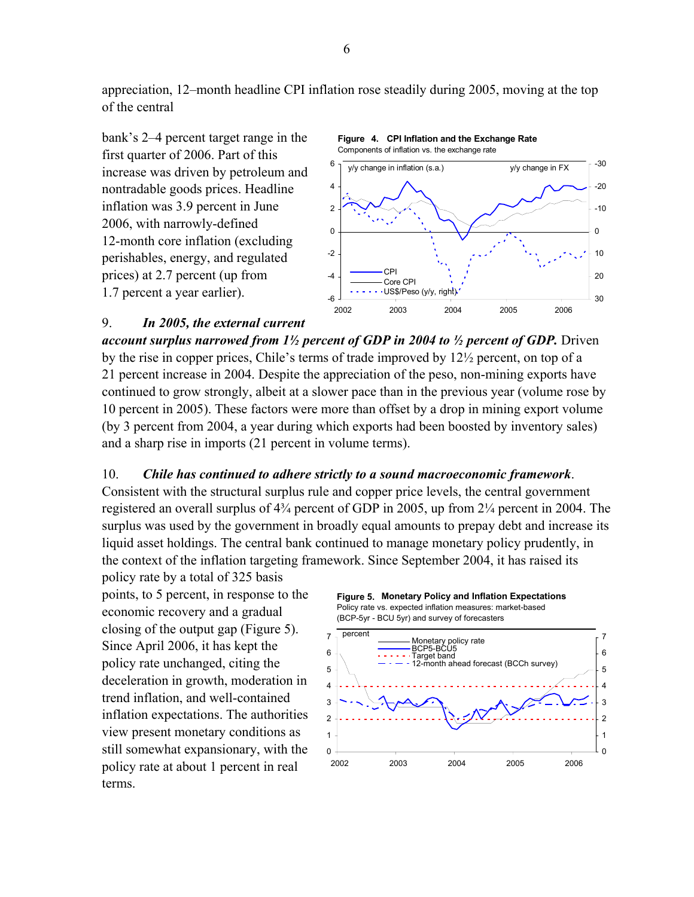appreciation, 12–month headline CPI inflation rose steadily during 2005, moving at the top of the central





#### 9. *In 2005, the external current*

*account surplus narrowed from 1½ percent of GDP in 2004 to ½ percent of GDP.* Driven by the rise in copper prices, Chile's terms of trade improved by 12½ percent, on top of a 21 percent increase in 2004. Despite the appreciation of the peso, non-mining exports have continued to grow strongly, albeit at a slower pace than in the previous year (volume rose by 10 percent in 2005). These factors were more than offset by a drop in mining export volume (by 3 percent from 2004, a year during which exports had been boosted by inventory sales) and a sharp rise in imports (21 percent in volume terms).

#### 10. *Chile has continued to adhere strictly to a sound macroeconomic framework*.

Consistent with the structural surplus rule and copper price levels, the central government registered an overall surplus of 4¾ percent of GDP in 2005, up from 2¼ percent in 2004. The surplus was used by the government in broadly equal amounts to prepay debt and increase its liquid asset holdings. The central bank continued to manage monetary policy prudently, in the context of the inflation targeting framework. Since September 2004, it has raised its

policy rate by a total of 325 basis points, to 5 percent, in response to the economic recovery and a gradual closing of the output gap (Figure 5). Since April 2006, it has kept the policy rate unchanged, citing the deceleration in growth, moderation in trend inflation, and well-contained inflation expectations. The authorities view present monetary conditions as still somewhat expansionary, with the policy rate at about 1 percent in real terms.

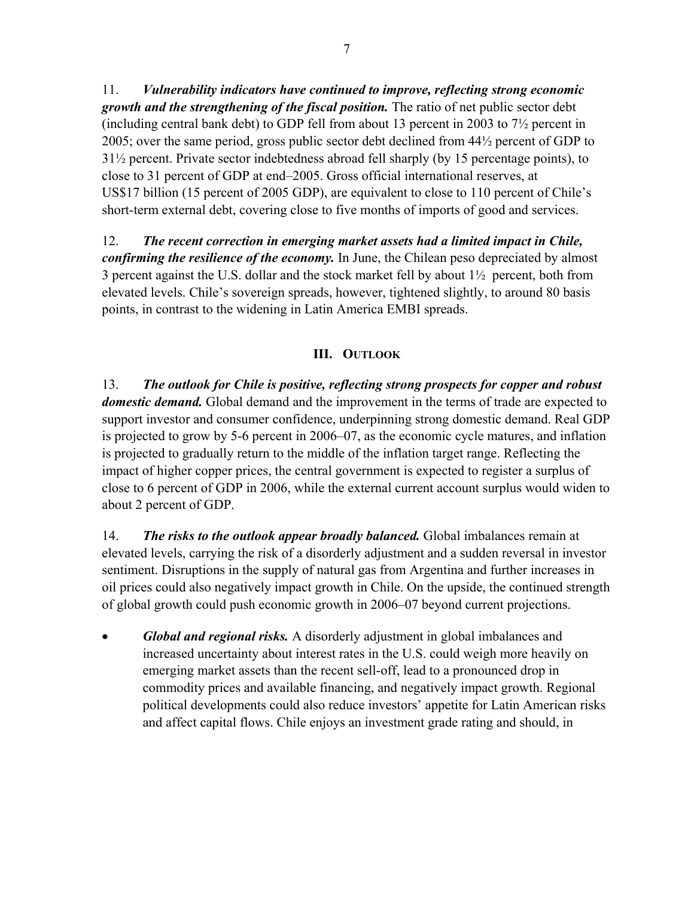11. *Vulnerability indicators have continued to improve, reflecting strong economic growth and the strengthening of the fiscal position.* The ratio of net public sector debt (including central bank debt) to GDP fell from about 13 percent in 2003 to 7½ percent in 2005; over the same period, gross public sector debt declined from 44½ percent of GDP to 31½ percent. Private sector indebtedness abroad fell sharply (by 15 percentage points), to close to 31 percent of GDP at end–2005. Gross official international reserves, at US\$17 billion (15 percent of 2005 GDP), are equivalent to close to 110 percent of Chile's short-term external debt, covering close to five months of imports of good and services.

12. *The recent correction in emerging market assets had a limited impact in Chile, confirming the resilience of the economy.* In June, the Chilean peso depreciated by almost 3 percent against the U.S. dollar and the stock market fell by about 1½ percent, both from elevated levels. Chile's sovereign spreads, however, tightened slightly, to around 80 basis points, in contrast to the widening in Latin America EMBI spreads.

# **III. OUTLOOK**

13. *The outlook for Chile is positive, reflecting strong prospects for copper and robust domestic demand.* Global demand and the improvement in the terms of trade are expected to support investor and consumer confidence, underpinning strong domestic demand. Real GDP is projected to grow by 5-6 percent in 2006–07, as the economic cycle matures, and inflation is projected to gradually return to the middle of the inflation target range. Reflecting the impact of higher copper prices, the central government is expected to register a surplus of close to 6 percent of GDP in 2006, while the external current account surplus would widen to about 2 percent of GDP.

14. *The risks to the outlook appear broadly balanced.* Global imbalances remain at elevated levels, carrying the risk of a disorderly adjustment and a sudden reversal in investor sentiment. Disruptions in the supply of natural gas from Argentina and further increases in oil prices could also negatively impact growth in Chile. On the upside, the continued strength of global growth could push economic growth in 2006–07 beyond current projections.

• *Global and regional risks.* A disorderly adjustment in global imbalances and increased uncertainty about interest rates in the U.S. could weigh more heavily on emerging market assets than the recent sell-off, lead to a pronounced drop in commodity prices and available financing, and negatively impact growth. Regional political developments could also reduce investors' appetite for Latin American risks and affect capital flows. Chile enjoys an investment grade rating and should, in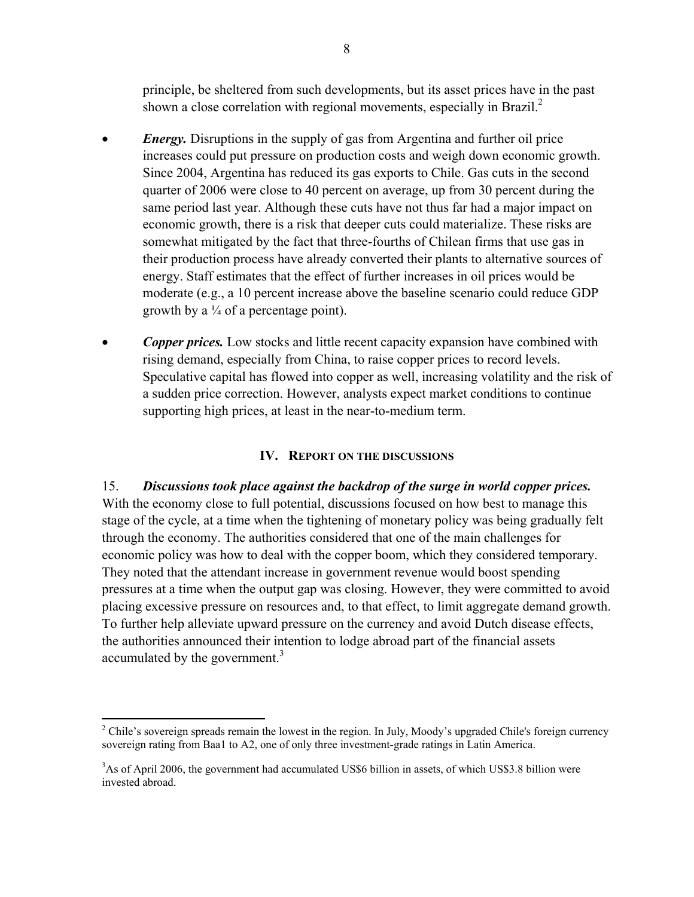principle, be sheltered from such developments, but its asset prices have in the past shown a close correlation with regional movements, especially in Brazil. $^{2}$ 

- *Energy.* Disruptions in the supply of gas from Argentina and further oil price increases could put pressure on production costs and weigh down economic growth. Since 2004, Argentina has reduced its gas exports to Chile. Gas cuts in the second quarter of 2006 were close to 40 percent on average, up from 30 percent during the same period last year. Although these cuts have not thus far had a major impact on economic growth, there is a risk that deeper cuts could materialize. These risks are somewhat mitigated by the fact that three-fourths of Chilean firms that use gas in their production process have already converted their plants to alternative sources of energy. Staff estimates that the effect of further increases in oil prices would be moderate (e.g., a 10 percent increase above the baseline scenario could reduce GDP growth by a  $\frac{1}{4}$  of a percentage point).
- *Copper prices.* Low stocks and little recent capacity expansion have combined with rising demand, especially from China, to raise copper prices to record levels. Speculative capital has flowed into copper as well, increasing volatility and the risk of a sudden price correction. However, analysts expect market conditions to continue supporting high prices, at least in the near-to-medium term.

# **IV. REPORT ON THE DISCUSSIONS**

15. *Discussions took place against the backdrop of the surge in world copper prices.* With the economy close to full potential, discussions focused on how best to manage this stage of the cycle, at a time when the tightening of monetary policy was being gradually felt through the economy. The authorities considered that one of the main challenges for economic policy was how to deal with the copper boom, which they considered temporary. They noted that the attendant increase in government revenue would boost spending pressures at a time when the output gap was closing. However, they were committed to avoid placing excessive pressure on resources and, to that effect, to limit aggregate demand growth. To further help alleviate upward pressure on the currency and avoid Dutch disease effects, the authorities announced their intention to lodge abroad part of the financial assets accumulated by the government.<sup>3</sup>

 $\overline{a}$ 

<sup>&</sup>lt;sup>2</sup> Chile's sovereign spreads remain the lowest in the region. In July, Moody's upgraded Chile's foreign currency sovereign rating from Baa1 to A2, one of only three investment-grade ratings in Latin America.

<sup>&</sup>lt;sup>3</sup>As of April 2006, the government had accumulated US\$6 billion in assets, of which US\$3.8 billion were invested abroad.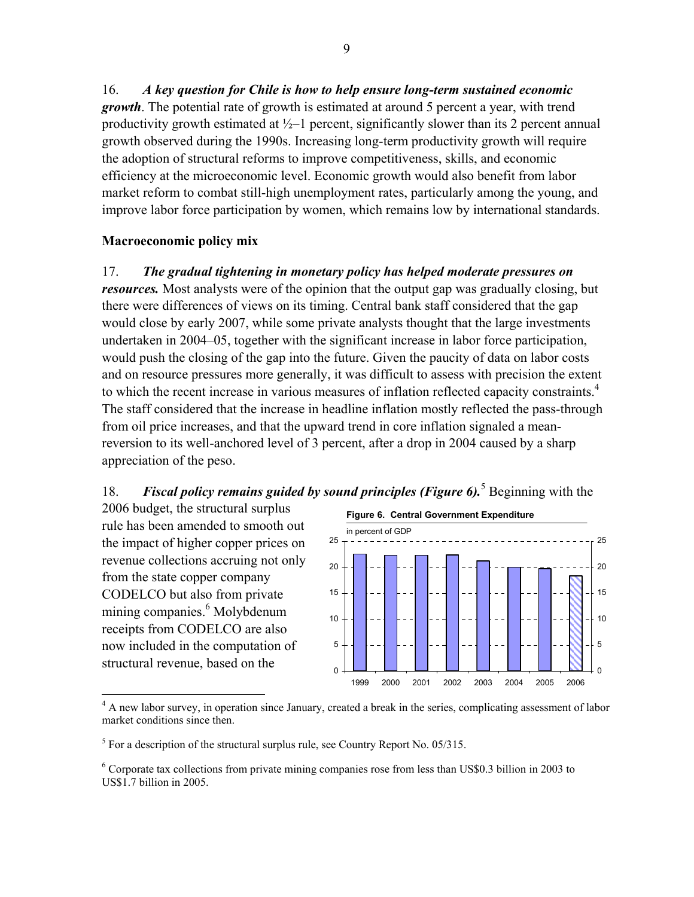16. *A key question for Chile is how to help ensure long-term sustained economic growth*. The potential rate of growth is estimated at around 5 percent a year, with trend productivity growth estimated at  $\frac{1}{2}$  percent, significantly slower than its 2 percent annual growth observed during the 1990s. Increasing long-term productivity growth will require the adoption of structural reforms to improve competitiveness, skills, and economic efficiency at the microeconomic level. Economic growth would also benefit from labor market reform to combat still-high unemployment rates, particularly among the young, and improve labor force participation by women, which remains low by international standards.

#### **Macroeconomic policy mix**

#### 17. *The gradual tightening in monetary policy has helped moderate pressures on*

*resources.* Most analysts were of the opinion that the output gap was gradually closing, but there were differences of views on its timing. Central bank staff considered that the gap would close by early 2007, while some private analysts thought that the large investments undertaken in 2004–05, together with the significant increase in labor force participation, would push the closing of the gap into the future. Given the paucity of data on labor costs and on resource pressures more generally, it was difficult to assess with precision the extent to which the recent increase in various measures of inflation reflected capacity constraints.<sup>4</sup> The staff considered that the increase in headline inflation mostly reflected the pass-through from oil price increases, and that the upward trend in core inflation signaled a meanreversion to its well-anchored level of 3 percent, after a drop in 2004 caused by a sharp appreciation of the peso.

# 18. *Fiscal policy remains guided by sound principles (Figure 6)***.** Beginning with the

2006 budget, the structural surplus rule has been amended to smooth out the impact of higher copper prices on revenue collections accruing not only from the state copper company CODELCO but also from private mining companies.<sup>6</sup> Molybdenum receipts from CODELCO are also now included in the computation of structural revenue, based on the

1



<sup>&</sup>lt;sup>4</sup> A new labor survey, in operation since January, created a break in the series, complicating assessment of labor market conditions since then.

 $<sup>5</sup>$  For a description of the structural surplus rule, see Country Report No. 05/315.</sup>

<sup>&</sup>lt;sup>6</sup> Corporate tax collections from private mining companies rose from less than US\$0.3 billion in 2003 to US\$1.7 billion in 2005.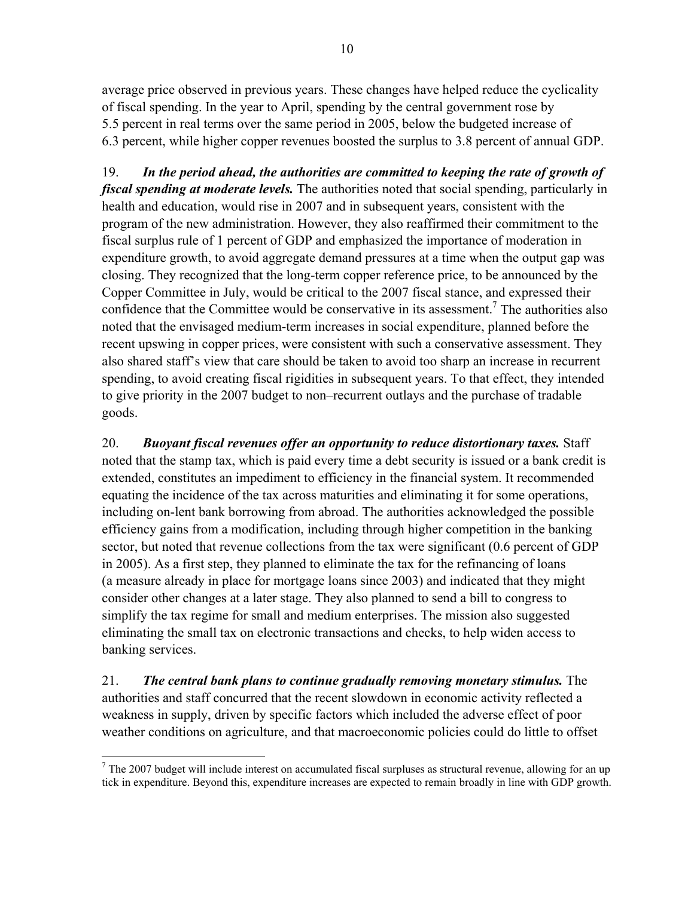average price observed in previous years. These changes have helped reduce the cyclicality of fiscal spending. In the year to April, spending by the central government rose by 5.5 percent in real terms over the same period in 2005, below the budgeted increase of 6.3 percent, while higher copper revenues boosted the surplus to 3.8 percent of annual GDP.

19. *In the period ahead, the authorities are committed to keeping the rate of growth of fiscal spending at moderate levels.* The authorities noted that social spending, particularly in health and education, would rise in 2007 and in subsequent years, consistent with the program of the new administration. However, they also reaffirmed their commitment to the fiscal surplus rule of 1 percent of GDP and emphasized the importance of moderation in expenditure growth, to avoid aggregate demand pressures at a time when the output gap was closing. They recognized that the long-term copper reference price, to be announced by the Copper Committee in July, would be critical to the 2007 fiscal stance, and expressed their confidence that the Committee would be conservative in its assessment.<sup>7</sup> The authorities also noted that the envisaged medium-term increases in social expenditure, planned before the recent upswing in copper prices, were consistent with such a conservative assessment. They also shared staff's view that care should be taken to avoid too sharp an increase in recurrent spending, to avoid creating fiscal rigidities in subsequent years. To that effect, they intended to give priority in the 2007 budget to non–recurrent outlays and the purchase of tradable goods.

20. *Buoyant fiscal revenues offer an opportunity to reduce distortionary taxes.* Staff noted that the stamp tax, which is paid every time a debt security is issued or a bank credit is extended, constitutes an impediment to efficiency in the financial system. It recommended equating the incidence of the tax across maturities and eliminating it for some operations, including on-lent bank borrowing from abroad. The authorities acknowledged the possible efficiency gains from a modification, including through higher competition in the banking sector, but noted that revenue collections from the tax were significant (0.6 percent of GDP in 2005). As a first step, they planned to eliminate the tax for the refinancing of loans (a measure already in place for mortgage loans since 2003) and indicated that they might consider other changes at a later stage. They also planned to send a bill to congress to simplify the tax regime for small and medium enterprises. The mission also suggested eliminating the small tax on electronic transactions and checks, to help widen access to banking services.

21. *The central bank plans to continue gradually removing monetary stimulus.* The authorities and staff concurred that the recent slowdown in economic activity reflected a weakness in supply, driven by specific factors which included the adverse effect of poor weather conditions on agriculture, and that macroeconomic policies could do little to offset

<u>.</u>

 $<sup>7</sup>$  The 2007 budget will include interest on accumulated fiscal surpluses as structural revenue, allowing for an up</sup> tick in expenditure. Beyond this, expenditure increases are expected to remain broadly in line with GDP growth.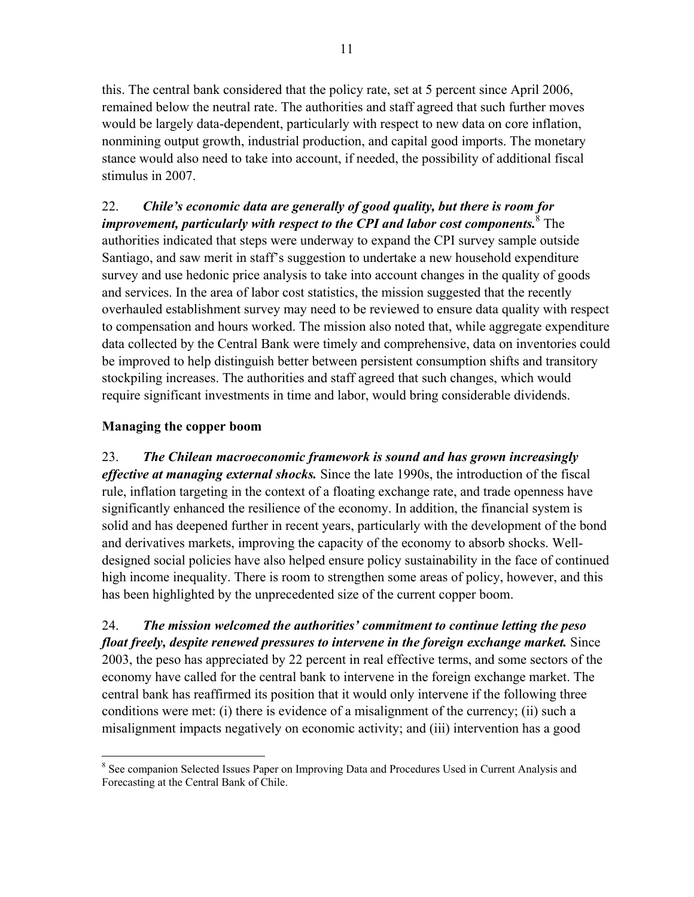this. The central bank considered that the policy rate, set at 5 percent since April 2006, remained below the neutral rate. The authorities and staff agreed that such further moves would be largely data-dependent, particularly with respect to new data on core inflation, nonmining output growth, industrial production, and capital good imports. The monetary stance would also need to take into account, if needed, the possibility of additional fiscal stimulus in 2007.

# 22. *Chile's economic data are generally of good quality, but there is room for improvement, particularly with respect to the CPI and labor cost components.*<sup>8</sup> The authorities indicated that steps were underway to expand the CPI survey sample outside Santiago, and saw merit in staff's suggestion to undertake a new household expenditure survey and use hedonic price analysis to take into account changes in the quality of goods and services. In the area of labor cost statistics, the mission suggested that the recently overhauled establishment survey may need to be reviewed to ensure data quality with respect to compensation and hours worked. The mission also noted that, while aggregate expenditure data collected by the Central Bank were timely and comprehensive, data on inventories could be improved to help distinguish better between persistent consumption shifts and transitory stockpiling increases. The authorities and staff agreed that such changes, which would require significant investments in time and labor, would bring considerable dividends.

# **Managing the copper boom**

23. *The Chilean macroeconomic framework is sound and has grown increasingly effective at managing external shocks.* Since the late 1990s, the introduction of the fiscal rule, inflation targeting in the context of a floating exchange rate, and trade openness have significantly enhanced the resilience of the economy. In addition, the financial system is solid and has deepened further in recent years, particularly with the development of the bond and derivatives markets, improving the capacity of the economy to absorb shocks. Welldesigned social policies have also helped ensure policy sustainability in the face of continued high income inequality. There is room to strengthen some areas of policy, however, and this has been highlighted by the unprecedented size of the current copper boom.

24. *The mission welcomed the authorities' commitment to continue letting the peso float freely, despite renewed pressures to intervene in the foreign exchange market.* Since 2003, the peso has appreciated by 22 percent in real effective terms, and some sectors of the economy have called for the central bank to intervene in the foreign exchange market. The central bank has reaffirmed its position that it would only intervene if the following three conditions were met: (i) there is evidence of a misalignment of the currency; (ii) such a misalignment impacts negatively on economic activity; and (iii) intervention has a good

 $\overline{a}$ <sup>8</sup> See companion Selected Issues Paper on Improving Data and Procedures Used in Current Analysis and Forecasting at the Central Bank of Chile.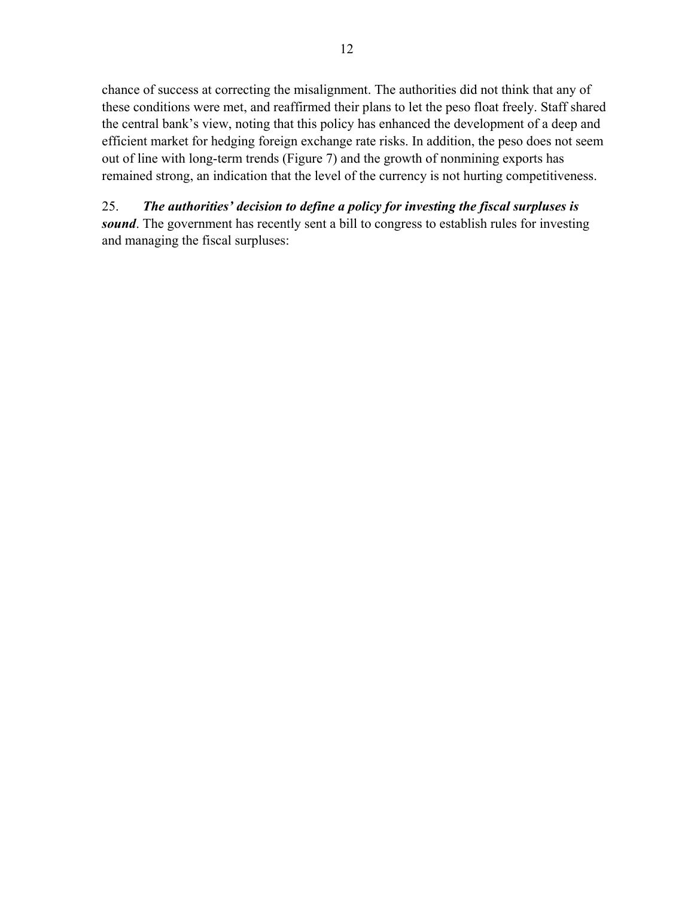chance of success at correcting the misalignment. The authorities did not think that any of these conditions were met, and reaffirmed their plans to let the peso float freely. Staff shared the central bank's view, noting that this policy has enhanced the development of a deep and efficient market for hedging foreign exchange rate risks. In addition, the peso does not seem out of line with long-term trends (Figure 7) and the growth of nonmining exports has remained strong, an indication that the level of the currency is not hurting competitiveness.

25. *The authorities' decision to define a policy for investing the fiscal surpluses is sound*. The government has recently sent a bill to congress to establish rules for investing and managing the fiscal surpluses: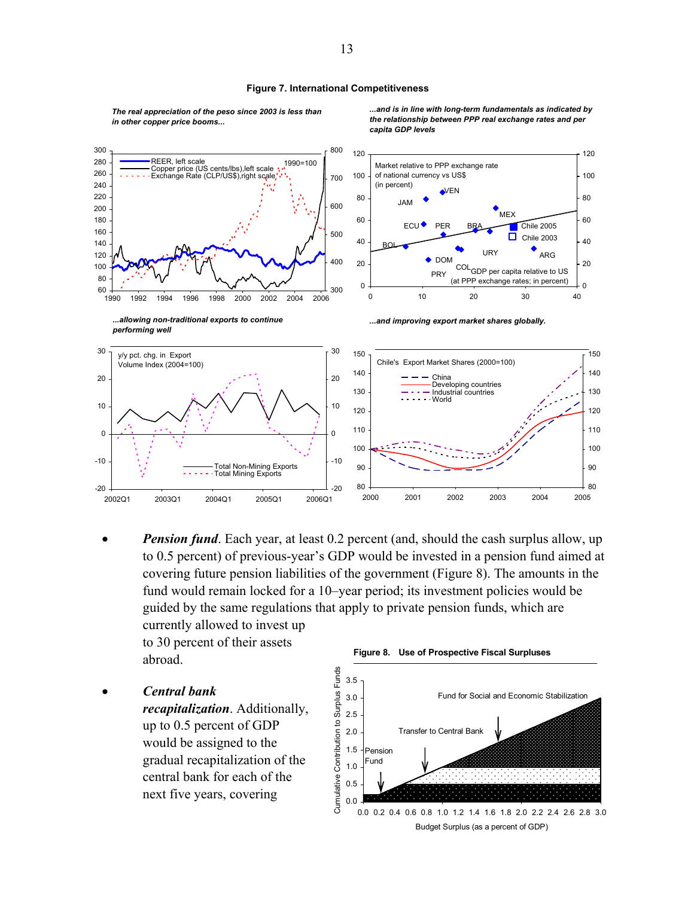#### **Figure 7. International Competitiveness**

*The real appreciation of the peso since 2003 is less than in other copper price booms...*

*...and is in line with long-term fundamentals as indicated by the relationship between PPP real exchange rates and per capita GDP levels*



*Pension fund.* Each year, at least 0.2 percent (and, should the cash surplus allow, up to 0.5 percent) of previous-year's GDP would be invested in a pension fund aimed at covering future pension liabilities of the government (Figure 8). The amounts in the fund would remain locked for a 10–year period; its investment policies would be guided by the same regulations that apply to private pension funds, which are currently allowed to invest up

to 30 percent of their assets abroad.

• *Central bank recapitalization*. Additionally, up to 0.5 percent of GDP would be assigned to the gradual recapitalization of the central bank for each of the next five years, covering

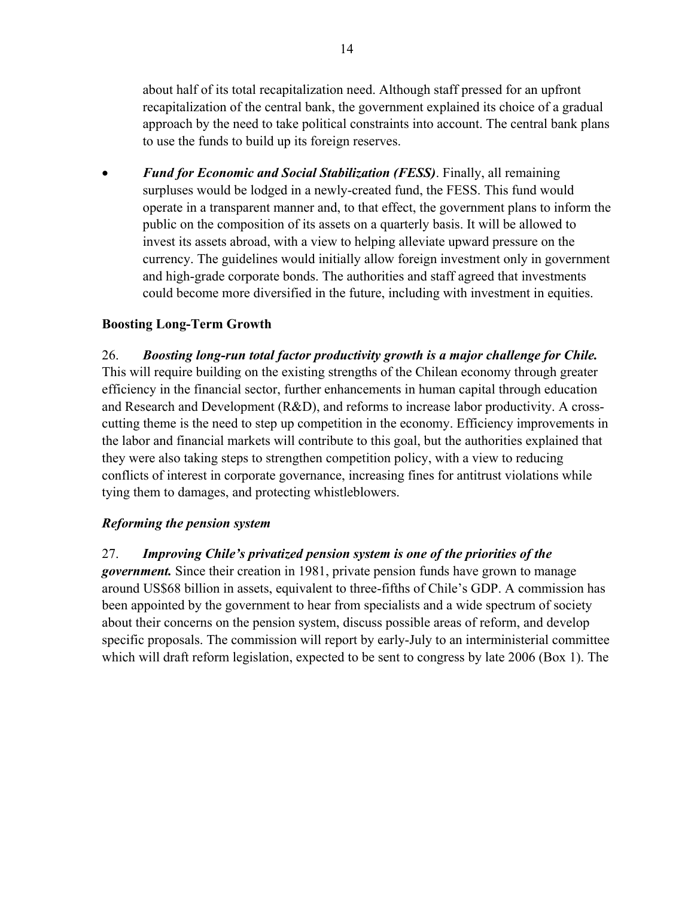about half of its total recapitalization need. Although staff pressed for an upfront recapitalization of the central bank, the government explained its choice of a gradual approach by the need to take political constraints into account. The central bank plans to use the funds to build up its foreign reserves.

• *Fund for Economic and Social Stabilization (FESS)*. Finally, all remaining surpluses would be lodged in a newly-created fund, the FESS. This fund would operate in a transparent manner and, to that effect, the government plans to inform the public on the composition of its assets on a quarterly basis. It will be allowed to invest its assets abroad, with a view to helping alleviate upward pressure on the currency. The guidelines would initially allow foreign investment only in government and high-grade corporate bonds. The authorities and staff agreed that investments could become more diversified in the future, including with investment in equities.

# **Boosting Long-Term Growth**

26. *Boosting long-run total factor productivity growth is a major challenge for Chile.* This will require building on the existing strengths of the Chilean economy through greater efficiency in the financial sector, further enhancements in human capital through education and Research and Development (R&D), and reforms to increase labor productivity. A crosscutting theme is the need to step up competition in the economy. Efficiency improvements in the labor and financial markets will contribute to this goal, but the authorities explained that they were also taking steps to strengthen competition policy, with a view to reducing conflicts of interest in corporate governance, increasing fines for antitrust violations while tying them to damages, and protecting whistleblowers.

## *Reforming the pension system*

27. *Improving Chile's privatized pension system is one of the priorities of the* 

*government.* Since their creation in 1981, private pension funds have grown to manage around US\$68 billion in assets, equivalent to three-fifths of Chile's GDP. A commission has been appointed by the government to hear from specialists and a wide spectrum of society about their concerns on the pension system, discuss possible areas of reform, and develop specific proposals. The commission will report by early-July to an interministerial committee which will draft reform legislation, expected to be sent to congress by late 2006 (Box 1). The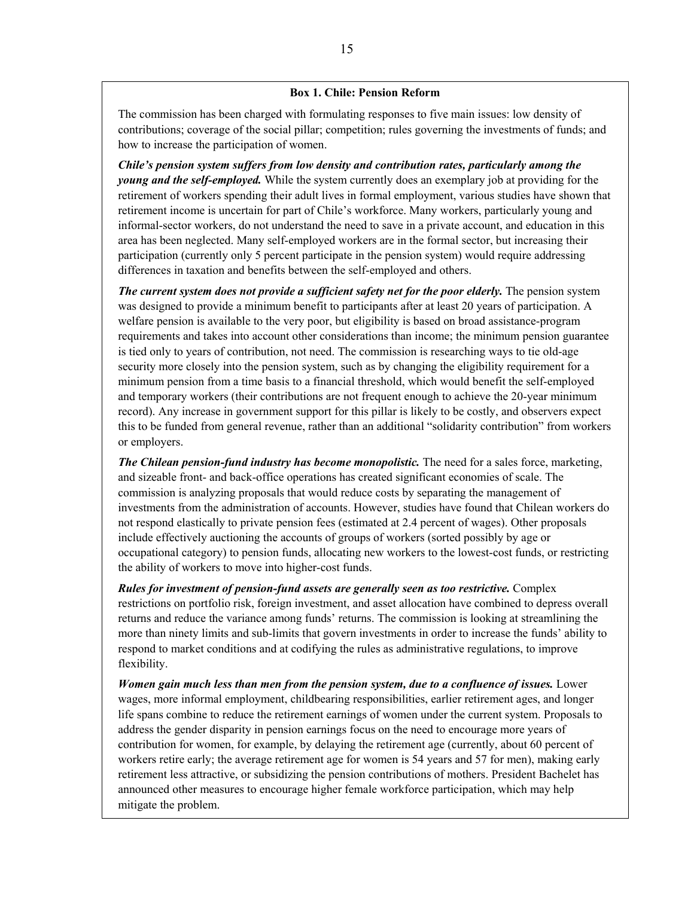#### **Box 1. Chile: Pension Reform**

The commission has been charged with formulating responses to five main issues: low density of contributions; coverage of the social pillar; competition; rules governing the investments of funds; and how to increase the participation of women.

*Chile's pension system suffers from low density and contribution rates, particularly among the young and the self-employed.* While the system currently does an exemplary job at providing for the retirement of workers spending their adult lives in formal employment, various studies have shown that retirement income is uncertain for part of Chile's workforce. Many workers, particularly young and informal-sector workers, do not understand the need to save in a private account, and education in this area has been neglected. Many self-employed workers are in the formal sector, but increasing their participation (currently only 5 percent participate in the pension system) would require addressing differences in taxation and benefits between the self-employed and others.

*The current system does not provide a sufficient safety net for the poor elderly.* The pension system was designed to provide a minimum benefit to participants after at least 20 years of participation. A welfare pension is available to the very poor, but eligibility is based on broad assistance-program requirements and takes into account other considerations than income; the minimum pension guarantee is tied only to years of contribution, not need. The commission is researching ways to tie old-age security more closely into the pension system, such as by changing the eligibility requirement for a minimum pension from a time basis to a financial threshold, which would benefit the self-employed and temporary workers (their contributions are not frequent enough to achieve the 20-year minimum record). Any increase in government support for this pillar is likely to be costly, and observers expect this to be funded from general revenue, rather than an additional "solidarity contribution" from workers or employers.

*The Chilean pension-fund industry has become monopolistic.* The need for a sales force, marketing, and sizeable front- and back-office operations has created significant economies of scale. The commission is analyzing proposals that would reduce costs by separating the management of investments from the administration of accounts. However, studies have found that Chilean workers do not respond elastically to private pension fees (estimated at 2.4 percent of wages). Other proposals include effectively auctioning the accounts of groups of workers (sorted possibly by age or occupational category) to pension funds, allocating new workers to the lowest-cost funds, or restricting the ability of workers to move into higher-cost funds.

*Rules for investment of pension-fund assets are generally seen as too restrictive.* Complex restrictions on portfolio risk, foreign investment, and asset allocation have combined to depress overall returns and reduce the variance among funds' returns. The commission is looking at streamlining the more than ninety limits and sub-limits that govern investments in order to increase the funds' ability to respond to market conditions and at codifying the rules as administrative regulations, to improve flexibility.

*Women gain much less than men from the pension system, due to a confluence of issues.* Lower wages, more informal employment, childbearing responsibilities, earlier retirement ages, and longer life spans combine to reduce the retirement earnings of women under the current system. Proposals to address the gender disparity in pension earnings focus on the need to encourage more years of contribution for women, for example, by delaying the retirement age (currently, about 60 percent of workers retire early; the average retirement age for women is 54 years and 57 for men), making early retirement less attractive, or subsidizing the pension contributions of mothers. President Bachelet has announced other measures to encourage higher female workforce participation, which may help mitigate the problem.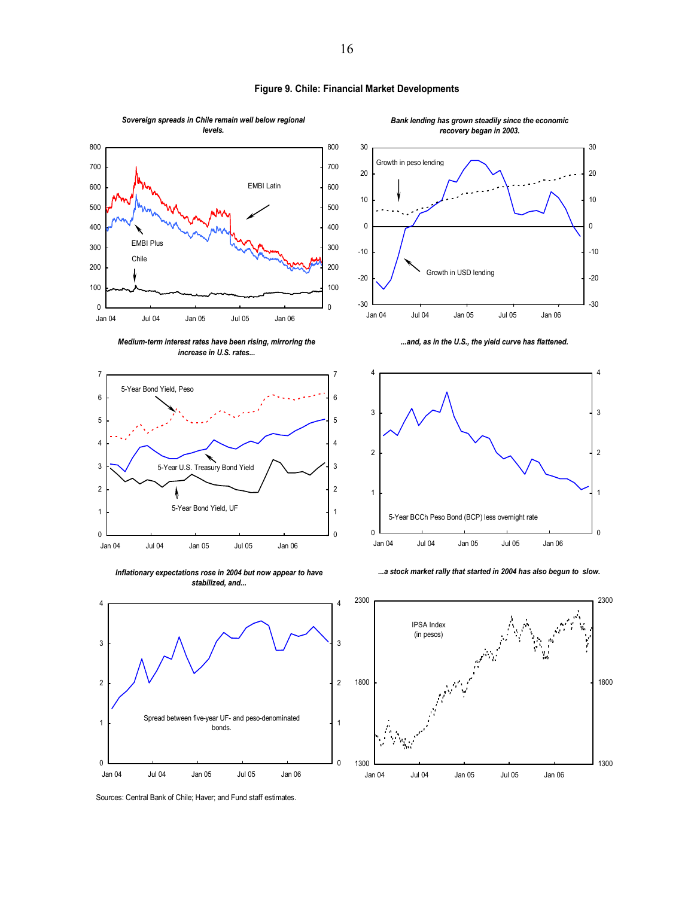

**Figure 9. Chile: Financial Market Developments**

Sources: Central Bank of Chile; Haver; and Fund staff estimates.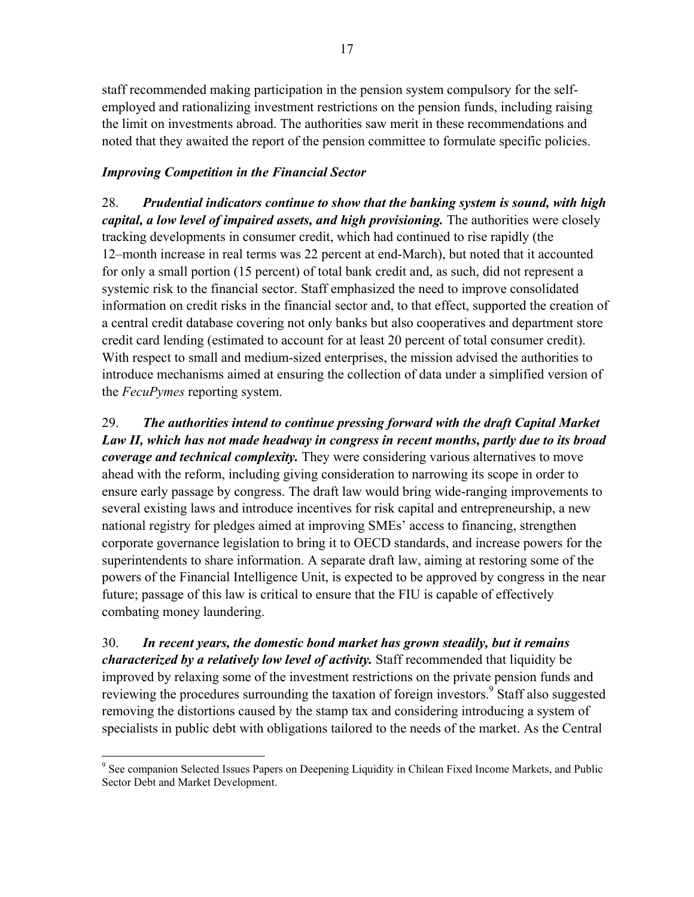staff recommended making participation in the pension system compulsory for the selfemployed and rationalizing investment restrictions on the pension funds, including raising the limit on investments abroad. The authorities saw merit in these recommendations and noted that they awaited the report of the pension committee to formulate specific policies.

# *Improving Competition in the Financial Sector*

<u>.</u>

28. *Prudential indicators continue to show that the banking system is sound, with high capital, a low level of impaired assets, and high provisioning.* The authorities were closely tracking developments in consumer credit, which had continued to rise rapidly (the 12–month increase in real terms was 22 percent at end-March), but noted that it accounted for only a small portion (15 percent) of total bank credit and, as such, did not represent a systemic risk to the financial sector. Staff emphasized the need to improve consolidated information on credit risks in the financial sector and, to that effect, supported the creation of a central credit database covering not only banks but also cooperatives and department store credit card lending (estimated to account for at least 20 percent of total consumer credit). With respect to small and medium-sized enterprises, the mission advised the authorities to introduce mechanisms aimed at ensuring the collection of data under a simplified version of the *FecuPymes* reporting system.

29. *The authorities intend to continue pressing forward with the draft Capital Market Law II, which has not made headway in congress in recent months, partly due to its broad coverage and technical complexity.* They were considering various alternatives to move ahead with the reform, including giving consideration to narrowing its scope in order to ensure early passage by congress. The draft law would bring wide-ranging improvements to several existing laws and introduce incentives for risk capital and entrepreneurship, a new national registry for pledges aimed at improving SMEs' access to financing, strengthen corporate governance legislation to bring it to OECD standards, and increase powers for the superintendents to share information. A separate draft law, aiming at restoring some of the powers of the Financial Intelligence Unit, is expected to be approved by congress in the near future; passage of this law is critical to ensure that the FIU is capable of effectively combating money laundering.

30. *In recent years, the domestic bond market has grown steadily, but it remains characterized by a relatively low level of activity.* Staff recommended that liquidity be improved by relaxing some of the investment restrictions on the private pension funds and reviewing the procedures surrounding the taxation of foreign investors.<sup>9</sup> Staff also suggested removing the distortions caused by the stamp tax and considering introducing a system of specialists in public debt with obligations tailored to the needs of the market. As the Central

<sup>&</sup>lt;sup>9</sup> See companion Selected Issues Papers on Deepening Liquidity in Chilean Fixed Income Markets, and Public Sector Debt and Market Development.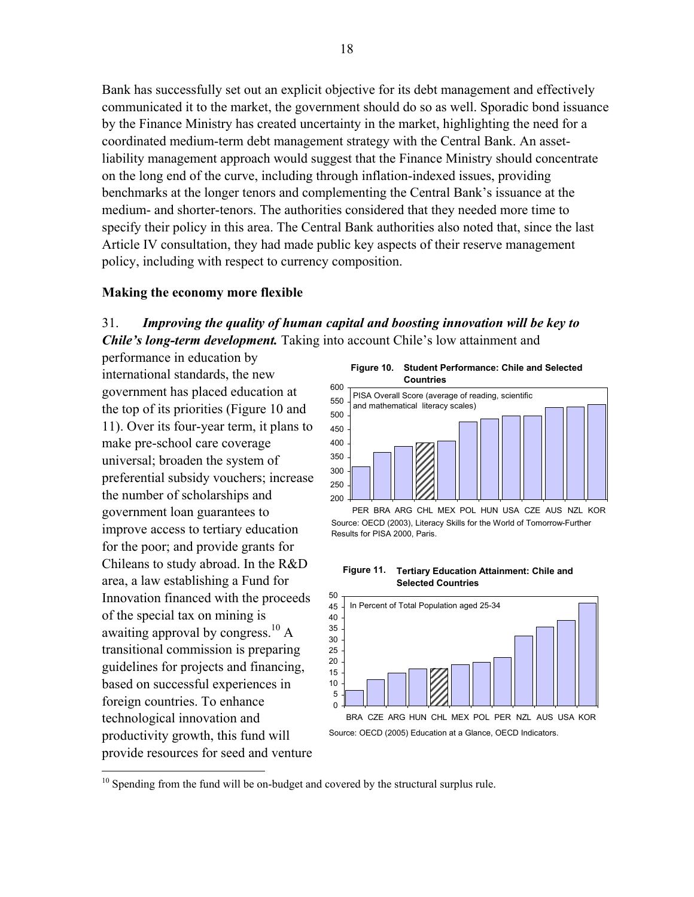Bank has successfully set out an explicit objective for its debt management and effectively communicated it to the market, the government should do so as well. Sporadic bond issuance by the Finance Ministry has created uncertainty in the market, highlighting the need for a coordinated medium-term debt management strategy with the Central Bank. An assetliability management approach would suggest that the Finance Ministry should concentrate on the long end of the curve, including through inflation-indexed issues, providing benchmarks at the longer tenors and complementing the Central Bank's issuance at the medium- and shorter-tenors. The authorities considered that they needed more time to specify their policy in this area. The Central Bank authorities also noted that, since the last Article IV consultation, they had made public key aspects of their reserve management policy, including with respect to currency composition.

#### **Making the economy more flexible**

#### 31. *Improving the quality of human capital and boosting innovation will be key to Chile's long-term development.* Taking into account Chile's low attainment and

performance in education by international standards, the new government has placed education at the top of its priorities (Figure 10 and 11). Over its four-year term, it plans to make pre-school care coverage universal; broaden the system of preferential subsidy vouchers; increase the number of scholarships and government loan guarantees to improve access to tertiary education for the poor; and provide grants for Chileans to study abroad. In the R&D area, a law establishing a Fund for Innovation financed with the proceeds of the special tax on mining is awaiting approval by congress.<sup>10</sup> A transitional commission is preparing guidelines for projects and financing, based on successful experiences in foreign countries. To enhance technological innovation and productivity growth, this fund will provide resources for seed and venture

1

**Figure 10. Student Performance: Chile and Selected Countries**



PER BRA ARG CHL MEX POL HUN USA CZE AUS NZL KOR Source: OECD (2003), Literacy Skills for the World of Tomorrow-Further Results for PISA 2000, Paris.

**Figure 11. Tertiary Education Attainment: Chile and Selected Countries**



<sup>&</sup>lt;sup>10</sup> Spending from the fund will be on-budget and covered by the structural surplus rule.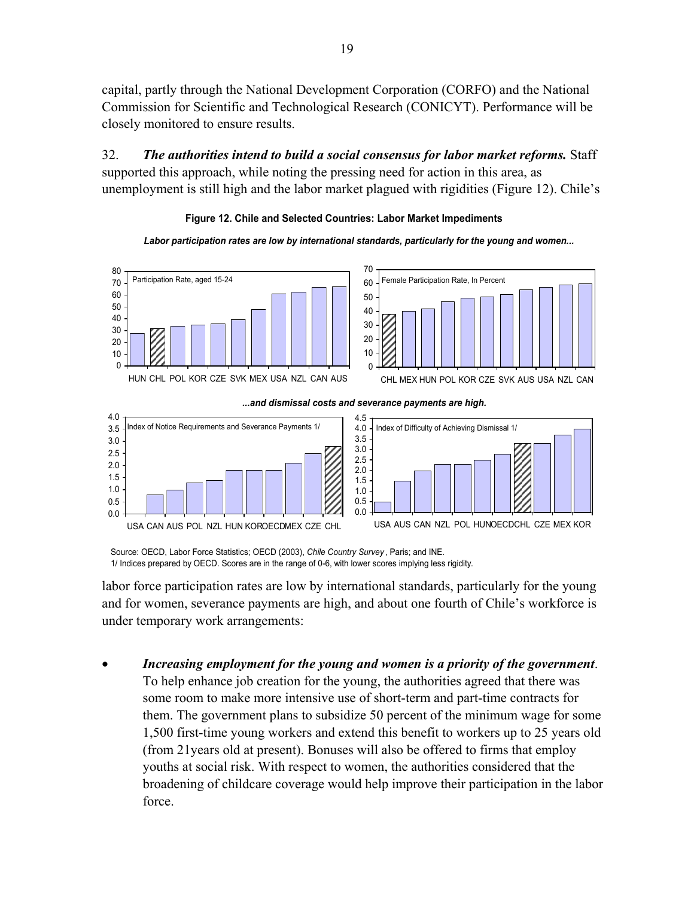capital, partly through the National Development Corporation (CORFO) and the National Commission for Scientific and Technological Research (CONICYT). Performance will be closely monitored to ensure results.

32. *The authorities intend to build a social consensus for labor market reforms.* Staff supported this approach, while noting the pressing need for action in this area, as unemployment is still high and the labor market plagued with rigidities (Figure 12). Chile's



*Labor participation rates are low by international standards, particularly for the young and women...* 



Source: OECD, Labor Force Statistics; OECD (2003), *Chile Country Survey* , Paris; and INE. 1/ Indices prepared by OECD. Scores are in the range of 0-6, with lower scores implying less rigidity.

labor force participation rates are low by international standards, particularly for the young and for women, severance payments are high, and about one fourth of Chile's workforce is under temporary work arrangements:

• *Increasing employment for the young and women is a priority of the government*. To help enhance job creation for the young, the authorities agreed that there was some room to make more intensive use of short-term and part-time contracts for them. The government plans to subsidize 50 percent of the minimum wage for some 1,500 first-time young workers and extend this benefit to workers up to 25 years old (from 21years old at present). Bonuses will also be offered to firms that employ youths at social risk. With respect to women, the authorities considered that the broadening of childcare coverage would help improve their participation in the labor force.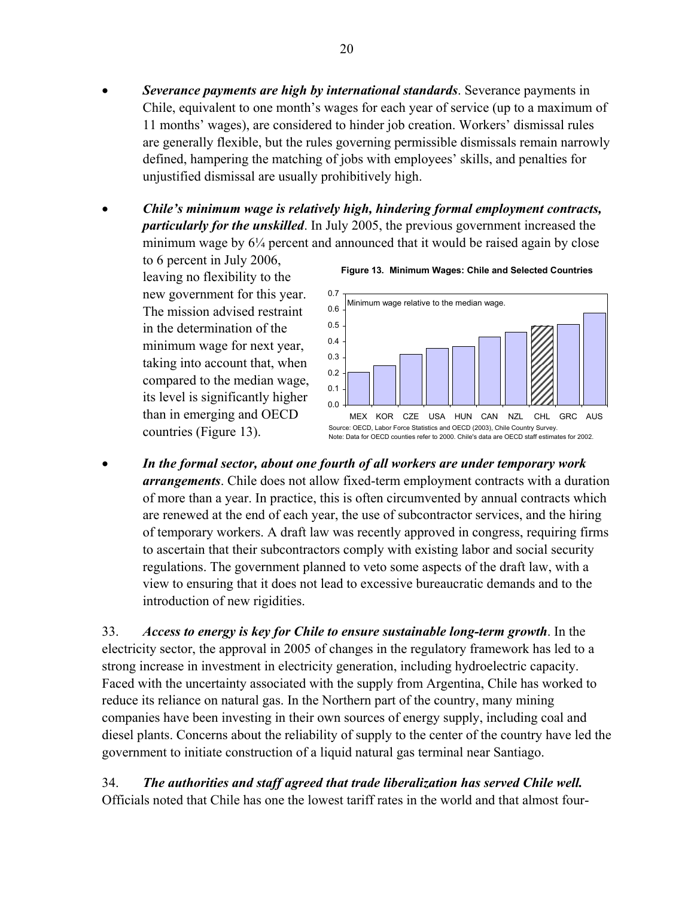- *Severance payments are high by international standards*. Severance payments in Chile, equivalent to one month's wages for each year of service (up to a maximum of 11 months' wages), are considered to hinder job creation. Workers' dismissal rules are generally flexible, but the rules governing permissible dismissals remain narrowly defined, hampering the matching of jobs with employees' skills, and penalties for unjustified dismissal are usually prohibitively high.
- *Chile's minimum wage is relatively high, hindering formal employment contracts, particularly for the unskilled*. In July 2005, the previous government increased the minimum wage by  $6\frac{1}{4}$  percent and announced that it would be raised again by close

to 6 percent in July 2006, leaving no flexibility to the new government for this year. The mission advised restraint in the determination of the minimum wage for next year, taking into account that, when compared to the median wage, its level is significantly higher than in emerging and OECD countries (Figure 13).





• *In the formal sector, about one fourth of all workers are under temporary work arrangements*. Chile does not allow fixed-term employment contracts with a duration of more than a year. In practice, this is often circumvented by annual contracts which are renewed at the end of each year, the use of subcontractor services, and the hiring of temporary workers. A draft law was recently approved in congress, requiring firms to ascertain that their subcontractors comply with existing labor and social security regulations. The government planned to veto some aspects of the draft law, with a view to ensuring that it does not lead to excessive bureaucratic demands and to the introduction of new rigidities.

33. *Access to energy is key for Chile to ensure sustainable long-term growth*. In the electricity sector, the approval in 2005 of changes in the regulatory framework has led to a strong increase in investment in electricity generation, including hydroelectric capacity. Faced with the uncertainty associated with the supply from Argentina, Chile has worked to reduce its reliance on natural gas. In the Northern part of the country, many mining companies have been investing in their own sources of energy supply, including coal and diesel plants. Concerns about the reliability of supply to the center of the country have led the government to initiate construction of a liquid natural gas terminal near Santiago.

34. *The authorities and staff agreed that trade liberalization has served Chile well.*  Officials noted that Chile has one the lowest tariff rates in the world and that almost four-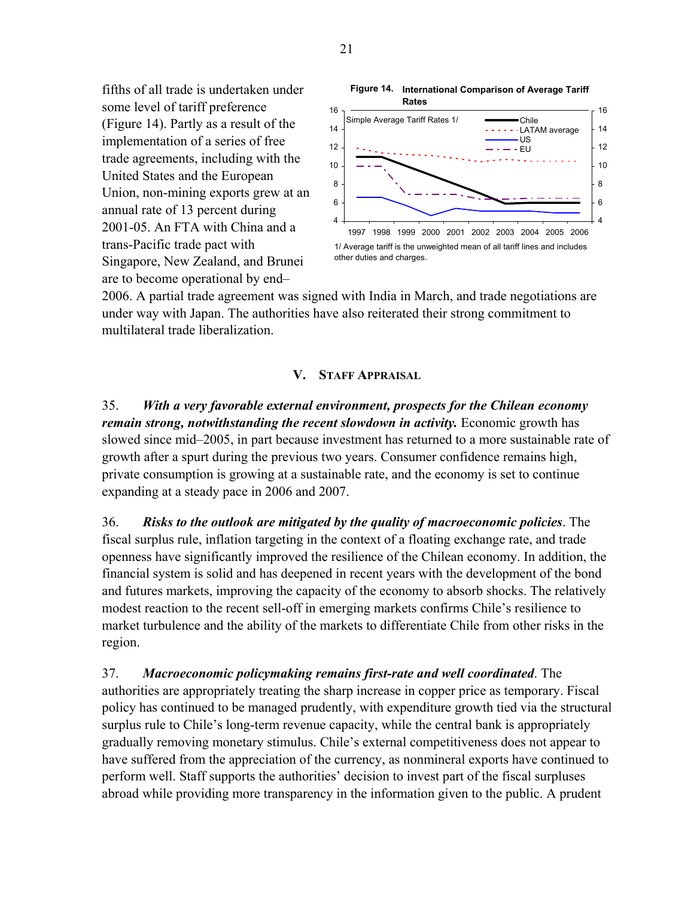fifths of all trade is undertaken under some level of tariff preference (Figure 14). Partly as a result of the implementation of a series of free trade agreements, including with the United States and the European Union, non-mining exports grew at an annual rate of 13 percent during 2001-05. An FTA with China and a trans-Pacific trade pact with Singapore, New Zealand, and Brunei are to become operational by end–



2006. A partial trade agreement was signed with India in March, and trade negotiations are under way with Japan. The authorities have also reiterated their strong commitment to multilateral trade liberalization.

#### **V. STAFF APPRAISAL**

35. *With a very favorable external environment, prospects for the Chilean economy remain strong, notwithstanding the recent slowdown in activity.* Economic growth has slowed since mid–2005, in part because investment has returned to a more sustainable rate of growth after a spurt during the previous two years. Consumer confidence remains high, private consumption is growing at a sustainable rate, and the economy is set to continue expanding at a steady pace in 2006 and 2007.

36. *Risks to the outlook are mitigated by the quality of macroeconomic policies*. The fiscal surplus rule, inflation targeting in the context of a floating exchange rate, and trade openness have significantly improved the resilience of the Chilean economy. In addition, the financial system is solid and has deepened in recent years with the development of the bond and futures markets, improving the capacity of the economy to absorb shocks. The relatively modest reaction to the recent sell-off in emerging markets confirms Chile's resilience to market turbulence and the ability of the markets to differentiate Chile from other risks in the region.

37. *Macroeconomic policymaking remains first-rate and well coordinated*. The authorities are appropriately treating the sharp increase in copper price as temporary. Fiscal policy has continued to be managed prudently, with expenditure growth tied via the structural surplus rule to Chile's long-term revenue capacity, while the central bank is appropriately gradually removing monetary stimulus. Chile's external competitiveness does not appear to have suffered from the appreciation of the currency, as nonmineral exports have continued to perform well. Staff supports the authorities' decision to invest part of the fiscal surpluses abroad while providing more transparency in the information given to the public. A prudent

21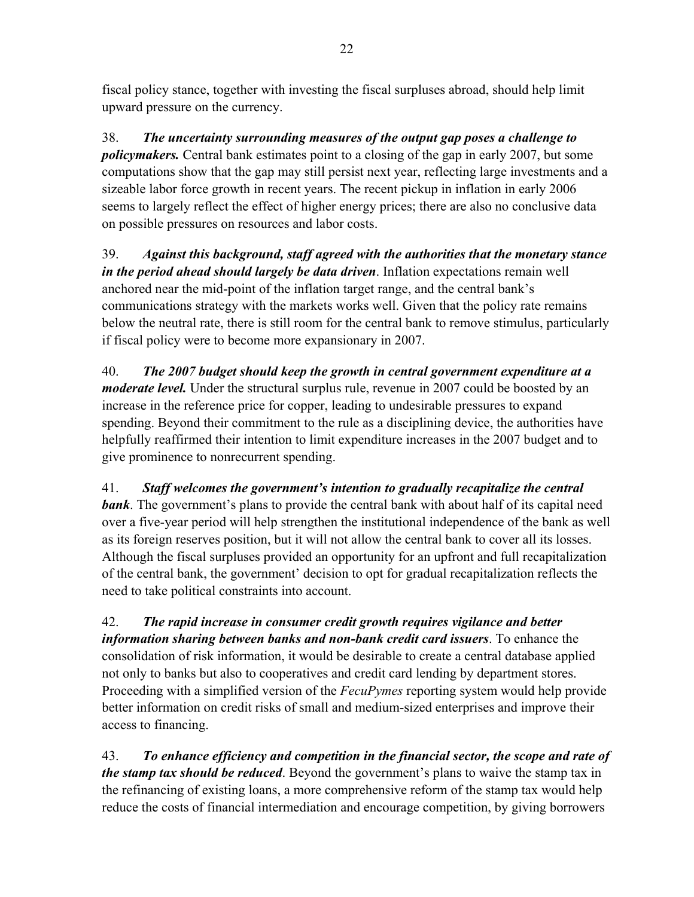fiscal policy stance, together with investing the fiscal surpluses abroad, should help limit upward pressure on the currency.

38. *The uncertainty surrounding measures of the output gap poses a challenge to policymakers.* Central bank estimates point to a closing of the gap in early 2007, but some computations show that the gap may still persist next year, reflecting large investments and a sizeable labor force growth in recent years. The recent pickup in inflation in early 2006 seems to largely reflect the effect of higher energy prices; there are also no conclusive data on possible pressures on resources and labor costs.

39. *Against this background, staff agreed with the authorities that the monetary stance in the period ahead should largely be data driven*. Inflation expectations remain well anchored near the mid-point of the inflation target range, and the central bank's communications strategy with the markets works well. Given that the policy rate remains below the neutral rate, there is still room for the central bank to remove stimulus, particularly if fiscal policy were to become more expansionary in 2007.

40. *The 2007 budget should keep the growth in central government expenditure at a moderate level.* Under the structural surplus rule, revenue in 2007 could be boosted by an increase in the reference price for copper, leading to undesirable pressures to expand spending. Beyond their commitment to the rule as a disciplining device, the authorities have helpfully reaffirmed their intention to limit expenditure increases in the 2007 budget and to give prominence to nonrecurrent spending.

41. *Staff welcomes the government's intention to gradually recapitalize the central*  **bank**. The government's plans to provide the central bank with about half of its capital need over a five-year period will help strengthen the institutional independence of the bank as well as its foreign reserves position, but it will not allow the central bank to cover all its losses. Although the fiscal surpluses provided an opportunity for an upfront and full recapitalization of the central bank, the government' decision to opt for gradual recapitalization reflects the need to take political constraints into account.

42. *The rapid increase in consumer credit growth requires vigilance and better information sharing between banks and non-bank credit card issuers*. To enhance the consolidation of risk information, it would be desirable to create a central database applied not only to banks but also to cooperatives and credit card lending by department stores. Proceeding with a simplified version of the *FecuPymes* reporting system would help provide better information on credit risks of small and medium-sized enterprises and improve their access to financing.

43. *To enhance efficiency and competition in the financial sector, the scope and rate of the stamp tax should be reduced*. Beyond the government's plans to waive the stamp tax in the refinancing of existing loans, a more comprehensive reform of the stamp tax would help reduce the costs of financial intermediation and encourage competition, by giving borrowers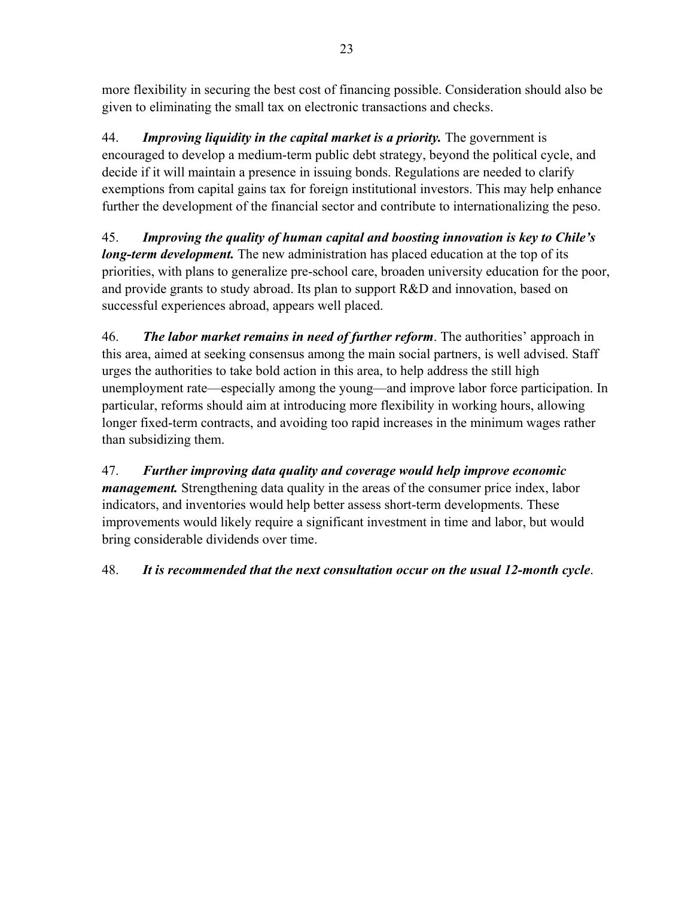more flexibility in securing the best cost of financing possible. Consideration should also be given to eliminating the small tax on electronic transactions and checks.

44. *Improving liquidity in the capital market is a priority.* The government is encouraged to develop a medium-term public debt strategy, beyond the political cycle, and decide if it will maintain a presence in issuing bonds. Regulations are needed to clarify exemptions from capital gains tax for foreign institutional investors. This may help enhance further the development of the financial sector and contribute to internationalizing the peso.

45. *Improving the quality of human capital and boosting innovation is key to Chile's long-term development.* The new administration has placed education at the top of its priorities, with plans to generalize pre-school care, broaden university education for the poor, and provide grants to study abroad. Its plan to support R&D and innovation, based on successful experiences abroad, appears well placed.

46. *The labor market remains in need of further reform*. The authorities' approach in this area, aimed at seeking consensus among the main social partners, is well advised. Staff urges the authorities to take bold action in this area, to help address the still high unemployment rate—especially among the young—and improve labor force participation. In particular, reforms should aim at introducing more flexibility in working hours, allowing longer fixed-term contracts, and avoiding too rapid increases in the minimum wages rather than subsidizing them.

47. *Further improving data quality and coverage would help improve economic management.* Strengthening data quality in the areas of the consumer price index, labor indicators, and inventories would help better assess short-term developments. These improvements would likely require a significant investment in time and labor, but would bring considerable dividends over time.

48. *It is recommended that the next consultation occur on the usual 12-month cycle*.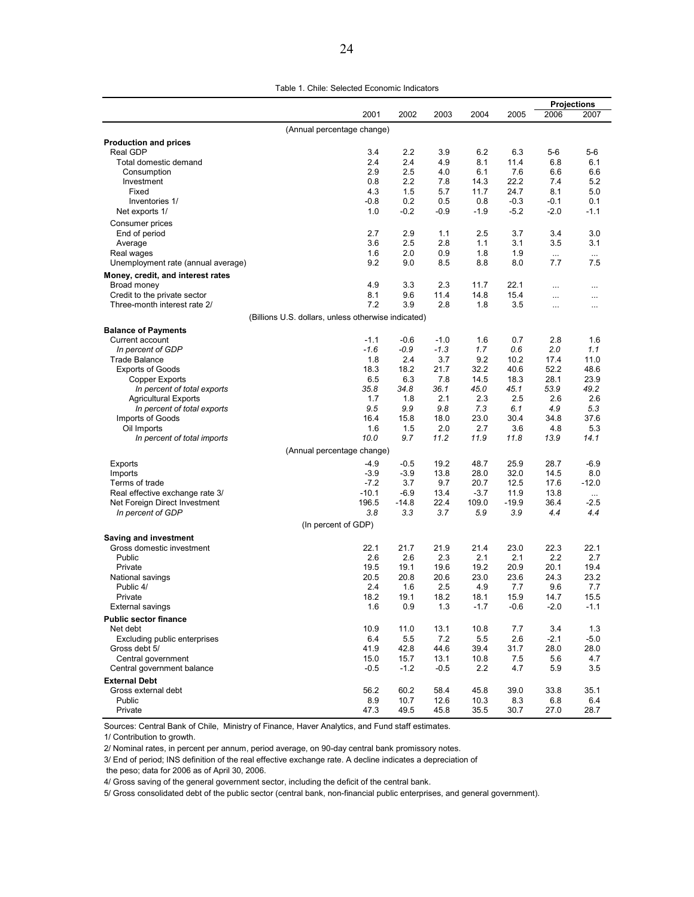|                                                              |                                                     |                |             |              |                |               | <b>Projections</b>   |
|--------------------------------------------------------------|-----------------------------------------------------|----------------|-------------|--------------|----------------|---------------|----------------------|
|                                                              | 2001                                                | 2002           | 2003        | 2004         | 2005           | 2006          | 2007                 |
|                                                              | (Annual percentage change)                          |                |             |              |                |               |                      |
| <b>Production and prices</b>                                 |                                                     |                |             |              |                |               |                      |
| Real GDP                                                     | 3.4                                                 | 2.2            | 3.9         | 6.2          | 6.3            | $5-6$         | $5-6$                |
| Total domestic demand                                        | 2.4                                                 | 2.4            | 4.9         | 8.1          | 11.4           | 6.8           | 6.1                  |
| Consumption                                                  | 2.9<br>0.8                                          | 2.5<br>2.2     | 4.0<br>7.8  | 6.1<br>14.3  | 7.6<br>22.2    | 6.6<br>7.4    | 6.6<br>5.2           |
| Investment<br>Fixed                                          | 4.3                                                 | 1.5            | 5.7         | 11.7         | 24.7           | 8.1           | 5.0                  |
| Inventories 1/                                               | $-0.8$                                              | 0.2            | 0.5         | 0.8          | $-0.3$         | -0.1          | 0.1                  |
| Net exports 1/                                               | 1.0                                                 | $-0.2$         | -0.9        | $-1.9$       | $-5.2$         | $-2.0$        | $-1.1$               |
| Consumer prices                                              |                                                     |                |             |              |                |               |                      |
| End of period                                                | 2.7                                                 | 2.9            | 1.1         | 2.5          | 3.7            | 3.4           | 3.0                  |
| Average                                                      | 3.6                                                 | 2.5            | 2.8         | 1.1          | 3.1            | 3.5           | 3.1                  |
| Real wages                                                   | 1.6                                                 | 2.0            | 0.9         | 1.8          | 1.9            | $\cdots$      | $\cdots$             |
| Unemployment rate (annual average)                           | 9.2                                                 | 9.0            | 8.5         | 8.8          | 8.0            | 7.7           | 7.5                  |
| Money, credit, and interest rates                            |                                                     |                |             |              |                |               |                      |
| Broad money                                                  | 4.9<br>8.1                                          | 3.3<br>9.6     | 2.3<br>11.4 | 11.7<br>14.8 | 22.1<br>15.4   |               |                      |
| Credit to the private sector<br>Three-month interest rate 2/ | 7.2                                                 | 3.9            | 2.8         | 1.8          | 3.5            | $\ddotsc$<br> | $\cdots$<br>$\cdots$ |
|                                                              | (Billions U.S. dollars, unless otherwise indicated) |                |             |              |                |               |                      |
| <b>Balance of Payments</b>                                   |                                                     |                |             |              |                |               |                      |
| Current account                                              | $-1.1$                                              | $-0.6$         | $-1.0$      | 1.6          | 0.7            | 2.8           | 1.6                  |
| In percent of GDP                                            | $-1.6$                                              | $-0.9$         | $-1.3$      | 1.7          | 0.6            | 2.0           | 1.1                  |
| <b>Trade Balance</b>                                         | 1.8                                                 | 2.4            | 3.7         | 9.2          | 10.2           | 17.4          | 11.0                 |
| <b>Exports of Goods</b>                                      | 18.3                                                | 18.2           | 21.7        | 32.2         | 40.6           | 52.2          | 48.6                 |
| Copper Exports                                               | 6.5                                                 | 6.3            | 7.8         | 14.5         | 18.3           | 28.1          | 23.9                 |
| In percent of total exports                                  | 35.8                                                | 34.8           | 36.1        | 45.0         | 45.1           | 53.9          | 49.2                 |
| <b>Agricultural Exports</b><br>In percent of total exports   | 1.7<br>9.5                                          | 1.8<br>9.9     | 2.1<br>9.8  | 2.3<br>7.3   | 2.5<br>6.1     | 2.6<br>4.9    | 2.6<br>5.3           |
| Imports of Goods                                             | 16.4                                                | 15.8           | 18.0        | 23.0         | 30.4           | 34.8          | 37.6                 |
| Oil Imports                                                  | 1.6                                                 | 1.5            | 2.0         | 2.7          | 3.6            | 4.8           | 5.3                  |
| In percent of total imports                                  | 10.0                                                | 9.7            | 11.2        | 11.9         | 11.8           | 13.9          | 14.1                 |
|                                                              | (Annual percentage change)                          |                |             |              |                |               |                      |
| Exports                                                      | $-4.9$                                              | $-0.5$         | 19.2        | 48.7         | 25.9           | 28.7          | $-6.9$               |
| Imports                                                      | $-3.9$                                              | $-3.9$         | 13.8        | 28.0         | 32.0           | 14.5          | 8.0                  |
| Terms of trade                                               | $-7.2$                                              | 3.7            | 9.7         | 20.7         | 12.5           | 17.6          | $-12.0$              |
| Real effective exchange rate 3/                              | $-10.1$                                             | $-6.9$         | 13.4        | $-3.7$       | 11.9           | 13.8          | $\cdots$             |
| Net Foreign Direct Investment<br>In percent of GDP           | 196.5<br>3.8                                        | $-14.8$<br>3.3 | 22.4<br>3.7 | 109.0<br>5.9 | $-19.9$<br>3.9 | 36.4<br>4.4   | $-2.5$<br>4.4        |
|                                                              | (In percent of GDP)                                 |                |             |              |                |               |                      |
|                                                              |                                                     |                |             |              |                |               |                      |
| Saving and investment<br>Gross domestic investment           | 22.1                                                | 21.7           | 21.9        | 21.4         | 23.0           | 22.3          | 22.1                 |
| Public                                                       | 2.6                                                 | 2.6            | 2.3         | 2.1          | 2.1            | 2.2           | 2.7                  |
| Private                                                      | 19.5                                                | 19.1           | 19.6        | 19.2         | 20.9           | 20.1          | 19.4                 |
| National savings                                             | 20.5                                                | 20.8           | 20.6        | 23.0         | 23.6           | 24.3          | 23.2                 |
| Public 4/                                                    | 2.4                                                 | 1.6            | 2.5         | 4.9          | 7.7            | 9.6           | 7.7                  |
| Private                                                      | 18.2                                                | 19.1           | 18.2        | 18.1         | 15.9           | 14.7          | 15.5                 |
| External savings                                             | 1.6                                                 | 0.9            | 1.3         | $-1.7$       | -0.6           | $-2.0$        | $-1.1$               |
| <b>Public sector finance</b><br>Net debt                     |                                                     |                |             |              |                |               |                      |
| Excluding public enterprises                                 | 10.9<br>6.4                                         | 11.0<br>5.5    | 13.1<br>7.2 | 10.8<br>5.5  | 7.7<br>2.6     | 3.4<br>$-2.1$ | 1.3<br>$-5.0$        |
| Gross debt 5/                                                | 41.9                                                | 42.8           | 44.6        | 39.4         | 31.7           | 28.0          | 28.0                 |
| Central government                                           | 15.0                                                | 15.7           | 13.1        | 10.8         | 7.5            | 5.6           | 4.7                  |
| Central government balance                                   | $-0.5$                                              | $-1.2$         | $-0.5$      | 2.2          | 4.7            | 5.9           | 3.5                  |
| <b>External Debt</b>                                         |                                                     |                |             |              |                |               |                      |
| Gross external debt                                          | 56.2                                                | 60.2           | 58.4        | 45.8         | 39.0           | 33.8          | 35.1                 |
| Public                                                       | 8.9                                                 | 10.7           | 12.6        | 10.3         | 8.3            | 6.8           | 6.4                  |
| Private                                                      | 47.3                                                | 49.5           | 45.8        | 35.5         | 30.7           | 27.0          | 28.7                 |

Sources: Central Bank of Chile, Ministry of Finance, Haver Analytics, and Fund staff estimates.

1/ Contribution to growth.

2/ Nominal rates, in percent per annum, period average, on 90-day central bank promissory notes.

3/ End of period; INS definition of the real effective exchange rate. A decline indicates a depreciation of

the peso; data for 2006 as of April 30, 2006.

4/ Gross saving of the general government sector, including the deficit of the central bank.

5/ Gross consolidated debt of the public sector (central bank, non-financial public enterprises, and general government).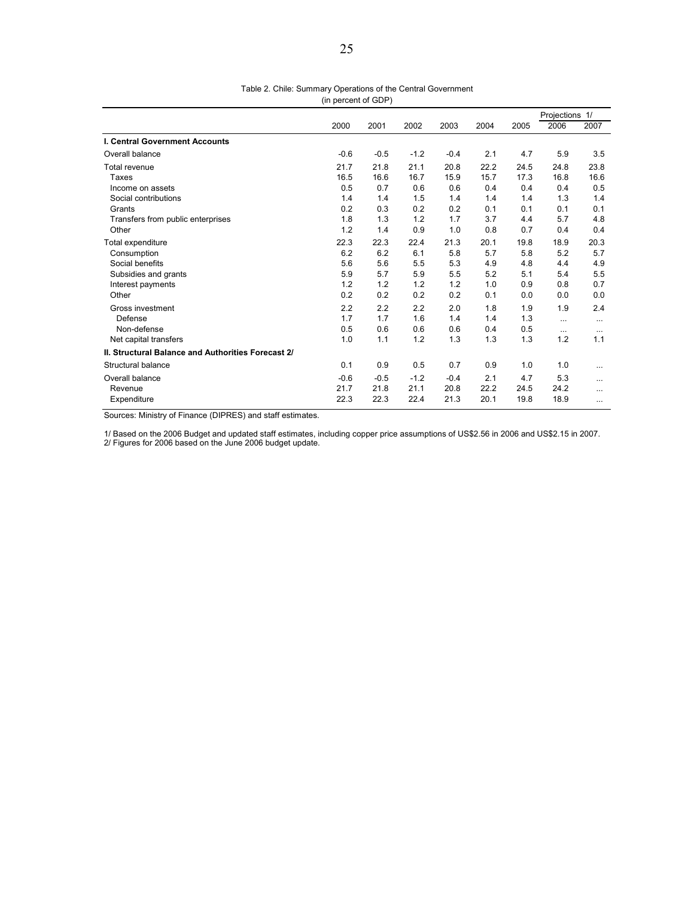|                                                    |        |        |        |        |      |      | Projections 1/ |          |
|----------------------------------------------------|--------|--------|--------|--------|------|------|----------------|----------|
|                                                    | 2000   | 2001   | 2002   | 2003   | 2004 | 2005 | 2006           | 2007     |
| <b>I. Central Government Accounts</b>              |        |        |        |        |      |      |                |          |
| Overall balance                                    | $-0.6$ | $-0.5$ | $-1.2$ | $-0.4$ | 2.1  | 4.7  | 5.9            | 3.5      |
| Total revenue                                      | 21.7   | 21.8   | 21.1   | 20.8   | 22.2 | 24.5 | 24.8           | 23.8     |
| Taxes                                              | 16.5   | 16.6   | 16.7   | 15.9   | 15.7 | 17.3 | 16.8           | 16.6     |
| Income on assets                                   | 0.5    | 0.7    | 0.6    | 0.6    | 0.4  | 0.4  | 0.4            | 0.5      |
| Social contributions                               | 1.4    | 1.4    | 1.5    | 1.4    | 1.4  | 1.4  | 1.3            | 1.4      |
| Grants                                             | 0.2    | 0.3    | 0.2    | 0.2    | 0.1  | 0.1  | 0.1            | 0.1      |
| Transfers from public enterprises                  | 1.8    | 1.3    | 1.2    | 1.7    | 3.7  | 4.4  | 5.7            | 4.8      |
| Other                                              | 1.2    | 1.4    | 0.9    | 1.0    | 0.8  | 0.7  | 0.4            | 0.4      |
| Total expenditure                                  | 22.3   | 22.3   | 22.4   | 21.3   | 20.1 | 19.8 | 18.9           | 20.3     |
| Consumption                                        | 6.2    | 6.2    | 6.1    | 5.8    | 5.7  | 5.8  | 5.2            | 5.7      |
| Social benefits                                    | 5.6    | 5.6    | 5.5    | 5.3    | 4.9  | 4.8  | 4.4            | 4.9      |
| Subsidies and grants                               | 5.9    | 5.7    | 5.9    | 5.5    | 5.2  | 5.1  | 5.4            | 5.5      |
| Interest payments                                  | 1.2    | 1.2    | 1.2    | 1.2    | 1.0  | 0.9  | 0.8            | 0.7      |
| Other                                              | 0.2    | 0.2    | 0.2    | 0.2    | 0.1  | 0.0  | 0.0            | 0.0      |
| Gross investment                                   | 2.2    | 2.2    | 2.2    | 2.0    | 1.8  | 1.9  | 1.9            | 2.4      |
| Defense                                            | 1.7    | 1.7    | 1.6    | 1.4    | 1.4  | 1.3  | $\cdots$       | $\cdots$ |
| Non-defense                                        | 0.5    | 0.6    | 0.6    | 0.6    | 0.4  | 0.5  | $\cdots$       | $\cdots$ |
| Net capital transfers                              | 1.0    | 1.1    | 1.2    | 1.3    | 1.3  | 1.3  | 1.2            | 1.1      |
| II. Structural Balance and Authorities Forecast 2/ |        |        |        |        |      |      |                |          |
| Structural balance                                 | 0.1    | 0.9    | 0.5    | 0.7    | 0.9  | 1.0  | 1.0            | $\cdots$ |
| Overall balance                                    | $-0.6$ | $-0.5$ | $-1.2$ | $-0.4$ | 2.1  | 4.7  | 5.3            |          |
| Revenue                                            | 21.7   | 21.8   | 21.1   | 20.8   | 22.2 | 24.5 | 24.2           | $\cdots$ |
| Expenditure                                        | 22.3   | 22.3   | 22.4   | 21.3   | 20.1 | 19.8 | 18.9           |          |

Table 2. Chile: Summary Operations of the Central Government (in percent of GDP)

Sources: Ministry of Finance (DIPRES) and staff estimates.

1/ Based on the 2006 Budget and updated staff estimates, including copper price assumptions of US\$2.56 in 2006 and US\$2.15 in 2007. 2/ Figures for 2006 based on the June 2006 budget update.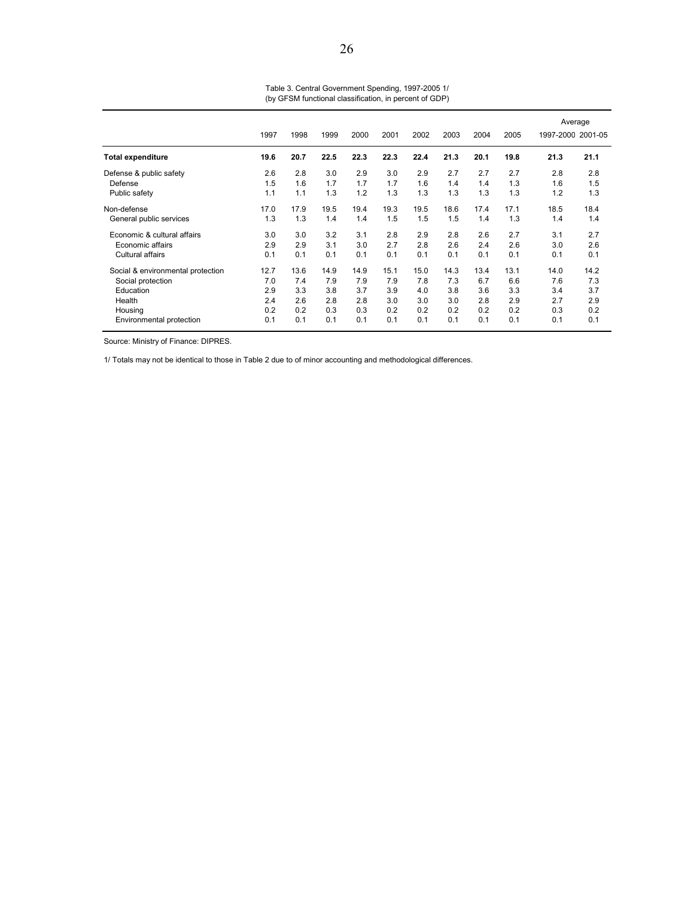|                                   | 1997 | 1998 | 1999 | 2000 | 2001 | 2002 | 2003 | 2004 | 2005 |      | Average<br>1997-2000 2001-05 |
|-----------------------------------|------|------|------|------|------|------|------|------|------|------|------------------------------|
| <b>Total expenditure</b>          | 19.6 | 20.7 | 22.5 | 22.3 | 22.3 | 22.4 | 21.3 | 20.1 | 19.8 | 21.3 | 21.1                         |
| Defense & public safety           | 2.6  | 2.8  | 3.0  | 2.9  | 3.0  | 2.9  | 2.7  | 2.7  | 2.7  | 2.8  | 2.8                          |
| Defense                           | 1.5  | 1.6  | 1.7  | 1.7  | 1.7  | 1.6  | 1.4  | 1.4  | 1.3  | 1.6  | 1.5                          |
| Public safety                     | 1.1  | 1.1  | 1.3  | 1.2  | 1.3  | 1.3  | 1.3  | 1.3  | 1.3  | 1.2  | 1.3                          |
| Non-defense                       | 17.0 | 17.9 | 19.5 | 19.4 | 19.3 | 19.5 | 18.6 | 17.4 | 17.1 | 18.5 | 18.4                         |
| General public services           | 1.3  | 1.3  | 1.4  | 1.4  | 1.5  | 1.5  | 1.5  | 1.4  | 1.3  | 1.4  | 1.4                          |
| Economic & cultural affairs       | 3.0  | 3.0  | 3.2  | 3.1  | 2.8  | 2.9  | 2.8  | 2.6  | 2.7  | 3.1  | 2.7                          |
| Economic affairs                  | 2.9  | 2.9  | 3.1  | 3.0  | 2.7  | 2.8  | 2.6  | 2.4  | 2.6  | 3.0  | 2.6                          |
| Cultural affairs                  | 0.1  | 0.1  | 0.1  | 0.1  | 0.1  | 0.1  | 0.1  | 0.1  | 0.1  | 0.1  | 0.1                          |
| Social & environmental protection | 12.7 | 13.6 | 14.9 | 14.9 | 15.1 | 15.0 | 14.3 | 13.4 | 13.1 | 14.0 | 14.2                         |
| Social protection                 | 7.0  | 7.4  | 7.9  | 7.9  | 7.9  | 7.8  | 7.3  | 6.7  | 6.6  | 7.6  | 7.3                          |
| Education                         | 2.9  | 3.3  | 3.8  | 3.7  | 3.9  | 4.0  | 3.8  | 3.6  | 3.3  | 3.4  | 3.7                          |
| Health                            | 2.4  | 2.6  | 2.8  | 2.8  | 3.0  | 3.0  | 3.0  | 2.8  | 2.9  | 2.7  | 2.9                          |
| Housing                           | 0.2  | 0.2  | 0.3  | 0.3  | 0.2  | 0.2  | 0.2  | 0.2  | 0.2  | 0.3  | 0.2                          |
| Environmental protection          | 0.1  | 0.1  | 0.1  | 0.1  | 0.1  | 0.1  | 0.1  | 0.1  | 0.1  | 0.1  | 0.1                          |

Table 3. Central Government Spending, 1997-2005 1/ (by GFSM functional classification, in percent of GDP)

Source: Ministry of Finance: DIPRES.

1/ Totals may not be identical to those in Table 2 due to of minor accounting and methodological differences.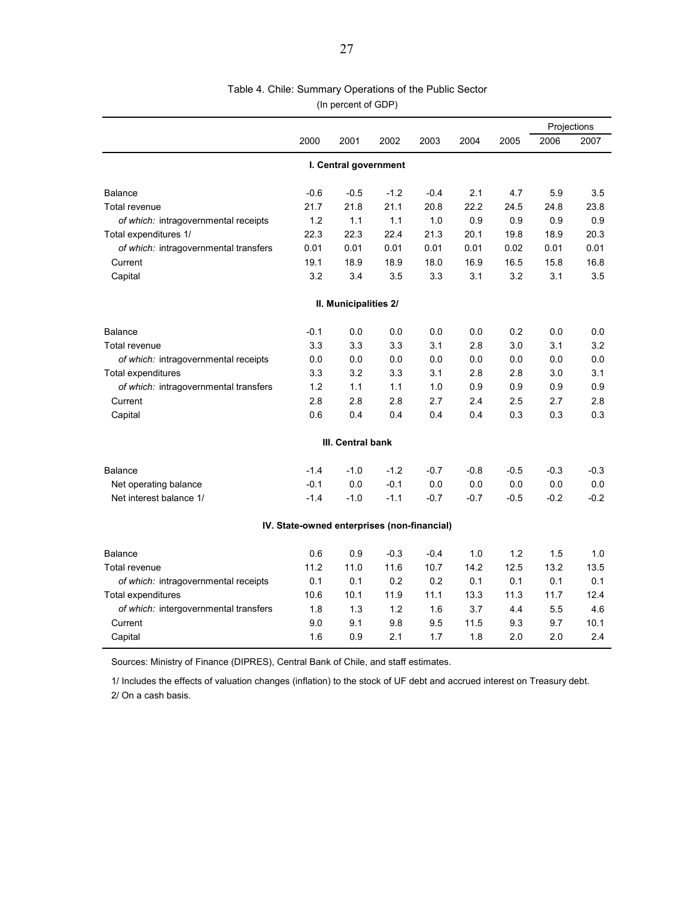# Table 4. Chile: Summary Operations of the Public Sector

(In percent of GDP)

|                                       |                                             |                       |        |        |        |        |        | Projections |  |  |
|---------------------------------------|---------------------------------------------|-----------------------|--------|--------|--------|--------|--------|-------------|--|--|
|                                       | 2000                                        | 2001                  | 2002   | 2003   | 2004   | 2005   | 2006   | 2007        |  |  |
|                                       |                                             | I. Central government |        |        |        |        |        |             |  |  |
| Balance                               | $-0.6$                                      | $-0.5$                | $-1.2$ | $-0.4$ | 2.1    | 4.7    | 5.9    | 3.5         |  |  |
| Total revenue                         | 21.7                                        | 21.8                  | 21.1   | 20.8   | 22.2   | 24.5   | 24.8   | 23.8        |  |  |
| of which: intragovernmental receipts  | 1.2                                         | 1.1                   | 1.1    | 1.0    | 0.9    | 0.9    | 0.9    | 0.9         |  |  |
| Total expenditures 1/                 | 22.3                                        | 22.3                  | 22.4   | 21.3   | 20.1   | 19.8   | 18.9   | 20.3        |  |  |
| of which: intragovernmental transfers | 0.01                                        | 0.01                  | 0.01   | 0.01   | 0.01   | 0.02   | 0.01   | 0.01        |  |  |
| Current                               | 19.1                                        | 18.9                  | 18.9   | 18.0   | 16.9   | 16.5   | 15.8   | 16.8        |  |  |
| Capital                               | 3.2                                         | 3.4                   | 3.5    | 3.3    | 3.1    | 3.2    | 3.1    | 3.5         |  |  |
|                                       |                                             | II. Municipalities 2/ |        |        |        |        |        |             |  |  |
| Balance                               | $-0.1$                                      | 0.0                   | 0.0    | 0.0    | 0.0    | 0.2    | 0.0    | 0.0         |  |  |
| Total revenue                         | 3.3                                         | 3.3                   | 3.3    | 3.1    | 2.8    | 3.0    | 3.1    | 3.2         |  |  |
| of which: intragovernmental receipts  | 0.0                                         | 0.0                   | 0.0    | 0.0    | 0.0    | 0.0    | 0.0    | 0.0         |  |  |
| Total expenditures                    | 3.3                                         | 3.2                   | 3.3    | 3.1    | 2.8    | 2.8    | 3.0    | 3.1         |  |  |
| of which: intragovernmental transfers | 1.2                                         | 1.1                   | 1.1    | 1.0    | 0.9    | 0.9    | 0.9    | 0.9         |  |  |
| Current                               | 2.8                                         | 2.8                   | 2.8    | 2.7    | 2.4    | 2.5    | 2.7    | 2.8         |  |  |
| Capital                               | 0.6                                         | 0.4                   | 0.4    | 0.4    | 0.4    | 0.3    | 0.3    | 0.3         |  |  |
|                                       |                                             | III. Central bank     |        |        |        |        |        |             |  |  |
| <b>Balance</b>                        | $-1.4$                                      | $-1.0$                | $-1.2$ | $-0.7$ | $-0.8$ | $-0.5$ | $-0.3$ | $-0.3$      |  |  |
| Net operating balance                 | $-0.1$                                      | 0.0                   | $-0.1$ | 0.0    | 0.0    | 0.0    | 0.0    | 0.0         |  |  |
| Net interest balance 1/               | $-1.4$                                      | $-1.0$                | $-1.1$ | $-0.7$ | $-0.7$ | $-0.5$ | $-0.2$ | $-0.2$      |  |  |
|                                       | IV. State-owned enterprises (non-financial) |                       |        |        |        |        |        |             |  |  |
| Balance                               | 0.6                                         | 0.9                   | $-0.3$ | $-0.4$ | 1.0    | 1.2    | 1.5    | 1.0         |  |  |
| Total revenue                         | 11.2                                        | 11.0                  | 11.6   | 10.7   | 14.2   | 12.5   | 13.2   | 13.5        |  |  |
| of which: intragovernmental receipts  | 0.1                                         | 0.1                   | 0.2    | 0.2    | 0.1    | 0.1    | 0.1    | 0.1         |  |  |
| Total expenditures                    | 10.6                                        | 10.1                  | 11.9   | 11.1   | 13.3   | 11.3   | 11.7   | 12.4        |  |  |
| of which: intergovernmental transfers | 1.8                                         | 1.3                   | 1.2    | 1.6    | 3.7    | 4.4    | 5.5    | 4.6         |  |  |
| Current                               | 9.0                                         | 9.1                   | 9.8    | 9.5    | 11.5   | 9.3    | 9.7    | 10.1        |  |  |
| Capital                               | 1.6                                         | 0.9                   | 2.1    | 1.7    | 1.8    | 2.0    | 2.0    | 2.4         |  |  |

Sources: Ministry of Finance (DIPRES), Central Bank of Chile, and staff estimates.

1/ Includes the effects of valuation changes (inflation) to the stock of UF debt and accrued interest on Treasury debt. 2/ On a cash basis.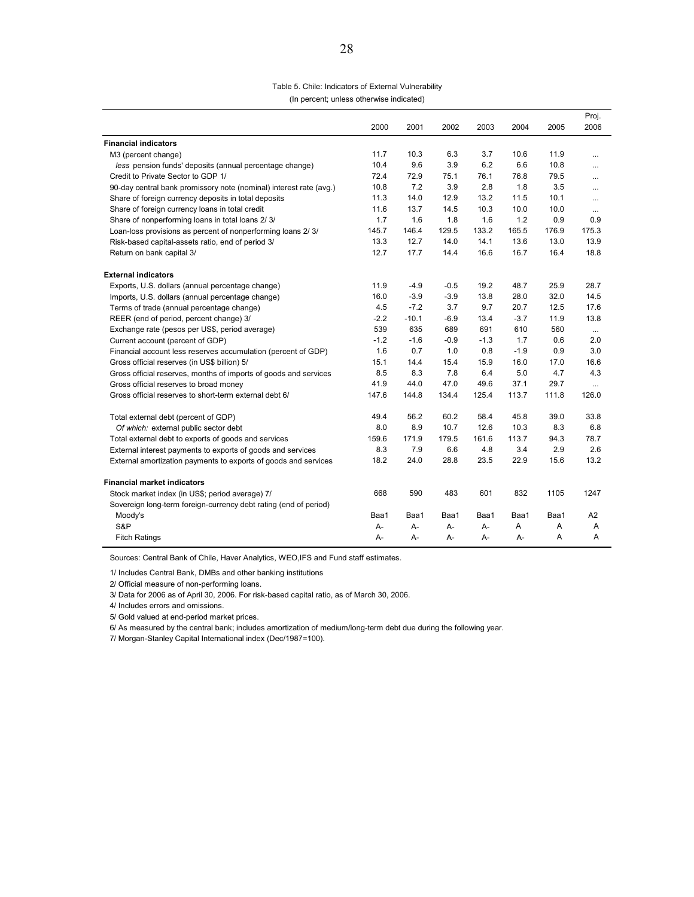#### Table 5. Chile: Indicators of External Vulnerability

(In percent; unless otherwise indicated)

|                                                                    |        |         |        |        |        |       | Proj.          |
|--------------------------------------------------------------------|--------|---------|--------|--------|--------|-------|----------------|
|                                                                    | 2000   | 2001    | 2002   | 2003   | 2004   | 2005  | 2006           |
| <b>Financial indicators</b>                                        |        |         |        |        |        |       |                |
| M3 (percent change)                                                | 11.7   | 10.3    | 6.3    | 3.7    | 10.6   | 11.9  | $\cdots$       |
| less pension funds' deposits (annual percentage change)            | 10.4   | 9.6     | 3.9    | 6.2    | 6.6    | 10.8  | $\cdots$       |
| Credit to Private Sector to GDP 1/                                 | 72.4   | 72.9    | 75.1   | 76.1   | 76.8   | 79.5  |                |
| 90-day central bank promissory note (nominal) interest rate (avg.) | 10.8   | 7.2     | 3.9    | 2.8    | 1.8    | 3.5   | $\cdots$       |
| Share of foreign currency deposits in total deposits               | 11.3   | 14.0    | 12.9   | 13.2   | 11.5   | 10.1  |                |
| Share of foreign currency loans in total credit                    | 11.6   | 13.7    | 14.5   | 10.3   | 10.0   | 10.0  | $\cdots$       |
| Share of nonperforming loans in total loans 2/3/                   | 1.7    | 1.6     | 1.8    | 1.6    | 1.2    | 0.9   | 0.9            |
| Loan-loss provisions as percent of nonperforming loans 2/3/        | 145.7  | 146.4   | 129.5  | 133.2  | 165.5  | 176.9 | 175.3          |
| Risk-based capital-assets ratio, end of period 3/                  | 13.3   | 12.7    | 14.0   | 14.1   | 13.6   | 13.0  | 13.9           |
| Return on bank capital 3/                                          | 12.7   | 17.7    | 14.4   | 16.6   | 16.7   | 16.4  | 18.8           |
| <b>External indicators</b>                                         |        |         |        |        |        |       |                |
| Exports, U.S. dollars (annual percentage change)                   | 11.9   | $-4.9$  | $-0.5$ | 19.2   | 48.7   | 25.9  | 28.7           |
| Imports, U.S. dollars (annual percentage change)                   | 16.0   | $-3.9$  | $-3.9$ | 13.8   | 28.0   | 32.0  | 14.5           |
| Terms of trade (annual percentage change)                          | 4.5    | $-7.2$  | 3.7    | 9.7    | 20.7   | 12.5  | 17.6           |
| REER (end of period, percent change) 3/                            | $-2.2$ | $-10.1$ | $-6.9$ | 13.4   | $-3.7$ | 11.9  | 13.8           |
| Exchange rate (pesos per US\$, period average)                     | 539    | 635     | 689    | 691    | 610    | 560   | $\cdots$       |
| Current account (percent of GDP)                                   | $-1.2$ | $-1.6$  | $-0.9$ | $-1.3$ | 1.7    | 0.6   | 2.0            |
| Financial account less reserves accumulation (percent of GDP)      | 1.6    | 0.7     | 1.0    | 0.8    | $-1.9$ | 0.9   | 3.0            |
| Gross official reserves (in US\$ billion) 5/                       | 15.1   | 14.4    | 15.4   | 15.9   | 16.0   | 17.0  | 16.6           |
| Gross official reserves, months of imports of goods and services   | 8.5    | 8.3     | 7.8    | 6.4    | 5.0    | 4.7   | 4.3            |
| Gross official reserves to broad money                             | 41.9   | 44.0    | 47.0   | 49.6   | 37.1   | 29.7  | $\cdots$       |
| Gross official reserves to short-term external debt 6/             | 147.6  | 144.8   | 134.4  | 125.4  | 113.7  | 111.8 | 126.0          |
| Total external debt (percent of GDP)                               | 49.4   | 56.2    | 60.2   | 58.4   | 45.8   | 39.0  | 33.8           |
| Of which: external public sector debt                              | 8.0    | 8.9     | 10.7   | 12.6   | 10.3   | 8.3   | 6.8            |
| Total external debt to exports of goods and services               | 159.6  | 171.9   | 179.5  | 161.6  | 113.7  | 94.3  | 78.7           |
| External interest payments to exports of goods and services        | 8.3    | 7.9     | 6.6    | 4.8    | 3.4    | 2.9   | 2.6            |
| External amortization payments to exports of goods and services    | 18.2   | 24.0    | 28.8   | 23.5   | 22.9   | 15.6  | 13.2           |
| <b>Financial market indicators</b>                                 |        |         |        |        |        |       |                |
| Stock market index (in US\$; period average) 7/                    | 668    | 590     | 483    | 601    | 832    | 1105  | 1247           |
| Sovereign long-term foreign-currency debt rating (end of period)   |        |         |        |        |        |       |                |
| Moody's                                                            | Baa1   | Baa1    | Baa1   | Baa1   | Baa1   | Baa1  | A <sub>2</sub> |
| S&P                                                                | А-     | А-      | А-     | A-     | A      | Α     | Α              |
| <b>Fitch Ratings</b>                                               | А-     | А-      | А-     | А-     | А-     | A     | Α              |

Sources: Central Bank of Chile, Haver Analytics, WEO,IFS and Fund staff estimates.

1/ Includes Central Bank, DMBs and other banking institutions

2/ Official measure of non-performing loans.

3/ Data for 2006 as of April 30, 2006. For risk-based capital ratio, as of March 30, 2006.

4/ Includes errors and omissions.

5/ Gold valued at end-period market prices.

6/ As measured by the central bank; includes amortization of medium/long-term debt due during the following year.

7/ Morgan-Stanley Capital International index (Dec/1987=100).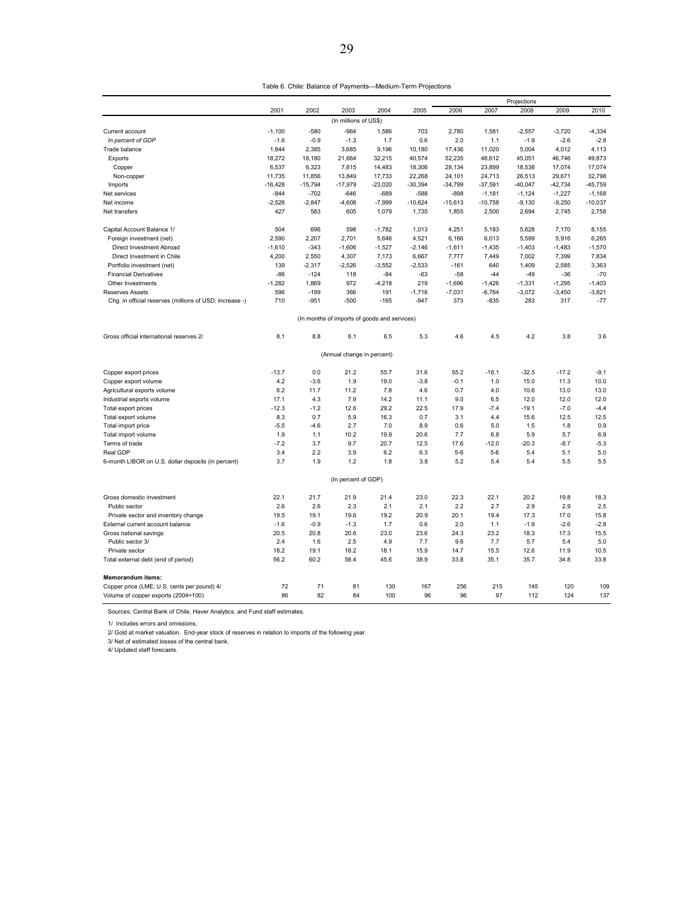|                                                         |           |           |                                              |           |           |           |           | Projections |           |           |
|---------------------------------------------------------|-----------|-----------|----------------------------------------------|-----------|-----------|-----------|-----------|-------------|-----------|-----------|
|                                                         | 2001      | 2002      | 2003                                         | 2004      | 2005      | 2006      | 2007      | 2008        | 2009      | 2010      |
|                                                         |           |           | (In millions of US\$)                        |           |           |           |           |             |           |           |
| Current account                                         | $-1,100$  | -580      | $-964$                                       | 1,586     | 703       | 2,780     | 1,581     | $-2,557$    | $-3,720$  | $-4,334$  |
| In percent of GDP                                       | $-1.6$    | $-0.9$    | $-1.3$                                       | 1.7       | 0.6       | 2.0       | 1.1       | $-1.9$      | $-2.6$    | $-2.8$    |
| Trade balance                                           | 1,844     | 2,385     | 3,685                                        | 9,196     | 10,180    | 17,436    | 11,020    | 5,004       | 4,012     | 4,113     |
| Exports                                                 | 18,272    | 18,180    | 21,664                                       | 32,215    | 40,574    | 52,235    | 48,612    | 45,051      | 46,746    | 49,873    |
| Copper                                                  | 6,537     | 6,323     | 7,815                                        | 14,483    | 18,306    | 28,134    | 23,899    | 18,538      | 17,074    | 17,074    |
| Non-copper                                              | 11,735    | 11,856    | 13,849                                       | 17,733    | 22,268    | 24,101    | 24,713    | 26,513      | 29,671    | 32,798    |
| Imports                                                 | $-16,428$ | $-15,794$ | $-17,979$                                    | $-23,020$ | $-30,394$ | $-34,799$ | $-37,591$ | $-40,047$   | $-42,734$ | $-45,759$ |
| Net services                                            | $-844$    | $-702$    | $-646$                                       | $-689$    | $-588$    | $-898$    | $-1,181$  | $-1,124$    | $-1,227$  | $-1,168$  |
| Net income                                              | $-2,526$  | $-2,847$  | $-4,608$                                     | $-7,999$  | $-10,624$ | $-15,613$ | $-10,758$ | $-9,130$    | $-9,250$  | $-10,037$ |
| Net transfers                                           | 427       | 583       | 605                                          | 1,079     | 1,735     | 1,855     | 2,500     | 2,694       | 2,745     | 2,758     |
| Capital Account Balance 1/                              | 504       | 696       | 598                                          | $-1,782$  | 1,013     | 4,251     | 5,183     | 5,628       | 7,170     | 8,155     |
| Foreign investment (net)                                | 2,590     | 2,207     | 2,701                                        | 5,646     | 4,521     | 6,166     | 6,013     | 5,599       | 5,916     | 6,265     |
| Direct Investment Abroad                                | $-1,610$  | $-343$    | $-1,606$                                     | $-1,527$  | $-2,146$  | $-1,611$  | $-1,435$  | $-1,403$    | $-1,483$  | $-1,570$  |
| Direct Investment in Chile                              | 4,200     | 2,550     | 4,307                                        | 7,173     | 6,667     | 7,777     | 7,449     | 7,002       | 7,399     | 7,834     |
| Portfolio investment (net)                              | 139       | $-2.317$  | $-2,526$                                     | $-3.552$  | $-2,533$  | $-161$    | 640       | 1,409       | 2.585     | 3.363     |
| <b>Financial Derivatives</b>                            | $-86$     | $-124$    | 118                                          | $-84$     | $-63$     | $-58$     | $-44$     | $-49$       | $-36$     | $-70$     |
| Other Investments                                       | $-1,282$  | 1,869     | 972                                          | $-4,218$  | 219       | $-1,696$  | $-1,426$  | $-1,331$    | $-1,295$  | $-1,403$  |
| Reserves Assets                                         | 596       | $-199$    | 366                                          | 191       | $-1,716$  | $-7,031$  | $-6,764$  | $-3,072$    | $-3,450$  | $-3,821$  |
| Chg. in official reserves (millions of USD, increase -) | 710       | $-951$    | $-500$                                       | $-165$    | $-947$    | 373       | $-835$    | 283         | 317       | $-77$     |
|                                                         |           |           | (In months of imports of goods and services) |           |           |           |           |             |           |           |
| Gross official international reserves 2/                | 8.1       | 8.8       | 8.1                                          | 6.5       | 5.3       | 4.6       | 4.5       | 4.2         | 3.8       | 3.6       |
|                                                         |           |           | (Annual change in percent)                   |           |           |           |           |             |           |           |
| Copper export prices                                    | $-13.7$   | 0.0       | 21.2                                         | 55.7      | 31.6      | 55.2      | $-16.1$   | $-32.5$     | $-17.2$   | $-9.1$    |
| Copper export volume                                    | 4.2       | $-3.6$    | 1.9                                          | 19.0      | $-3.8$    | $-0.1$    | 1.0       | 15.0        | 11.3      | 10.0      |
| Agricultural exports volume                             | 6.2       | 11.7      | 11.2                                         | 7.8       | 4.6       | 0.7       | 4.0       | 10.6        | 13.0      | 13.0      |
| Industrial exports volume                               | 17.1      | 4.3       | 7.9                                          | 14.2      | 11.1      | 9.0       | 6.5       | 12.0        | 12.0      | 12.0      |
| Total export prices                                     | $-12.3$   | $-1.2$    | 12.6                                         | 29.2      | 22.5      | 17.9      | $-7.4$    | $-19.1$     | $-7.0$    | $-4.4$    |
| Total export volume                                     | 8.3       | 0.7       | 5.9                                          | 16.3      | 0.7       | 3.1       | 4.4       | 15.6        | 12.5      | 12.5      |
| Total import price                                      | $-5.5$    | $-4.6$    | 2.7                                          | 7.0       | 8.9       | 0.6       | 5.0       | 1.5         | 1.8       | 0.9       |
| Total import volume                                     | 1.9       | 1.1       | 10.2                                         | 19.9      | 20.6      | 7.7       | 6.8       | 5.9         | 5.7       | 6.9       |
| Terms of trade                                          | $-7.2$    | 3.7       | 9.7                                          | 20.7      | 12.5      | 17.6      | $-12.0$   | $-20.3$     | $-8.7$    | $-5.3$    |
| Real GDP                                                | 3.4       | 2.2       | 3.9                                          | 6.2       | 6.3       | $5-6$     | $5-6$     | 5.4         | 5.1       | 5.0       |
| 6-month LIBOR on U.S. dollar deposits (in percent)      | 3.7       | 1.9       | 1.2                                          | 1.8       | 3.8       | 5.2       | 5.4       | 5.4         | 5.5       | 5.5       |
|                                                         |           |           | (In percent of GDP)                          |           |           |           |           |             |           |           |
| Gross domestic investment                               | 22.1      | 21.7      | 21.9                                         | 21.4      | 23.0      | 22.3      | 22.1      | 20.2        | 19.8      | 18.3      |
| Public sector                                           | 2.6       | 2.6       | 2.3                                          | 2.1       | 2.1       | 2.2       | 2.7       | 2.9         | 2.9       | 2.5       |
| Private sector and inventory change                     | 19.5      | 19.1      | 19.6                                         | 19.2      | 20.9      | 20.1      | 19.4      | 17.3        | 17.0      | 15.8      |
| External current account balance                        | $-1.6$    | $-0.9$    | $-1.3$                                       | 1.7       | 0.6       | 2.0       | 1.1       | $-1.9$      | $-2.6$    | $-2.8$    |
| Gross national savings                                  | 20.5      | 20.8      | 20.6                                         | 23.0      | 23.6      | 24.3      | 23.2      | 18.3        | 17.3      | 15.5      |
| Public sector 3/                                        | 2.4       | 1.6       | 2.5                                          | 4.9       | 7.7       | 9.6       | 7.7       | 5.7         | 5.4       | 5.0       |
| Private sector                                          | 18.2      | 19.1      | 18.2                                         | 18.1      | 15.9      | 14.7      | 15.5      | 12.6        | 11.9      | 10.5      |
| Total external debt (end of period)                     | 56.2      | 60.2      | 58.4                                         | 45.6      | 38.9      | 33.8      | 35.1      | 35.7        | 34.8      | 33.8      |
| Memorandum items:                                       |           |           |                                              |           |           |           |           |             |           |           |
| Copper price (LME; U.S. cents per pound) 4/             | 72        | 71        | 81                                           | 130       | 167       | 256       | 215       | 145         | 120       | 109       |
| Volume of copper exports (2004=100)                     | 86        | 82        | 84                                           | 100       | 96        | 96        | 97        | 112         | 124       | 137       |

Sources: Central Bank of Chile, Haver Analytics, and Fund staff estimates.

1/ Includes errors and omissions.

2/ Gold at market valuation. End-year stock of reserves in relation to imports of the following year.

3/ Net of estimated losses of the central bank. 4/ Updated staff forecasts.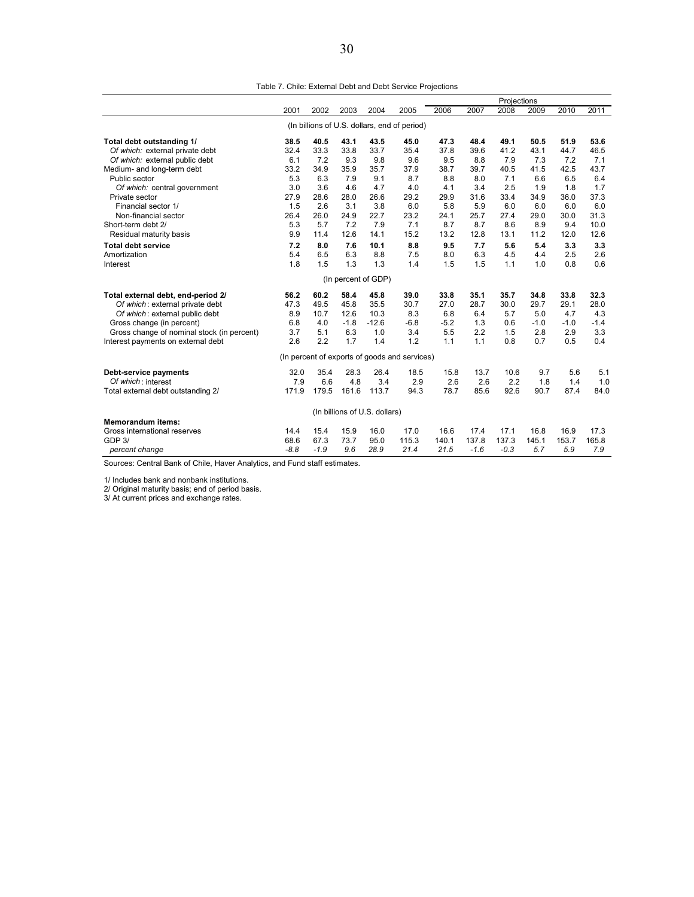Table 7. Chile: External Debt and Debt Service Projections

|                                            |        |        |        |                               |                                               |        |        | Projections |        |        |        |
|--------------------------------------------|--------|--------|--------|-------------------------------|-----------------------------------------------|--------|--------|-------------|--------|--------|--------|
|                                            | 2001   | 2002   | 2003   | 2004                          | 2005                                          | 2006   | 2007   | 2008        | 2009   | 2010   | 2011   |
|                                            |        |        |        |                               | (In billions of U.S. dollars, end of period)  |        |        |             |        |        |        |
|                                            |        |        |        |                               |                                               |        |        |             |        |        |        |
| Total debt outstanding 1/                  | 38.5   | 40.5   | 43.1   | 43.5                          | 45.0                                          | 47.3   | 48.4   | 49.1        | 50.5   | 51.9   | 53.6   |
| Of which: external private debt            | 32.4   | 33.3   | 33.8   | 33.7                          | 35.4                                          | 37.8   | 39.6   | 41.2        | 43.1   | 44.7   | 46.5   |
| Of which: external public debt             | 6.1    | 7.2    | 9.3    | 9.8                           | 9.6                                           | 9.5    | 8.8    | 7.9         | 7.3    | 7.2    | 7.1    |
| Medium- and long-term debt                 | 33.2   | 34.9   | 35.9   | 35.7                          | 37.9                                          | 38.7   | 39.7   | 40.5        | 41.5   | 42.5   | 43.7   |
| Public sector                              | 5.3    | 6.3    | 7.9    | 9.1                           | 8.7                                           | 8.8    | 8.0    | 7.1         | 6.6    | 6.5    | 6.4    |
| Of which: central government               | 3.0    | 3.6    | 4.6    | 4.7                           | 4.0                                           | 4.1    | 3.4    | 2.5         | 1.9    | 1.8    | 1.7    |
| Private sector                             | 27.9   | 28.6   | 28.0   | 26.6                          | 29.2                                          | 29.9   | 31.6   | 33.4        | 34.9   | 36.0   | 37.3   |
| Financial sector 1/                        | 1.5    | 2.6    | 3.1    | 3.8                           | 6.0                                           | 5.8    | 5.9    | 6.0         | 6.0    | 6.0    | 6.0    |
| Non-financial sector                       | 26.4   | 26.0   | 24.9   | 22.7                          | 23.2                                          | 24.1   | 25.7   | 27.4        | 29.0   | 30.0   | 31.3   |
| Short-term debt 2/                         | 5.3    | 5.7    | 7.2    | 7.9                           | 7.1                                           | 8.7    | 8.7    | 8.6         | 8.9    | 9.4    | 10.0   |
| Residual maturity basis                    | 9.9    | 11.4   | 12.6   | 14.1                          | 15.2                                          | 13.2   | 12.8   | 13.1        | 11.2   | 12.0   | 12.6   |
| <b>Total debt service</b>                  | 7.2    | 8.0    | 7.6    | 10.1                          | 8.8                                           | 9.5    | 7.7    | 5.6         | 5.4    | 3.3    | 3.3    |
| Amortization                               | 5.4    | 6.5    | 6.3    | 8.8                           | 7.5                                           | 8.0    | 6.3    | 4.5         | 4.4    | 2.5    | 2.6    |
| Interest                                   | 1.8    | 1.5    | 1.3    | 1.3                           | 1.4                                           | 1.5    | 1.5    | 1.1         | 1.0    | 0.8    | 0.6    |
|                                            |        |        |        | (In percent of GDP)           |                                               |        |        |             |        |        |        |
| Total external debt, end-period 2/         | 56.2   | 60.2   | 58.4   | 45.8                          | 39.0                                          | 33.8   | 35.1   | 35.7        | 34.8   | 33.8   | 32.3   |
| Of which: external private debt            | 47.3   | 49.5   | 45.8   | 35.5                          | 30.7                                          | 27.0   | 28.7   | 30.0        | 29.7   | 29.1   | 28.0   |
| Of which: external public debt             | 8.9    | 10.7   | 12.6   | 10.3                          | 8.3                                           | 6.8    | 6.4    | 5.7         | 5.0    | 4.7    | 4.3    |
| Gross change (in percent)                  | 6.8    | 4.0    | $-1.8$ | $-12.6$                       | $-6.8$                                        | $-5.2$ | 1.3    | 0.6         | $-1.0$ | $-1.0$ | $-1.4$ |
| Gross change of nominal stock (in percent) | 3.7    | 5.1    | 6.3    | 1.0                           | 3.4                                           | 5.5    | 2.2    | 1.5         | 2.8    | 2.9    | 3.3    |
| Interest payments on external debt         | 2.6    | 2.2    | 1.7    | 1.4                           | 1.2                                           | 1.1    | 1.1    | 0.8         | 0.7    | 0.5    | 0.4    |
|                                            |        |        |        |                               | (In percent of exports of goods and services) |        |        |             |        |        |        |
| <b>Debt-service payments</b>               | 32.0   | 35.4   | 28.3   | 26.4                          | 18.5                                          | 15.8   | 13.7   | 10.6        | 9.7    | 5.6    | 5.1    |
| Of which: interest                         | 7.9    | 6.6    | 4.8    | 3.4                           | 2.9                                           | 2.6    | 2.6    | 2.2         | 1.8    | 1.4    | 1.0    |
| Total external debt outstanding 2/         | 171.9  | 179.5  | 161.6  | 113.7                         | 94.3                                          | 78.7   | 85.6   | 92.6        | 90.7   | 87.4   | 84.0   |
|                                            |        |        |        |                               |                                               |        |        |             |        |        |        |
|                                            |        |        |        | (In billions of U.S. dollars) |                                               |        |        |             |        |        |        |
| <b>Memorandum items:</b>                   |        |        |        |                               |                                               |        |        |             |        |        |        |
| Gross international reserves               | 14.4   | 15.4   | 15.9   | 16.0                          | 17.0                                          | 16.6   | 17.4   | 17.1        | 16.8   | 16.9   | 17.3   |
| GDP 3/                                     | 68.6   | 67.3   | 73.7   | 95.0                          | 115.3                                         | 140.1  | 137.8  | 137.3       | 145.1  | 153.7  | 165.8  |
| percent change                             | $-8.8$ | $-1.9$ | 9.6    | 28.9                          | 21.4                                          | 21.5   | $-1.6$ | $-0.3$      | 5.7    | 5.9    | 7.9    |

Sources: Central Bank of Chile, Haver Analytics, and Fund staff estimates.

1/ Includes bank and nonbank institutions. 2/ Original maturity basis; end of period basis.

3/ At current prices and exchange rates.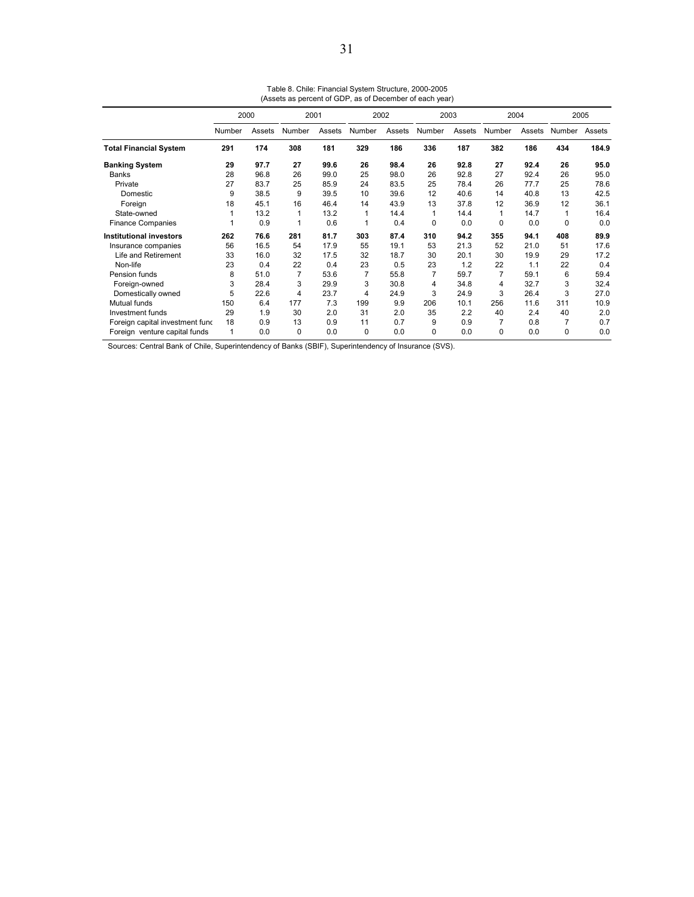|                                 | 2000   |        |                | 2001   |                | 2002   | 2003   |        |                | 2004   | 2005   |        |
|---------------------------------|--------|--------|----------------|--------|----------------|--------|--------|--------|----------------|--------|--------|--------|
|                                 | Number | Assets | Number         | Assets | Number         | Assets | Number | Assets | Number         | Assets | Number | Assets |
| <b>Total Financial System</b>   | 291    | 174    | 308            | 181    | 329            | 186    | 336    | 187    | 382            | 186    | 434    | 184.9  |
| <b>Banking System</b>           | 29     | 97.7   | 27             | 99.6   | 26             | 98.4   | 26     | 92.8   | 27             | 92.4   | 26     | 95.0   |
| <b>Banks</b>                    | 28     | 96.8   | 26             | 99.0   | 25             | 98.0   | 26     | 92.8   | 27             | 92.4   | 26     | 95.0   |
| Private                         | 27     | 83.7   | 25             | 85.9   | 24             | 83.5   | 25     | 78.4   | 26             | 77.7   | 25     | 78.6   |
| Domestic                        | 9      | 38.5   | 9              | 39.5   | 10             | 39.6   | 12     | 40.6   | 14             | 40.8   | 13     | 42.5   |
| Foreign                         | 18     | 45.1   | 16             | 46.4   | 14             | 43.9   | 13     | 37.8   | 12             | 36.9   | 12     | 36.1   |
| State-owned                     |        | 13.2   | 1              | 13.2   | 1              | 14.4   | 1      | 14.4   | $\mathbf{1}$   | 14.7   | 1      | 16.4   |
| <b>Finance Companies</b>        |        | 0.9    | 1              | 0.6    | 1              | 0.4    | 0      | 0.0    | 0              | 0.0    | 0      | 0.0    |
| <b>Institutional investors</b>  | 262    | 76.6   | 281            | 81.7   | 303            | 87.4   | 310    | 94.2   | 355            | 94.1   | 408    | 89.9   |
| Insurance companies             | 56     | 16.5   | 54             | 17.9   | 55             | 19.1   | 53     | 21.3   | 52             | 21.0   | 51     | 17.6   |
| Life and Retirement             | 33     | 16.0   | 32             | 17.5   | 32             | 18.7   | 30     | 20.1   | 30             | 19.9   | 29     | 17.2   |
| Non-life                        | 23     | 0.4    | 22             | 0.4    | 23             | 0.5    | 23     | 1.2    | 22             | 1.1    | 22     | 0.4    |
| Pension funds                   | 8      | 51.0   | $\overline{7}$ | 53.6   | $\overline{7}$ | 55.8   | 7      | 59.7   | $\overline{7}$ | 59.1   | 6      | 59.4   |
| Foreign-owned                   | 3      | 28.4   | 3              | 29.9   | 3              | 30.8   | 4      | 34.8   | 4              | 32.7   | 3      | 32.4   |
| Domestically owned              | 5      | 22.6   | 4              | 23.7   | 4              | 24.9   | 3      | 24.9   | 3              | 26.4   | 3      | 27.0   |
| Mutual funds                    | 150    | 6.4    | 177            | 7.3    | 199            | 9.9    | 206    | 10.1   | 256            | 11.6   | 311    | 10.9   |
| Investment funds                | 29     | 1.9    | 30             | 2.0    | 31             | 2.0    | 35     | 2.2    | 40             | 2.4    | 40     | 2.0    |
| Foreign capital investment fund | 18     | 0.9    | 13             | 0.9    | 11             | 0.7    | 9      | 0.9    | 7              | 0.8    | 7      | 0.7    |
| Foreign venture capital funds   | 1      | 0.0    | $\Omega$       | 0.0    | 0              | 0.0    | 0      | 0.0    | 0              | 0.0    | 0      | 0.0    |

Table 8. Chile: Financial System Structure, 2000-2005 (Assets as percent of GDP, as of December of each year)

Sources: Central Bank of Chile, Superintendency of Banks (SBIF), Superintendency of Insurance (SVS).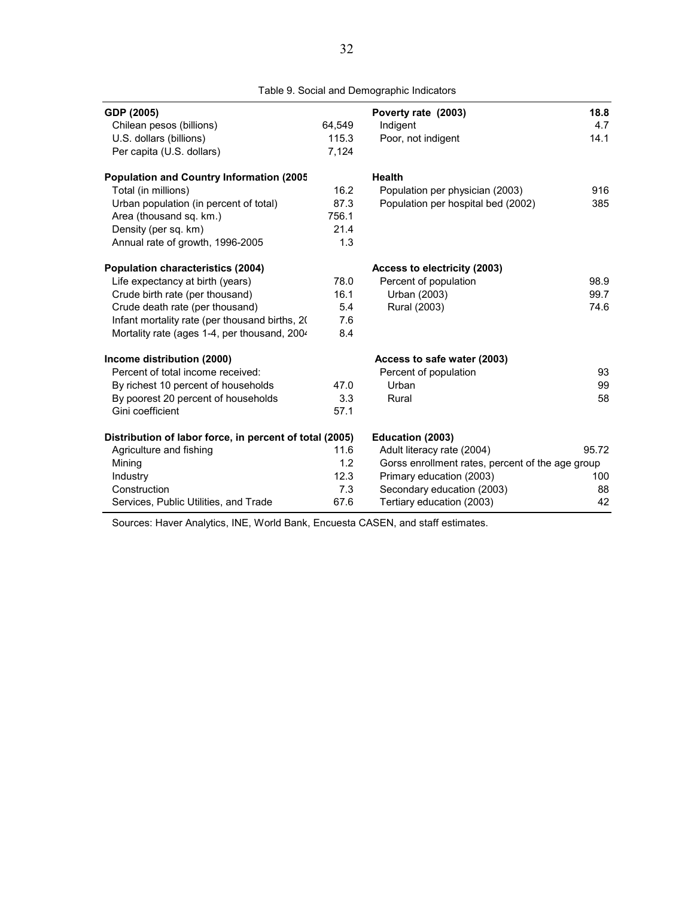| GDP (2005)                                              |        | Poverty rate (2003)                              | 18.8  |
|---------------------------------------------------------|--------|--------------------------------------------------|-------|
| Chilean pesos (billions)                                | 64,549 | Indigent                                         | 4.7   |
| U.S. dollars (billions)                                 | 115.3  | Poor, not indigent                               | 14.1  |
| Per capita (U.S. dollars)                               | 7,124  |                                                  |       |
| <b>Population and Country Information (2005</b>         |        | <b>Health</b>                                    |       |
| Total (in millions)                                     | 16.2   | Population per physician (2003)                  | 916   |
| Urban population (in percent of total)                  | 87.3   | Population per hospital bed (2002)               | 385   |
| Area (thousand sq. km.)                                 | 756.1  |                                                  |       |
| Density (per sq. km)                                    | 21.4   |                                                  |       |
| Annual rate of growth, 1996-2005                        | 1.3    |                                                  |       |
| <b>Population characteristics (2004)</b>                |        | Access to electricity (2003)                     |       |
| Life expectancy at birth (years)                        | 78.0   | Percent of population                            | 98.9  |
| Crude birth rate (per thousand)                         | 16.1   | Urban (2003)                                     | 99.7  |
| Crude death rate (per thousand)                         | 5.4    | Rural (2003)                                     | 74.6  |
| Infant mortality rate (per thousand births, 20          | 7.6    |                                                  |       |
| Mortality rate (ages 1-4, per thousand, 2004            | 8.4    |                                                  |       |
| Income distribution (2000)                              |        | Access to safe water (2003)                      |       |
| Percent of total income received:                       |        | Percent of population                            | 93    |
| By richest 10 percent of households                     | 47.0   | Urban                                            | 99    |
| By poorest 20 percent of households                     | 3.3    | Rural                                            | 58    |
| Gini coefficient                                        | 57.1   |                                                  |       |
| Distribution of labor force, in percent of total (2005) |        | Education (2003)                                 |       |
| Agriculture and fishing                                 | 11.6   | Adult literacy rate (2004)                       | 95.72 |
| Mining                                                  | 1.2    | Gorss enrollment rates, percent of the age group |       |
| Industry                                                | 12.3   | Primary education (2003)                         | 100   |
| Construction                                            | 7.3    | Secondary education (2003)                       | 88    |
| Services, Public Utilities, and Trade                   | 67.6   | Tertiary education (2003)                        | 42    |

Table 9. Social and Demographic Indicators

Sources: Haver Analytics, INE, World Bank, Encuesta CASEN, and staff estimates.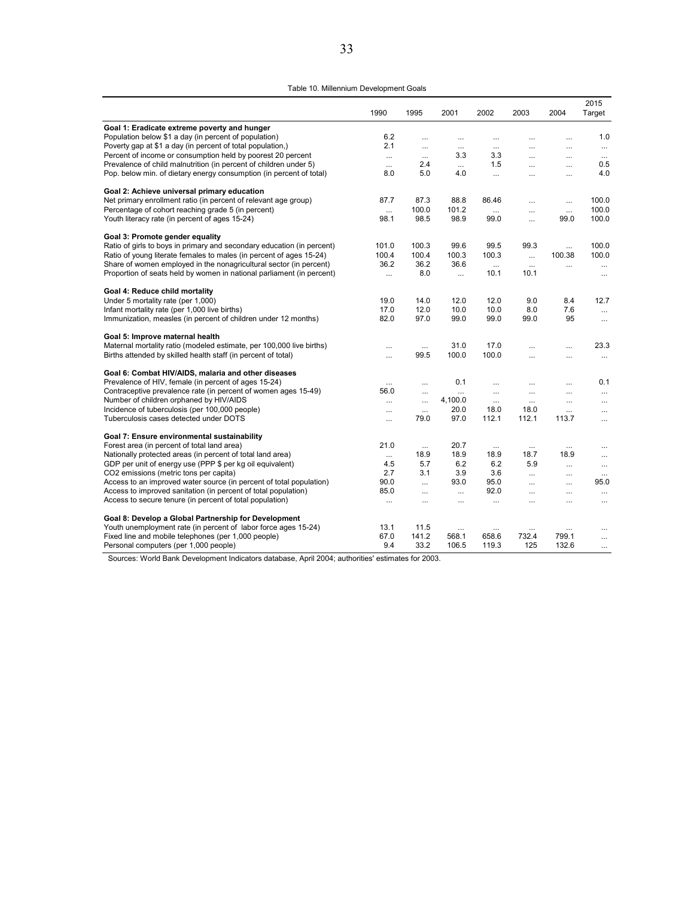Table 10. Millennium Development Goals

|                                                                        | 1990     | 1995      | 2001     | 2002      | 2003      | 2004                 | 2015<br>Target       |
|------------------------------------------------------------------------|----------|-----------|----------|-----------|-----------|----------------------|----------------------|
| Goal 1: Eradicate extreme poverty and hunger                           |          |           |          |           |           |                      |                      |
| Population below \$1 a day (in percent of population)                  | 6.2      | $\cdots$  | $\cdots$ | $\cdots$  | $\cdots$  | $\cdots$             | 1.0                  |
| Poverty gap at \$1 a day (in percent of total population,)             | 2.1      |           | $\ldots$ | $\cdots$  |           | $\cdots$             | $\cdots$             |
| Percent of income or consumption held by poorest 20 percent            | $\ldots$ | $\cdots$  | 3.3      | 3.3       | $\ddotsc$ | $\cdots$             | $\cdots$             |
| Prevalence of child malnutrition (in percent of children under 5)      | $\cdots$ | 2.4       | $\cdots$ | 1.5       | $\cdots$  | $\cdots$             | 0.5                  |
| Pop. below min. of dietary energy consumption (in percent of total)    | 8.0      | 5.0       | 4.0      | $\cdots$  | $\ddotsc$ | $\cdots$             | 4.0                  |
| Goal 2: Achieve universal primary education                            |          |           |          |           |           |                      |                      |
| Net primary enrollment ratio (in percent of relevant age group)        | 87.7     | 87.3      | 88.8     | 86.46     | $\cdots$  | $\cdots$             | 100.0                |
| Percentage of cohort reaching grade 5 (in percent)                     | $\cdots$ | 100.0     | 101.2    | $\cdots$  | $\cdots$  | $\cdots$             | 100.0                |
| Youth literacy rate (in percent of ages 15-24)                         | 98.1     | 98.5      | 98.9     | 99.0      | $\cdots$  | 99.0                 | 100.0                |
| Goal 3: Promote gender equality                                        |          |           |          |           |           |                      |                      |
| Ratio of girls to boys in primary and secondary education (in percent) | 101.0    | 100.3     | 99.6     | 99.5      | 99.3      | $\cdots$             | 100.0                |
| Ratio of young literate females to males (in percent of ages 15-24)    | 100.4    | 100.4     | 100.3    | 100.3     | $\cdots$  | 100.38               | 100.0                |
| Share of women employed in the nonagricultural sector (in percent)     | 36.2     | 36.2      | 36.6     | $\cdots$  | $\cdots$  | $\cdots$             | $\cdots$             |
| Proportion of seats held by women in national parliament (in percent)  | $\cdots$ | 8.0       | $\cdots$ | 10.1      | 10.1      |                      | $\cdots$             |
| Goal 4: Reduce child mortality                                         |          |           |          |           |           |                      |                      |
| Under 5 mortality rate (per 1,000)                                     | 19.0     | 14.0      | 12.0     | 12.0      | 9.0       | 8.4                  | 12.7                 |
| Infant mortality rate (per 1,000 live births)                          | 17.0     | 12.0      | 10.0     | 10.0      | 8.0       | 7.6                  | $\cdots$             |
| Immunization, measles (in percent of children under 12 months)         | 82.0     | 97.0      | 99.0     | 99.0      | 99.0      | 95                   | $\cdots$             |
| Goal 5: Improve maternal health                                        |          |           |          |           |           |                      |                      |
| Maternal mortality ratio (modeled estimate, per 100,000 live births)   |          | $\cdots$  | 31.0     | 17.0      | $\cdots$  | $\cdots$             | 23.3                 |
| Births attended by skilled health staff (in percent of total)          |          | 99.5      | 100.0    | 100.0     | $\cdots$  | $\cdots$             | $\cdots$             |
| Goal 6: Combat HIV/AIDS, malaria and other diseases                    |          |           |          |           |           |                      |                      |
| Prevalence of HIV, female (in percent of ages 15-24)                   | $\cdots$ |           | 0.1      | $\cdots$  | $\ddotsc$ | $\cdots$             | 0.1                  |
| Contraceptive prevalence rate (in percent of women ages 15-49)         | 56.0     | $\cdots$  | $\cdots$ | $\ddotsc$ | $\cdots$  | $\ddotsc$            | $\cdots$             |
| Number of children orphaned by HIV/AIDS                                | $\cdots$ | $\cdots$  | 4,100.0  | $\cdots$  | $\cdots$  | $\cdots$             | $\cdots$             |
| Incidence of tuberculosis (per 100,000 people)                         | $\cdots$ | $\cdots$  | 20.0     | 18.0      | 18.0      | $\cdots$             | $\cdots$             |
| Tuberculosis cases detected under DOTS                                 | $\cdots$ | 79.0      | 97.0     | 112.1     | 112.1     | 113.7                | $\cdots$             |
| Goal 7: Ensure environmental sustainability                            |          |           |          |           |           |                      |                      |
| Forest area (in percent of total land area)                            | 21.0     | $\cdots$  | 20.7     | $\cdots$  | $\cdots$  | $\cdots$             | $\cdots$             |
| Nationally protected areas (in percent of total land area)             | $\cdots$ | 18.9      | 18.9     | 18.9      | 18.7      | 18.9                 | $\ddot{\phantom{a}}$ |
| GDP per unit of energy use (PPP \$ per kg oil equivalent)              | 4.5      | 5.7       | 6.2      | 6.2       | 5.9       | $\ddot{\phantom{a}}$ | $\cdots$             |
| CO2 emissions (metric tons per capita)                                 | 2.7      | 3.1       | 3.9      | 3.6       | $\cdots$  | $\cdots$             | $\cdots$             |
| Access to an improved water source (in percent of total population)    | 90.0     | $\ddotsc$ | 93.0     | 95.0      | $\sim$    | $\ddotsc$            | 95.0                 |
| Access to improved sanitation (in percent of total population)         | 85.0     | $\cdots$  | $\cdots$ | 92.0      | $\cdots$  | $\cdots$             | $\cdots$             |
| Access to secure tenure (in percent of total population)               | $\cdots$ |           | $\cdots$ | $\cdots$  | $\cdots$  | $\cdots$             | $\cdots$             |
| Goal 8: Develop a Global Partnership for Development                   |          |           |          |           |           |                      |                      |
| Youth unemployment rate (in percent of labor force ages 15-24)         | 13.1     | 11.5      | $\cdots$ | $\cdots$  | $\cdots$  | $\cdots$             |                      |
| Fixed line and mobile telephones (per 1,000 people)                    | 67.0     | 141.2     | 568.1    | 658.6     | 732.4     | 799.1                | $\cdots$             |
| Personal computers (per 1,000 people)                                  | 9.4      | 33.2      | 106.5    | 119.3     | 125       | 132.6                | $\cdots$             |

Sources: World Bank Development Indicators database, April 2004; authorities' estimates for 2003.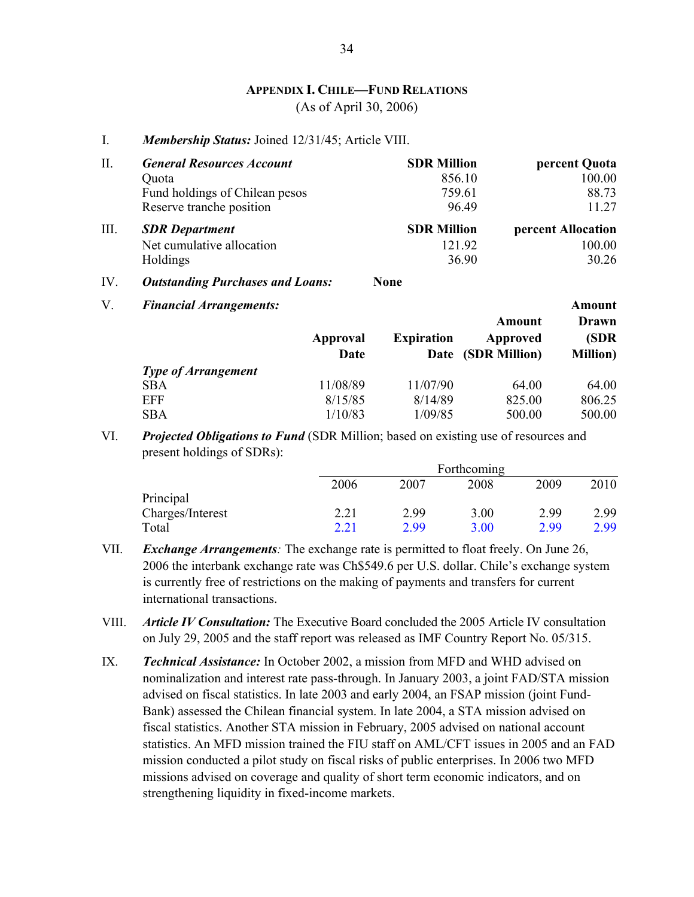#### **APPENDIX I. CHILE—FUND RELATIONS** (As of April 30, 2006)

I. *Membership Status:* Joined 12/31/45; Article VIII.

| Π.   | <b>General Resources Account</b>        | <b>SDR Million</b> | percent Quota      |
|------|-----------------------------------------|--------------------|--------------------|
|      | Quota                                   | 856.10             | 100.00             |
|      | Fund holdings of Chilean pesos          | 759.61             | 88.73              |
|      | Reserve tranche position                | 96.49              | 11.27              |
| III. | <b>SDR</b> Department                   | <b>SDR Million</b> | percent Allocation |
|      | Net cumulative allocation               | 121.92             | 100.00             |
|      | Holdings                                | 36.90              | 30.26              |
| IV.  | <b>Outstanding Purchases and Loans:</b> | <b>None</b>        |                    |

| V. | <b>Financial Arrangements:</b> |                  |                   |                                          | Amount                            |
|----|--------------------------------|------------------|-------------------|------------------------------------------|-----------------------------------|
|    |                                | Approval<br>Date | <b>Expiration</b> | Amount<br>Approved<br>Date (SDR Million) | Drawn<br>(SDR<br><b>Million</b> ) |
|    | <b>Type of Arrangement</b>     |                  |                   |                                          |                                   |
|    | <b>SBA</b>                     | 11/08/89         | 11/07/90          | 64.00                                    | 64.00                             |
|    | EFF                            | 8/15/85          | 8/14/89           | 825.00                                   | 806.25                            |
|    | <b>SBA</b>                     | 1/10/83          | 1/09/85           | 500.00                                   | 500.00                            |

VI. *Projected Obligations to Fund* (SDR Million; based on existing use of resources and present holdings of SDRs):

|                  |      |      | Forthcoming |      |      |
|------------------|------|------|-------------|------|------|
|                  | 2006 | 2007 | 2008        | 2009 | 2010 |
| Principal        |      |      |             |      |      |
| Charges/Interest | 2.21 | 2.99 | 3.00        | 2.99 | 2.99 |
| Total            | 2.21 | 2.99 | 3.00        | 2.99 | 2.99 |

- VII. *Exchange Arrangements:* The exchange rate is permitted to float freely. On June 26, 2006 the interbank exchange rate was Ch\$549.6 per U.S. dollar. Chile's exchange system is currently free of restrictions on the making of payments and transfers for current international transactions.
- VIII. *Article IV Consultation:* The Executive Board concluded the 2005 Article IV consultation on July 29, 2005 and the staff report was released as IMF Country Report No. 05/315.
- IX. *Technical Assistance:* In October 2002, a mission from MFD and WHD advised on nominalization and interest rate pass-through. In January 2003, a joint FAD/STA mission advised on fiscal statistics. In late 2003 and early 2004, an FSAP mission (joint Fund-Bank) assessed the Chilean financial system. In late 2004, a STA mission advised on fiscal statistics. Another STA mission in February, 2005 advised on national account statistics. An MFD mission trained the FIU staff on AML/CFT issues in 2005 and an FAD mission conducted a pilot study on fiscal risks of public enterprises. In 2006 two MFD missions advised on coverage and quality of short term economic indicators, and on strengthening liquidity in fixed-income markets.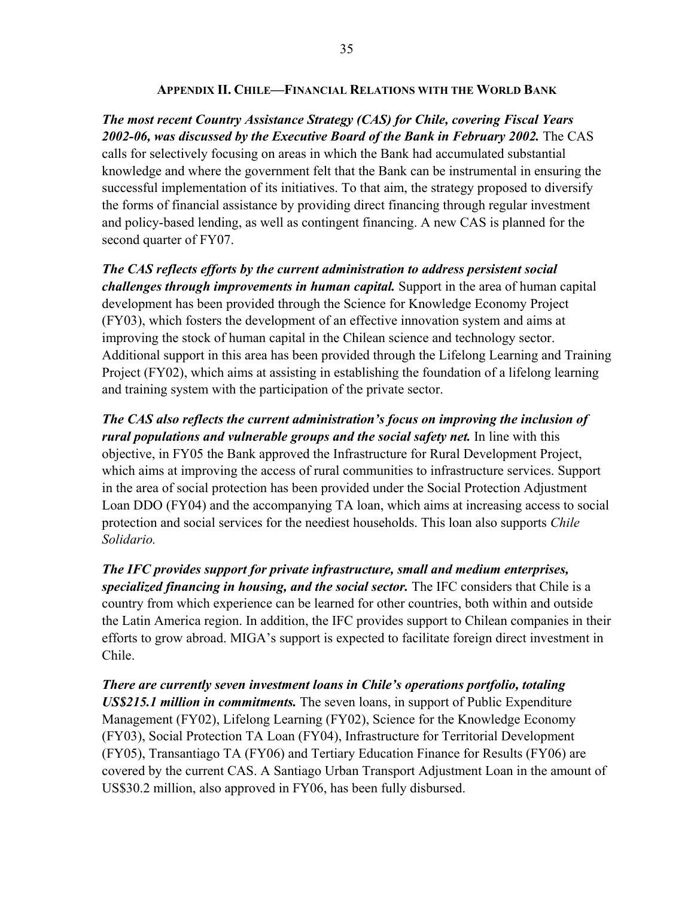#### **APPENDIX II. CHILE—FINANCIAL RELATIONS WITH THE WORLD BANK**

#### *The most recent Country Assistance Strategy (CAS) for Chile, covering Fiscal Years 2002-06, was discussed by the Executive Board of the Bank in February 2002.* The CAS

calls for selectively focusing on areas in which the Bank had accumulated substantial knowledge and where the government felt that the Bank can be instrumental in ensuring the successful implementation of its initiatives. To that aim, the strategy proposed to diversify the forms of financial assistance by providing direct financing through regular investment and policy-based lending, as well as contingent financing. A new CAS is planned for the second quarter of FY07.

*The CAS reflects efforts by the current administration to address persistent social challenges through improvements in human capital.* Support in the area of human capital development has been provided through the Science for Knowledge Economy Project (FY03), which fosters the development of an effective innovation system and aims at improving the stock of human capital in the Chilean science and technology sector. Additional support in this area has been provided through the Lifelong Learning and Training Project (FY02), which aims at assisting in establishing the foundation of a lifelong learning and training system with the participation of the private sector.

*The CAS also reflects the current administration's focus on improving the inclusion of rural populations and vulnerable groups and the social safety net.* In line with this objective, in FY05 the Bank approved the Infrastructure for Rural Development Project, which aims at improving the access of rural communities to infrastructure services. Support in the area of social protection has been provided under the Social Protection Adjustment Loan DDO (FY04) and the accompanying TA loan, which aims at increasing access to social protection and social services for the neediest households. This loan also supports *Chile Solidario.*

*The IFC provides support for private infrastructure, small and medium enterprises, specialized financing in housing, and the social sector.* The IFC considers that Chile is a country from which experience can be learned for other countries, both within and outside the Latin America region. In addition, the IFC provides support to Chilean companies in their efforts to grow abroad. MIGA's support is expected to facilitate foreign direct investment in Chile.

*There are currently seven investment loans in Chile's operations portfolio, totaling US\$215.1 million in commitments.* The seven loans, in support of Public Expenditure Management (FY02), Lifelong Learning (FY02), Science for the Knowledge Economy (FY03), Social Protection TA Loan (FY04), Infrastructure for Territorial Development (FY05), Transantiago TA (FY06) and Tertiary Education Finance for Results (FY06) are covered by the current CAS. A Santiago Urban Transport Adjustment Loan in the amount of US\$30.2 million, also approved in FY06, has been fully disbursed.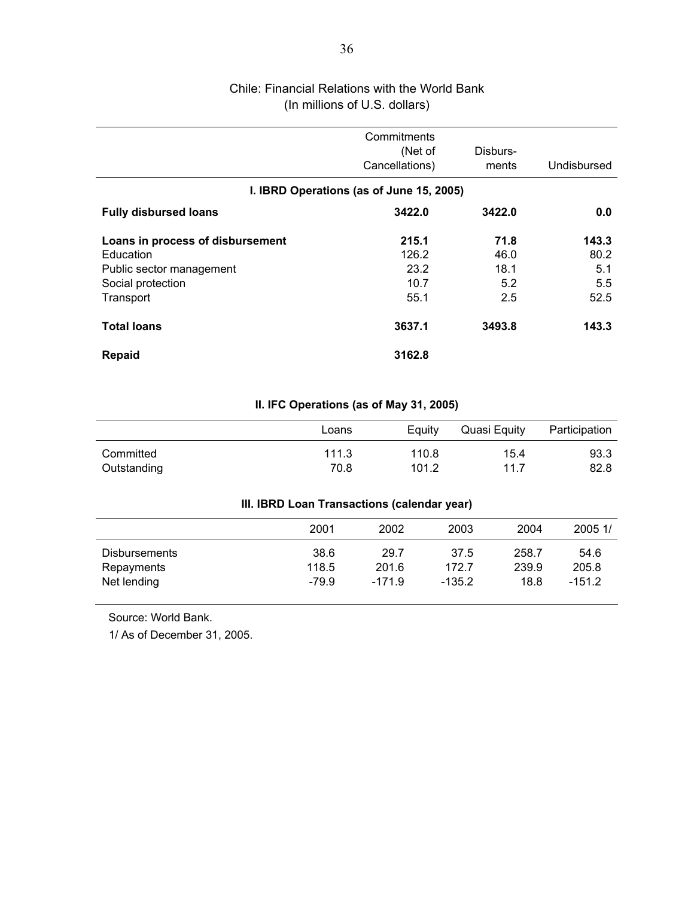# Chile: Financial Relations with the World Bank (In millions of U.S. dollars)

|                                                                                                             | Commitments<br>(Net of<br>Cancellations) | Disburs-<br>ments                  | Undisbursed                         |
|-------------------------------------------------------------------------------------------------------------|------------------------------------------|------------------------------------|-------------------------------------|
|                                                                                                             | I. IBRD Operations (as of June 15, 2005) |                                    |                                     |
| <b>Fully disbursed loans</b>                                                                                | 3422.0                                   | 3422.0                             | 0.0                                 |
| Loans in process of disbursement<br>Education<br>Public sector management<br>Social protection<br>Transport | 215.1<br>126.2<br>23.2<br>10.7<br>55.1   | 71.8<br>46.0<br>18.1<br>5.2<br>2.5 | 143.3<br>80.2<br>5.1<br>5.5<br>52.5 |
| <b>Total loans</b>                                                                                          | 3637.1                                   | 3493.8                             | 143.3                               |
| <b>Repaid</b>                                                                                               | 3162.8                                   |                                    |                                     |

#### **II. IFC Operations (as of May 31, 2005)**

|             | Loans | Eauity | Quasi Equity | Participation |
|-------------|-------|--------|--------------|---------------|
| Committed   | 111.3 | 110.8  | 15.4         | 93.3          |
| Outstanding | 70.8  | 101.2  | 11.7         | 82.8          |

#### **III. IBRD Loan Transactions (calendar year)**

|                             | 2001          | 2002          | 2003          | 2004           | 2005 1/       |
|-----------------------------|---------------|---------------|---------------|----------------|---------------|
| Disbursements<br>Repayments | 38.6<br>118.5 | 29.7<br>201.6 | 37.5<br>172.7 | 258.7<br>239.9 | 54.6<br>205.8 |
| Net lending                 | $-79.9$       | $-171.9$      | $-135.2$      | 18.8           | $-151.2$      |

Source: World Bank.

1/ As of December 31, 2005.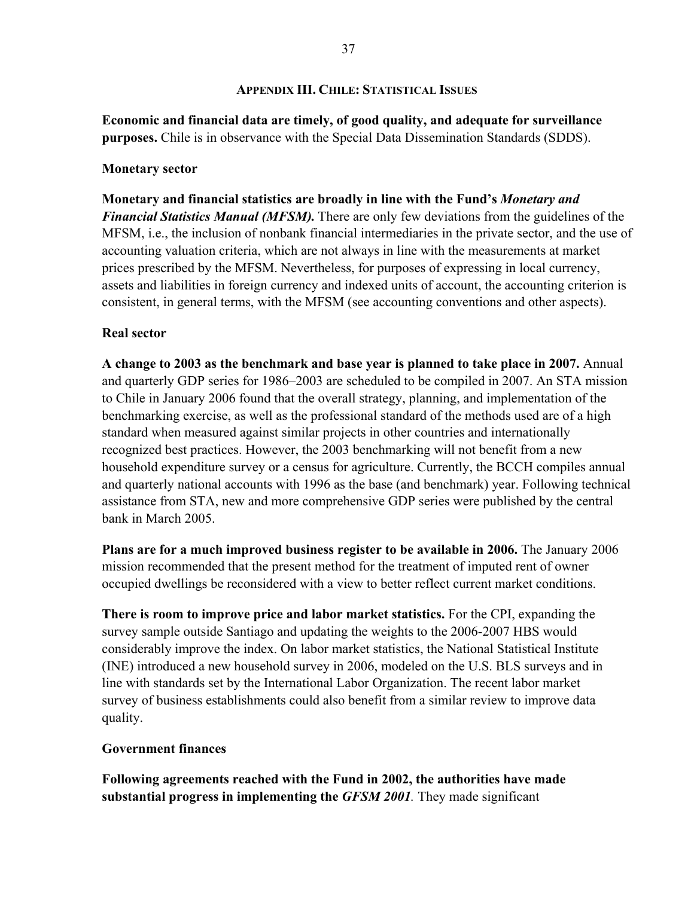#### **APPENDIX III. CHILE: STATISTICAL ISSUES**

**Economic and financial data are timely, of good quality, and adequate for surveillance purposes.** Chile is in observance with the Special Data Dissemination Standards (SDDS).

#### **Monetary sector**

**Monetary and financial statistics are broadly in line with the Fund's** *Monetary and Financial Statistics Manual (MFSM).* There are only few deviations from the guidelines of the MFSM, i.e., the inclusion of nonbank financial intermediaries in the private sector, and the use of accounting valuation criteria, which are not always in line with the measurements at market prices prescribed by the MFSM. Nevertheless, for purposes of expressing in local currency, assets and liabilities in foreign currency and indexed units of account, the accounting criterion is consistent, in general terms, with the MFSM (see accounting conventions and other aspects).

#### **Real sector**

**A change to 2003 as the benchmark and base year is planned to take place in 2007.** Annual and quarterly GDP series for 1986–2003 are scheduled to be compiled in 2007. An STA mission to Chile in January 2006 found that the overall strategy, planning, and implementation of the benchmarking exercise, as well as the professional standard of the methods used are of a high standard when measured against similar projects in other countries and internationally recognized best practices. However, the 2003 benchmarking will not benefit from a new household expenditure survey or a census for agriculture. Currently, the BCCH compiles annual and quarterly national accounts with 1996 as the base (and benchmark) year. Following technical assistance from STA, new and more comprehensive GDP series were published by the central bank in March 2005.

**Plans are for a much improved business register to be available in 2006.** The January 2006 mission recommended that the present method for the treatment of imputed rent of owner occupied dwellings be reconsidered with a view to better reflect current market conditions.

**There is room to improve price and labor market statistics.** For the CPI, expanding the survey sample outside Santiago and updating the weights to the 2006-2007 HBS would considerably improve the index. On labor market statistics, the National Statistical Institute (INE) introduced a new household survey in 2006, modeled on the U.S. BLS surveys and in line with standards set by the International Labor Organization. The recent labor market survey of business establishments could also benefit from a similar review to improve data quality.

#### **Government finances**

**Following agreements reached with the Fund in 2002, the authorities have made substantial progress in implementing the** *GFSM 2001.* They made significant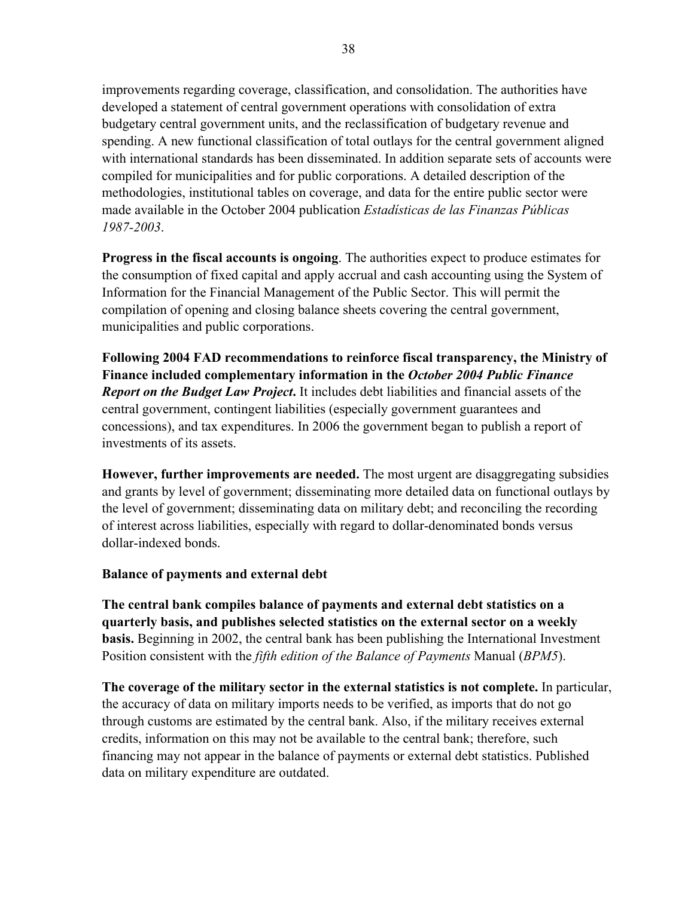improvements regarding coverage, classification, and consolidation. The authorities have developed a statement of central government operations with consolidation of extra budgetary central government units, and the reclassification of budgetary revenue and spending. A new functional classification of total outlays for the central government aligned with international standards has been disseminated. In addition separate sets of accounts were compiled for municipalities and for public corporations. A detailed description of the methodologies, institutional tables on coverage, and data for the entire public sector were made available in the October 2004 publication *Estadísticas de las Finanzas Públicas 1987-2003*.

**Progress in the fiscal accounts is ongoing**. The authorities expect to produce estimates for the consumption of fixed capital and apply accrual and cash accounting using the System of Information for the Financial Management of the Public Sector. This will permit the compilation of opening and closing balance sheets covering the central government, municipalities and public corporations.

**Following 2004 FAD recommendations to reinforce fiscal transparency, the Ministry of Finance included complementary information in the** *October 2004 Public Finance Report on the Budget Law Project***.** It includes debt liabilities and financial assets of the central government, contingent liabilities (especially government guarantees and concessions), and tax expenditures. In 2006 the government began to publish a report of investments of its assets.

**However, further improvements are needed.** The most urgent are disaggregating subsidies and grants by level of government; disseminating more detailed data on functional outlays by the level of government; disseminating data on military debt; and reconciling the recording of interest across liabilities, especially with regard to dollar-denominated bonds versus dollar-indexed bonds.

## **Balance of payments and external debt**

**The central bank compiles balance of payments and external debt statistics on a quarterly basis, and publishes selected statistics on the external sector on a weekly basis.** Beginning in 2002, the central bank has been publishing the International Investment Position consistent with the *fifth edition of the Balance of Payments* Manual (*BPM5*).

**The coverage of the military sector in the external statistics is not complete.** In particular, the accuracy of data on military imports needs to be verified, as imports that do not go through customs are estimated by the central bank. Also, if the military receives external credits, information on this may not be available to the central bank; therefore, such financing may not appear in the balance of payments or external debt statistics. Published data on military expenditure are outdated.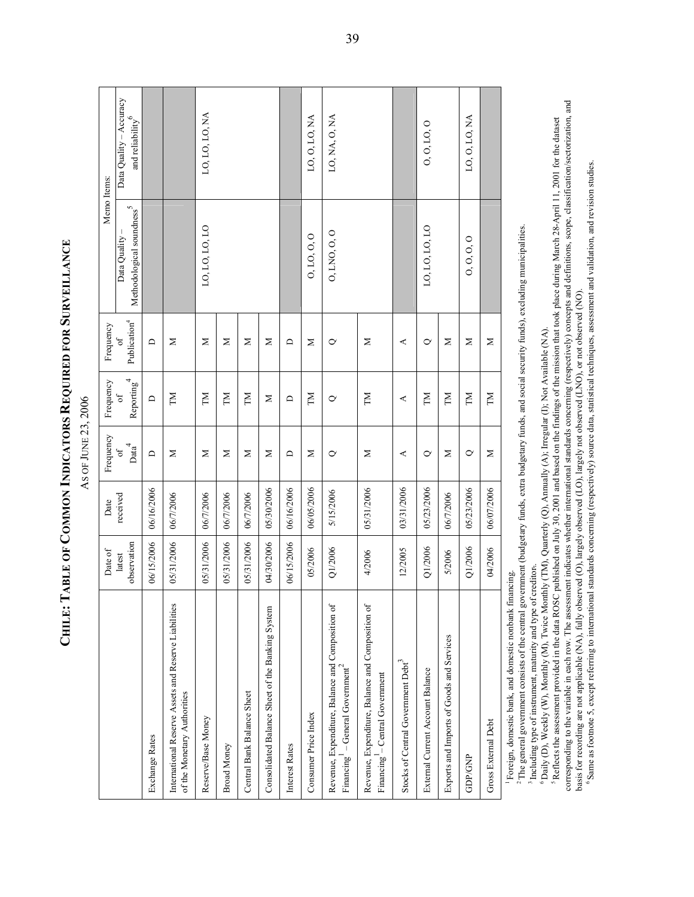CHILE: TABLE OF COMMON INDICATORS REQUIRED FOR SURVEILLANCE **REQUIRED FOR**  AS OF JUNE 23, 2006 AS OF JUNE 23, 2006

**COMMON INDICATORS** 

**SURVEILLANCE**

**CHILE: TABLE OF** 

|                                                                                                 | Date of               | Date       | Frequency               | Frequency                   | Frequency                              | Memo Items:                                           |                                                |
|-------------------------------------------------------------------------------------------------|-----------------------|------------|-------------------------|-----------------------------|----------------------------------------|-------------------------------------------------------|------------------------------------------------|
|                                                                                                 |                       |            |                         |                             |                                        |                                                       |                                                |
|                                                                                                 | observation<br>latest | received   | Data $^4$<br>$\sigma$ f | Reporting <sup>4</sup><br>ð | Publication <sup>4</sup><br>$\sigma$ f | Methodological soundness <sup>5</sup><br>Data Quality | Data Quality - Accuracy<br>and reliability $6$ |
| Exchange Rates                                                                                  | 06/15/2006            | 06/16/2006 | $\Box$                  | $\Box$                      | ≏                                      |                                                       |                                                |
| International Reserve Assets and Reserve Liabilities<br>of the Monetary Authorities             | 05/31/2006            | 06/7/2006  | Σ                       | ΣN                          | Σ                                      |                                                       |                                                |
| Reserve/Base Money                                                                              | 05/31/2006            | 06/7/2006  | Σ                       | M                           | Σ                                      | LO, LO, LO, LO                                        | LO, LO, LO, NA                                 |
| <b>Broad Money</b>                                                                              | 05/31/2006            | 06/7/2006  | Σ                       | NL                          | Σ                                      |                                                       |                                                |
| Central Bank Balance Sheet                                                                      | 05/31/2006            | 06/7/2006  | Σ                       | M                           | Σ                                      |                                                       |                                                |
| Consolidated Balance Sheet of the Banking System                                                | 04/30/2006            | 05/30/2006 | Σ                       | Σ                           | Σ                                      |                                                       |                                                |
| Interest Rates                                                                                  | 06/15/2006            | 06/16/2006 | ≏                       | ≏                           | ≏                                      |                                                       |                                                |
| Consumer Price Index                                                                            | 05/2006               | 06/05/2006 | Σ                       | M                           | Σ                                      | 0, 10, 0, 0                                           | LO, O, LO, NA                                  |
| Revenue, Expenditure, Balance and Composition of<br>Financing $^{\prime}$ – General Government  | Q1/2006               | 5/15/2006  | $\circ$                 | ℺                           | ℺                                      | 0, LNO, 0, 0                                          | LO, NA, O, NA                                  |
| Revenue, Expenditure, Balance and Composition of<br>Financing <sup>1</sup> – Central Government | 4/2006                | 05/31/2006 | Σ                       | ΣN                          | Σ                                      |                                                       |                                                |
| Stocks of Central Government Debt <sup>3</sup>                                                  | 12/2005               | 03/31/2006 | ⋖                       | ⋖                           | ⋖                                      |                                                       |                                                |
| External Current Account Balance                                                                | Q1/2006               | 05/23/2006 | $\rm \sim$              | M                           | $\mathsf{\sim}$                        | LO, LO, LO, LO                                        | 0, 0, 10, 0                                    |
| Exports and Imports of Goods and Services                                                       | 5/2006                | 06/7/2006  | Σ                       | NL                          | Σ                                      |                                                       |                                                |
| <b>GDP/GNP</b>                                                                                  | Q1/2006               | 05/23/2006 | $\rm \sim$              | M                           | Σ                                      | 0, 0, 0, 0                                            | LO, O, LO, NA                                  |
| Gross External Debt                                                                             | 04/2006               | 06/07/2006 | Σ                       | NL                          | Σ                                      |                                                       |                                                |
| i<br>E<br>É                                                                                     |                       |            |                         |                             |                                        |                                                       |                                                |

1 Foreign, domestic bank, and domestic nonbank financing. Foreign, domestic bank, and domestic nonbank financing.

<sup>2</sup>The general government consists of the central government (budgetary funds, extra budgetary funds, and social security funds), excluding municipalities. 2 The general government consists of the central government (budgetary funds, extra budgetary funds, and social security funds), excluding municipalities. Including type of instrument, maturity and type of creditor. <sup>3</sup> Including type of instrument, maturity and type of creditor..

<sup>6</sup> Daily (D), Weekly (W), Monthly (M), Twice Monthly (TM), Quarterly (Q), Annually (A); Irregular (I); Not Available (NA).<br><sup>5</sup> Reflects the assessment provided in the data ROSC published on July 30, 2001 and based on the 6 Daily (D), Weekly (W), Monthly (M), Twice Monthly (TM), Quarterly (Q), Annually (A); Irregular (I); Not Available (NA).

corresponding to the variable in each row. The assessment indicates whether international standards concerning (respectively) concepts and definitions, scope, classification/sectorization, and corresponding to the variable in each row. The assessment indicates whether international standards concerning (respectively) concepts and definitions, scope, classification/sectorization, and 5 Reflects the assessment provided in the data ROSC published on July 30, 2001 and based on the findings of the mission that took place during March 28-April 11, 2001 for the dataset basis for recording are not applicable (NA), fully observed (O), largely observed (LO), largely not observed (LNO), or not observed (NO). basis for recording are not applicable (NA), fully observed (O), largely observed (LO), largely not observed (LNO), or not observed (NO).

6 Same as footnote 5, except referring to international standards concerning (respectively) source data, statistical techniques, assessment and validation, and revision studies. 6 Same as footnote 5, except referring to international standards concerning (respectively) source data, statistical techniques, assessment and validation, and revision studies.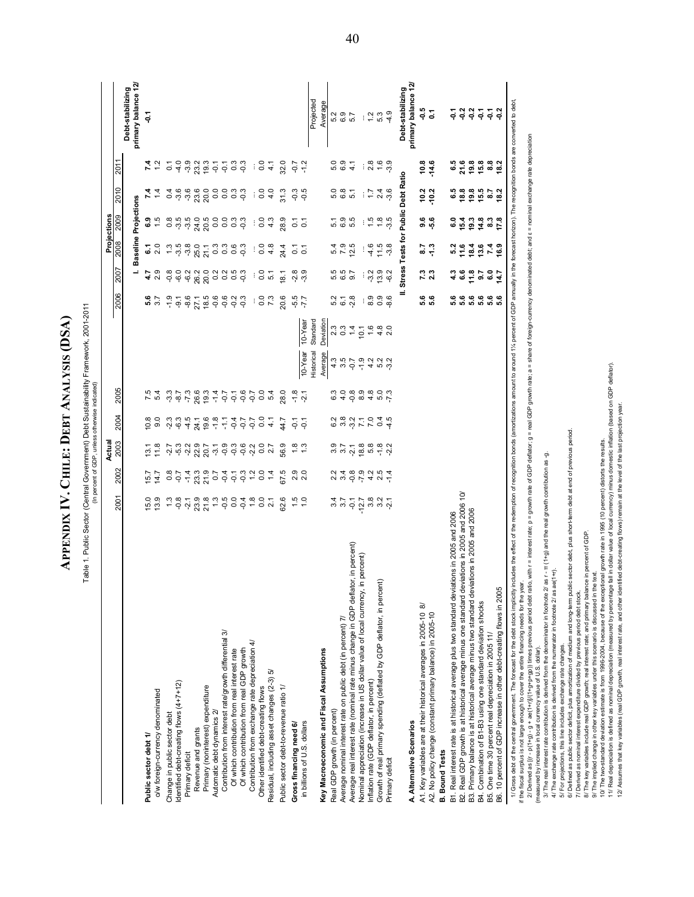**ANALYSIS (DSA)**  APPENDIX IV. CHILE: DEBT ANALYSIS (DSA) **CHILE: DEBT APPENDIX IV.**

Table 1. Public Sector (Central Government) Debt Sustainability Framework, 2001-2011<br>(In percent of GPP, unless otherwise indicated) Table 1. Public Sector (Central Government) Debt Sustainability Framework, 2001-2011

(In percent of GDP, unless otherwise indicated)

|                                                                                                                                                                                                                                                                                                                                                   |                                      |                | Actual                        |                |                                            |                                                                                         |                   |                |                | Projections                              |                                           |                    |                                         |
|---------------------------------------------------------------------------------------------------------------------------------------------------------------------------------------------------------------------------------------------------------------------------------------------------------------------------------------------------|--------------------------------------|----------------|-------------------------------|----------------|--------------------------------------------|-----------------------------------------------------------------------------------------|-------------------|----------------|----------------|------------------------------------------|-------------------------------------------|--------------------|-----------------------------------------|
|                                                                                                                                                                                                                                                                                                                                                   | <b>2001</b>                          | 2002           | 2003                          | 2004           | 2005                                       |                                                                                         |                   | 2006           | 2007           | 2008                                     | 2010<br>2009                              | 2011               |                                         |
|                                                                                                                                                                                                                                                                                                                                                   |                                      |                |                               |                |                                            |                                                                                         |                   |                |                | <b>Baseline</b>                          | Projections                               |                    | primary balance 12/<br>Debt-stabilizing |
| Public sector debt 1/                                                                                                                                                                                                                                                                                                                             | 5.0                                  | 15.7           | $\overline{3.1}$              | 10.8           |                                            |                                                                                         |                   | ທ່             | 4.7            | 2                                        |                                           |                    | έę                                      |
| o/w foreign-currency denominated                                                                                                                                                                                                                                                                                                                  | 13.9                                 | 14.7           | 11.8                          | 9.0            | ທ                                          |                                                                                         |                   | 3.7            | 2.9            | 2.0                                      | 6.5<br>1.5                                |                    |                                         |
| Change in public sector debt                                                                                                                                                                                                                                                                                                                      |                                      | $\frac{5}{9}$  |                               | $-2.3$         | $-3.3$                                     |                                                                                         |                   | $-1.9$         | $-0.8$         | $\frac{3}{2}$                            | $\frac{4}{1}$                             | $\overline{0}$ :   |                                         |
| Identified debt-creating flows (4+7+12)                                                                                                                                                                                                                                                                                                           |                                      |                |                               | $-6.3$         | $-8.7$                                     |                                                                                         |                   | $\overline{9}$ | $-6.0$         |                                          | 0.8<br>0.9                                | $-4.0$             |                                         |
| Primary deficit                                                                                                                                                                                                                                                                                                                                   | $7.8$<br>$7.8$<br>$7.7$              |                | 2 12 12 12<br>2 12 12 12      | $-4.5$         | $-7.3$<br>26.3                             |                                                                                         |                   | $-8.6$         |                | sa sa sa sa<br>sa sa sa sa<br>5<br>38001 |                                           |                    |                                         |
| Revenue and grants                                                                                                                                                                                                                                                                                                                                |                                      |                |                               | 24.1           |                                            |                                                                                         |                   |                |                |                                          |                                           |                    |                                         |
| Primary (noninterest) expenditure                                                                                                                                                                                                                                                                                                                 |                                      |                | 22.9<br>20.7                  | 19.6           |                                            |                                                                                         |                   | 27.1<br>18.5   | 982<br>982     |                                          |                                           | ၈ ဂု ဂု<br>၁ ဂု ဂု |                                         |
| Automatic debt dynamics 2.                                                                                                                                                                                                                                                                                                                        |                                      |                |                               |                |                                            |                                                                                         |                   |                |                |                                          |                                           |                    |                                         |
| Contribution from interest rate/growth differential 3/                                                                                                                                                                                                                                                                                            |                                      |                |                               |                |                                            |                                                                                         |                   | 0.6            | 3350           | n n o n<br>O O O O                       |                                           |                    |                                         |
| Of which contribution from real interest rate                                                                                                                                                                                                                                                                                                     |                                      |                |                               |                |                                            |                                                                                         |                   | $-0.2$         |                |                                          |                                           |                    |                                         |
| Of which contribution from real GDP growth                                                                                                                                                                                                                                                                                                        |                                      |                |                               |                |                                            |                                                                                         |                   | $-0.3$         |                |                                          |                                           | 5533               |                                         |
| Contribution from exchange rate depreciation 4/                                                                                                                                                                                                                                                                                                   |                                      |                |                               |                |                                            |                                                                                         |                   | ÷              | $\vdots$       | ÷                                        | ÷<br>÷                                    | $\cdot$            |                                         |
| Other identified debt-creating flows                                                                                                                                                                                                                                                                                                              |                                      |                |                               |                |                                            |                                                                                         |                   | $\overline{0}$ | $\frac{0}{2}$  | $\rm ^{0}$                               | $\overline{0}$<br>$\overline{0}$          | $\frac{0}{2}$      |                                         |
| r.<br>Residual, including asset changes (2-3)                                                                                                                                                                                                                                                                                                     |                                      |                |                               |                | 4000000000                                 |                                                                                         |                   | 7.3            | 51             | 4.8                                      | 4.0<br>4.3                                | $\frac{1}{4}$      |                                         |
| Public sector debt-to-revenue ratio 1/                                                                                                                                                                                                                                                                                                            | <b>32.6</b>                          | 67.5           | 56.9                          | 4.7            | 28.0                                       |                                                                                         |                   | 20.6           | 18.1           | $^{24.4}$                                | $\frac{31.3}{2}$<br>28.9                  | 32.0               |                                         |
| Gross financing need 6/                                                                                                                                                                                                                                                                                                                           | 1.5                                  |                | $\frac{8}{1}$                 | $\overline{Q}$ | $-1.8$                                     |                                                                                         |                   |                | نې             | $\overline{c}$                           | $-0.3$<br>$\overline{c}$                  | $-0.7$             |                                         |
| in billions of U.S. dollars                                                                                                                                                                                                                                                                                                                       |                                      | 2.0            | $\frac{3}{2}$                 | Ğ              | $\tilde{2}1$                               | 10-Year                                                                                 | 10-Year           | $-5.5$<br>-7.7 | က္             | $\overline{c}$                           | $-0.5$<br>$\overline{c}$                  | $-1.2$             |                                         |
|                                                                                                                                                                                                                                                                                                                                                   |                                      |                |                               |                |                                            | Historical                                                                              | Standard          |                |                |                                          |                                           |                    | Projected                               |
| Key Macroeconomic and Fiscal Assumptions                                                                                                                                                                                                                                                                                                          |                                      |                |                               |                |                                            | Average                                                                                 | Deviation         |                |                |                                          |                                           |                    | Average                                 |
| Real GDP growth (in percent)                                                                                                                                                                                                                                                                                                                      |                                      |                |                               |                | 6.3                                        | 4.3                                                                                     | 2.3               |                |                | 5.4                                      | 5.1                                       | 5.0<br>5.0         | 5.2                                     |
| Average nominal interest rate on public debt (in percent) 7/                                                                                                                                                                                                                                                                                      | $3.\overline{7}$<br>$3.\overline{7}$ | $2.4$<br>$3.4$ | 3.7                           | 6.2<br>3.8     | 4.0                                        |                                                                                         | $\overline{0}$ .3 | 5.2<br>6.1     | 5.5<br>6.5     | ဖ<br>7.9                                 | 6.8<br>Q,                                 | 6.9                | 6.9                                     |
| Average real interest rate (nominal rate minus change in GDP deflator, in percent)                                                                                                                                                                                                                                                                | $-0.1$<br>12.7                       |                | $-2, 8$<br>$-1, 8$<br>$-6, 8$ | 377940         | co a 4 ro L'<br>0 0 0 0 0 0<br>0 0 0 0 0 0 | $\begin{array}{c} 0.7 & 0.7 & 0.7 \\ 0.7 & 0.7 & 0.7 \\ 0.9 & 0.7 & 0.9 \\ \end{array}$ | 10.1              | $-2.8$         | 9.7            | ທ່<br>12.5                               | $\overline{5}$<br>rU                      | $\frac{1}{4}$      | 5.7                                     |
| in percent)<br>Nominal appreciation (increase in US dollar value of local currency,                                                                                                                                                                                                                                                               |                                      |                |                               |                |                                            |                                                                                         |                   | $\vdots$       |                | $\vdots$                                 | $\vdots$<br>$\vdots$                      | $\vdots$           | $\vdots$                                |
| Inflation rate (GDP deflator, in percent)                                                                                                                                                                                                                                                                                                         | 3<br>3 3 4<br>3 4                    |                |                               |                |                                            |                                                                                         | 1.6               | 8.9            | $-3.2$         | $-4.6$                                   | $\frac{7}{1}$<br>1.5                      | 2.8                | 1.2                                     |
| Growth of real primary spending (deflated by GDP deflator, in percent)                                                                                                                                                                                                                                                                            |                                      |                | $-1,8$                        |                |                                            |                                                                                         | $4.8$<br>2.0      | 0.80           | 13.9           | $11.5$<br>$-3.8$                         | 1.8                                       | $\frac{6}{1}$      | 5.3                                     |
| Primary deficit                                                                                                                                                                                                                                                                                                                                   |                                      |                |                               |                |                                            |                                                                                         |                   |                |                |                                          | 240                                       | 3.9                | $-4.9$                                  |
|                                                                                                                                                                                                                                                                                                                                                   |                                      |                |                               |                |                                            |                                                                                         |                   |                |                | Stress Tests for Public Debt Ratio       |                                           |                    | Debt-stabilizing                        |
| A. Alternative Scenarios                                                                                                                                                                                                                                                                                                                          |                                      |                |                               |                |                                            |                                                                                         |                   |                |                |                                          |                                           |                    | primary balance 12/                     |
| A1. Key variables are at their historical averages in 2005-10 8/                                                                                                                                                                                                                                                                                  |                                      |                |                               |                |                                            |                                                                                         |                   | 6<br>6.6       | 7.3<br>2.3     | 2.9                                      | 10.2<br>စ် ဗို                            | 10.8               | -0.5                                    |
| A2. No policy change (constant primary balance) in 2005-10                                                                                                                                                                                                                                                                                        |                                      |                |                               |                |                                            |                                                                                         |                   |                |                | $\frac{3}{2}$                            | 10.2                                      | 14.6               | ្ឆ                                      |
| <b>B.</b> Bound Tests                                                                                                                                                                                                                                                                                                                             |                                      |                |                               |                |                                            |                                                                                         |                   |                |                |                                          |                                           |                    |                                         |
| B1. Real interest rate is at historical average plus two standard deviations in 2005 and 2006                                                                                                                                                                                                                                                     |                                      |                |                               |                |                                            |                                                                                         |                   | ဖ<br>ທ່        | 4.3            | ဖ<br>ų<br>ıó,                            | 6.8<br>0 0<br>Q                           | 6.5                | ۵                                       |
| B2. Real GDP growth is at historical average minus one standard deviations in 2005 and 2006 10/                                                                                                                                                                                                                                                   |                                      |                |                               |                |                                            |                                                                                         |                   | 5.6            | <u>ိ</u>       | 11.6                                     | 15.4                                      | 21.6               | ្នុ                                     |
| iations in 2005 and 2006<br>B3. Primary balance is at historical average minus two standard dev                                                                                                                                                                                                                                                   |                                      |                |                               |                |                                            |                                                                                         |                   | <b>.</b><br>.  | 11.8           | 18.4                                     | 19.8<br>19.3                              | 19.8               | ဒို ဒို                                 |
| B4. Combination of B1-B3 using one standard deviation shocks                                                                                                                                                                                                                                                                                      |                                      |                |                               |                |                                            |                                                                                         |                   |                | $\overline{5}$ | 13.6                                     | 15.5                                      | 15.8               |                                         |
| B5. One time 30 percent real depreciation in 2005 11/                                                                                                                                                                                                                                                                                             |                                      |                |                               |                |                                            |                                                                                         |                   |                | 6.0            | $7.4$<br>16.9                            | $\overline{8}$<br>4 8 5<br>4 8 5<br>4 8 5 | 8.8                | Ş                                       |
| B6. 10 percent of GDP increase in other debt-creating flows in 2005                                                                                                                                                                                                                                                                               |                                      |                |                               |                |                                            |                                                                                         |                   |                | 14.7           |                                          | 18.2                                      | 18.2               | ್ಷ                                      |
| 1/ Gross debt of the central government. The forceast for the debt stock innivitiby includes the effect of the redemption of recognition bonds (amortizations amount to around 1% percent of GDP annually in the forceast hori<br>if the fiscal surplus is not large enough to cover the entire financing needs for the ye<br><b>CALL ANTICAL</b> |                                      |                |                               |                |                                            |                                                                                         |                   |                |                |                                          |                                           |                    |                                         |

exchange rate depreciation 2/ Derived as [(1+r)]/(1+g+p+gp)) times previous period debt ratio, with r = interest rate; p = growth rate of GDP deflator, g = real GDP growth rate; a = share of foreign-currency dentation debt, and s = nominal exchange nominal 2) Derived as [ir - p(1+g) - g + ae(1+ip)/(1+g+p+gp)) times previous period debt ratio. with r = interest rate; p = growth rate of GDP deflator; g = real GDP growth rate; a = streative previous period of U.S. dollar).<br>Imea

(measured by increase in local currency value of U.S. dollar). 3/ The real interest rate contribution is derived from the denominator in footnote 2/ as r - π (1+g) and the real growth contribution as -g.

4/ The exchange rate contribution is derived from the numerator in footnote 2/ as ae(1+r).

5/ For projections, this line includes exchange rate changes.

6/ Defined as public sector deficit, plus amortization of medium and long-term public sector debt, plus short-term debt at end of previous period.

7/ Derived as nominal interest expenditure divided by previous period debt stock.

8/ The key variables include real GDP growth; real interest rate; and primary balance in percent of GDP. 9/ The implied change in other key variables under this scenario is discussed in the text.

10/ The two-standard deviation estimate is from 1996-2004, because of the exceptional growth rate in 1995 (10 percent) distorts the results.

11/ Real depreciation is defined as nominal depreciation (measured by percentage fall in dollar value of local currency) minus domestic inflation (based on GDP deflator).

12/ Assumes that key variables (real GDP growth, real interest rate, and other identified debt-creating flows) remain at the level of the last projection year.

40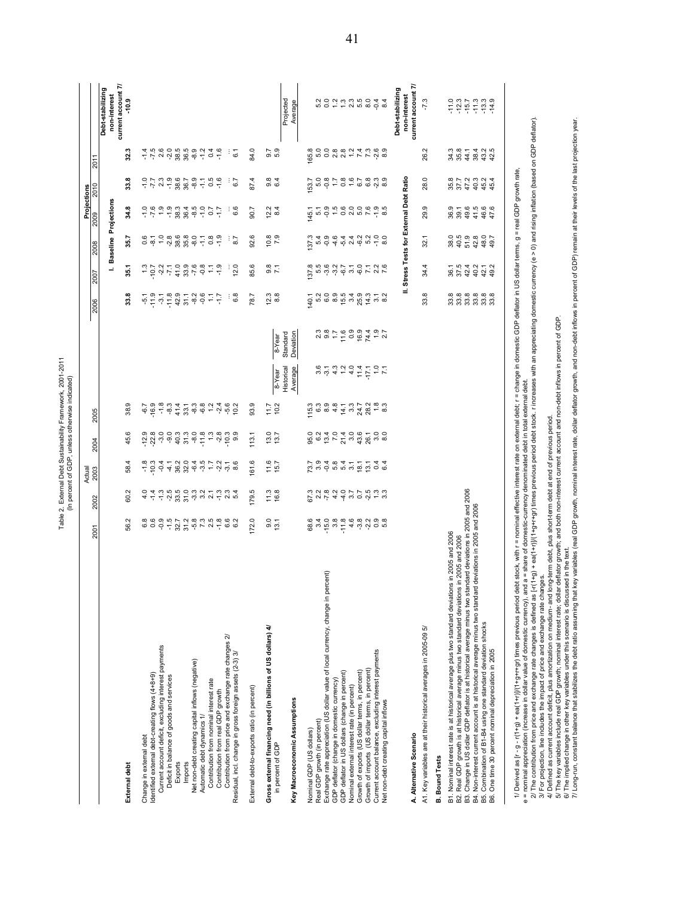|                                                                                                                                                                                                                                                                                                                                                                                                                                                                        |                                                                                                                                                        |                                                                                                                                                                                                                                                                                                                                                                                                                             | Actual                                                                                                                                                                                                      |                                                                                                   |                                           |                                                                |                    |                              |                                                   |                      | Projections                          |                                                                              |                                                                                                                                                                                     |                                    |
|------------------------------------------------------------------------------------------------------------------------------------------------------------------------------------------------------------------------------------------------------------------------------------------------------------------------------------------------------------------------------------------------------------------------------------------------------------------------|--------------------------------------------------------------------------------------------------------------------------------------------------------|-----------------------------------------------------------------------------------------------------------------------------------------------------------------------------------------------------------------------------------------------------------------------------------------------------------------------------------------------------------------------------------------------------------------------------|-------------------------------------------------------------------------------------------------------------------------------------------------------------------------------------------------------------|---------------------------------------------------------------------------------------------------|-------------------------------------------|----------------------------------------------------------------|--------------------|------------------------------|---------------------------------------------------|----------------------|--------------------------------------|------------------------------------------------------------------------------|-------------------------------------------------------------------------------------------------------------------------------------------------------------------------------------|------------------------------------|
|                                                                                                                                                                                                                                                                                                                                                                                                                                                                        | 2001                                                                                                                                                   | 2002                                                                                                                                                                                                                                                                                                                                                                                                                        | 2003                                                                                                                                                                                                        | 2004                                                                                              | 2005                                      |                                                                |                    | 2006                         | 2007                                              | 8002                 | 2009                                 | 2010                                                                         | $201 -$                                                                                                                                                                             |                                    |
|                                                                                                                                                                                                                                                                                                                                                                                                                                                                        |                                                                                                                                                        |                                                                                                                                                                                                                                                                                                                                                                                                                             |                                                                                                                                                                                                             |                                                                                                   |                                           |                                                                |                    |                              |                                                   |                      | I. Baseline Projections              |                                                                              |                                                                                                                                                                                     | Debt-stabilizing<br>non-interest   |
| External debt                                                                                                                                                                                                                                                                                                                                                                                                                                                          | 56.2                                                                                                                                                   | 60.2                                                                                                                                                                                                                                                                                                                                                                                                                        | 58.4                                                                                                                                                                                                        | 45.6                                                                                              | 38.9                                      |                                                                |                    | œ<br>జ                       | 35.1                                              | 35.7                 | 34.8                                 | 33.8                                                                         | 32.3                                                                                                                                                                                | current account 7/<br>$-10.9$      |
| Change in external debt                                                                                                                                                                                                                                                                                                                                                                                                                                                | 6.8                                                                                                                                                    |                                                                                                                                                                                                                                                                                                                                                                                                                             |                                                                                                                                                                                                             | 9 8 8 9 9<br>구 2 7 9 9                                                                            | $-6.7$                                    |                                                                |                    | -5.1                         |                                                   | ဓံ ထုံ               | $-7.6$                               |                                                                              |                                                                                                                                                                                     |                                    |
| Identified external debt-creating flows (4+8+9)                                                                                                                                                                                                                                                                                                                                                                                                                        |                                                                                                                                                        |                                                                                                                                                                                                                                                                                                                                                                                                                             | $-18.9$<br>$-18.9$                                                                                                                                                                                          |                                                                                                   |                                           |                                                                |                    | $-11.9$                      | 2527                                              | 8708<br>0870         |                                      | $-1$ $-1$ $-1$ $-1$ $-1$ $-1$                                                |                                                                                                                                                                                     |                                    |
| Current account deficit, excluding interest payments<br>Deficit in balance of goods and services                                                                                                                                                                                                                                                                                                                                                                       | $-0.9$                                                                                                                                                 |                                                                                                                                                                                                                                                                                                                                                                                                                             |                                                                                                                                                                                                             |                                                                                                   |                                           |                                                                |                    | $-3.1$<br>$-11.8$            |                                                   | Ņ                    | $\frac{0}{1}$<br>$-1.9$              |                                                                              |                                                                                                                                                                                     |                                    |
| Exports                                                                                                                                                                                                                                                                                                                                                                                                                                                                |                                                                                                                                                        |                                                                                                                                                                                                                                                                                                                                                                                                                             |                                                                                                                                                                                                             |                                                                                                   |                                           |                                                                |                    |                              |                                                   |                      |                                      | 38.6                                                                         |                                                                                                                                                                                     |                                    |
| Imports                                                                                                                                                                                                                                                                                                                                                                                                                                                                | $-5, 7, 2, 8$<br>$-5, 7, 2, 8$                                                                                                                         |                                                                                                                                                                                                                                                                                                                                                                                                                             |                                                                                                                                                                                                             |                                                                                                   |                                           |                                                                |                    |                              | $\begin{array}{c} 48,0 \\ 28,0 \\ 10 \end{array}$ | 9<br>99<br>99<br>99  | 38 38 40<br>38 40 40                 |                                                                              |                                                                                                                                                                                     |                                    |
| Net non-debt creating capital inflows (negative)                                                                                                                                                                                                                                                                                                                                                                                                                       |                                                                                                                                                        |                                                                                                                                                                                                                                                                                                                                                                                                                             |                                                                                                                                                                                                             | $40.3$<br>$75.9$<br>$75.9$<br>$75.9$                                                              |                                           |                                                                |                    | $37 - 89$<br>$37 - 89$       |                                                   |                      |                                      | $36.7$<br>$8.9$                                                              | $\vec{r}$ $\vec{r}$ $\vec{q}$ $\vec{q}$ $\vec{q}$ $\vec{q}$ $\vec{q}$ $\vec{q}$ $\vec{q}$ $\vec{q}$ $\vec{q}$ $\vec{q}$ $\vec{q}$ $\vec{q}$ $\vec{q}$ $\vec{q}$ $\vec{q}$ $\vec{q}$ |                                    |
| Automatic debt dynamics 1/                                                                                                                                                                                                                                                                                                                                                                                                                                             | 7.3                                                                                                                                                    |                                                                                                                                                                                                                                                                                                                                                                                                                             |                                                                                                                                                                                                             |                                                                                                   |                                           |                                                                |                    |                              | $-0.8$                                            |                      | $\frac{0}{10}$                       |                                                                              |                                                                                                                                                                                     |                                    |
| Contribution from nominal interest rate                                                                                                                                                                                                                                                                                                                                                                                                                                |                                                                                                                                                        |                                                                                                                                                                                                                                                                                                                                                                                                                             |                                                                                                                                                                                                             |                                                                                                   | $\frac{1}{2}$ $\frac{1}{4}$ $\frac{1}{9}$ |                                                                |                    | $\mathbb{Z}$                 | $\mathbb{U}$                                      | $7.8$<br>$-1.9$      | $\overline{0.7}$                     | $7.5$<br>$-1.5$                                                              | 0.4                                                                                                                                                                                 |                                    |
| Contribution from real GDP growth                                                                                                                                                                                                                                                                                                                                                                                                                                      |                                                                                                                                                        |                                                                                                                                                                                                                                                                                                                                                                                                                             |                                                                                                                                                                                                             |                                                                                                   |                                           |                                                                |                    | ZV-                          | $-1.9$                                            |                      | ζŀ.                                  |                                                                              |                                                                                                                                                                                     |                                    |
| Contribution from price and exchange rate changes 2/<br>Residual, ind. change in gross foreign assets (2-3) 3/                                                                                                                                                                                                                                                                                                                                                         |                                                                                                                                                        | $\begin{array}{l} \mathbf{d} \mathbf{u} \mathbf{u} \mathbf{u} \mathbf{u} \mathbf{u} \mathbf{u} \mathbf{u} \mathbf{u} \mathbf{u} \mathbf{u} \mathbf{u} \mathbf{u} \mathbf{u} \mathbf{u} \mathbf{u} \mathbf{u} \mathbf{u} \mathbf{u} \mathbf{u} \mathbf{u} \mathbf{u} \mathbf{u} \mathbf{u} \mathbf{u} \mathbf{u} \mathbf{u} \mathbf{u} \mathbf{u} \mathbf{u} \mathbf{u} \mathbf{u} \mathbf{u} \mathbf{u} \mathbf{u} \mathbf$ | $\frac{1}{4}$ $\frac{1}{8}$ $\frac{1}{8}$ $\frac{1}{9}$ $\frac{1}{9}$ $\frac{1}{9}$ $\frac{1}{10}$ $\frac{1}{10}$ $\frac{1}{10}$ $\frac{1}{10}$ $\frac{1}{10}$ $\frac{1}{10}$ $\frac{1}{10}$ $\frac{1}{10}$ | $\frac{3}{4}$ $\frac{3}{4}$ $\frac{3}{4}$ $\frac{3}{4}$ $\frac{3}{4}$ $\frac{3}{4}$ $\frac{3}{4}$ | 10.2                                      |                                                                |                    | 6.8<br>÷                     | 12.0                                              | ÷<br>8.7             | 6.6                                  | 6.7<br>÷                                                                     | ÷<br>6.1                                                                                                                                                                            |                                    |
| External debt-to-exports ratio (in percent)                                                                                                                                                                                                                                                                                                                                                                                                                            | 172.0                                                                                                                                                  | 179.5                                                                                                                                                                                                                                                                                                                                                                                                                       | 161.6                                                                                                                                                                                                       | 113.1                                                                                             | 93.9                                      |                                                                |                    | 78.7                         | 85.6                                              | O.<br>ട്             | 5.06                                 | 87.4                                                                         | 84.0                                                                                                                                                                                |                                    |
|                                                                                                                                                                                                                                                                                                                                                                                                                                                                        |                                                                                                                                                        |                                                                                                                                                                                                                                                                                                                                                                                                                             |                                                                                                                                                                                                             |                                                                                                   |                                           |                                                                |                    |                              |                                                   |                      |                                      |                                                                              |                                                                                                                                                                                     |                                    |
| Gross external financing need (in billions of US dollars) 4/                                                                                                                                                                                                                                                                                                                                                                                                           | $9.0$<br>$13.1$                                                                                                                                        | $11.3$<br>16.8                                                                                                                                                                                                                                                                                                                                                                                                              | $11.6$<br>15.7                                                                                                                                                                                              | 13.7                                                                                              | $11.7$<br>$10.2$                          |                                                                |                    | $23$<br>8.8                  | $\frac{8}{7.1}$                                   | ထု တု<br>$rac{1}{2}$ | $\omega$ 4<br>ള' ∞                   | $0.8$<br>$6.4$                                                               | $0.7$<br>$5.9$                                                                                                                                                                      |                                    |
| in percent of GDP                                                                                                                                                                                                                                                                                                                                                                                                                                                      |                                                                                                                                                        |                                                                                                                                                                                                                                                                                                                                                                                                                             |                                                                                                                                                                                                             |                                                                                                   |                                           | Historical<br>8-Year                                           | Standard<br>8-Year |                              |                                                   |                      |                                      |                                                                              |                                                                                                                                                                                     | Projected                          |
| Key Macroeconomic Assumptions                                                                                                                                                                                                                                                                                                                                                                                                                                          |                                                                                                                                                        |                                                                                                                                                                                                                                                                                                                                                                                                                             |                                                                                                                                                                                                             |                                                                                                   |                                           | Average                                                        | Deviation          |                              |                                                   |                      |                                      |                                                                              |                                                                                                                                                                                     | Average                            |
|                                                                                                                                                                                                                                                                                                                                                                                                                                                                        |                                                                                                                                                        |                                                                                                                                                                                                                                                                                                                                                                                                                             |                                                                                                                                                                                                             |                                                                                                   |                                           |                                                                |                    |                              |                                                   |                      |                                      |                                                                              |                                                                                                                                                                                     |                                    |
| Real GDP growth (in percent)<br>Nominal GDP (US dollars)                                                                                                                                                                                                                                                                                                                                                                                                               | 68.6<br>3.4                                                                                                                                            |                                                                                                                                                                                                                                                                                                                                                                                                                             |                                                                                                                                                                                                             |                                                                                                   | $15.3$<br>$6.3$<br>$8.9$                  |                                                                |                    | 140.1                        |                                                   | 37.3                 | $145.1$<br>5.1                       | 153.7                                                                        |                                                                                                                                                                                     |                                    |
| Exchange rate appreciation (US dollar value of local currency, change in percent)                                                                                                                                                                                                                                                                                                                                                                                      | $-15.0$                                                                                                                                                |                                                                                                                                                                                                                                                                                                                                                                                                                             |                                                                                                                                                                                                             |                                                                                                   |                                           |                                                                |                    |                              |                                                   | $\frac{6}{4}$ 9      |                                      | 0.8                                                                          |                                                                                                                                                                                     |                                    |
| GDP deflator (change in domestic currency)                                                                                                                                                                                                                                                                                                                                                                                                                             |                                                                                                                                                        |                                                                                                                                                                                                                                                                                                                                                                                                                             |                                                                                                                                                                                                             |                                                                                                   |                                           |                                                                |                    |                              |                                                   |                      |                                      |                                                                              |                                                                                                                                                                                     |                                    |
| GDP deflator in US dollars (change in percent)                                                                                                                                                                                                                                                                                                                                                                                                                         | 3.8                                                                                                                                                    |                                                                                                                                                                                                                                                                                                                                                                                                                             |                                                                                                                                                                                                             |                                                                                                   |                                           |                                                                |                    |                              |                                                   |                      |                                      |                                                                              |                                                                                                                                                                                     |                                    |
| Nominal external interest rate (in percent)                                                                                                                                                                                                                                                                                                                                                                                                                            | 4.6                                                                                                                                                    |                                                                                                                                                                                                                                                                                                                                                                                                                             |                                                                                                                                                                                                             |                                                                                                   |                                           |                                                                |                    |                              |                                                   |                      |                                      |                                                                              |                                                                                                                                                                                     |                                    |
| Growth of exports (US dollar terms, in percent)                                                                                                                                                                                                                                                                                                                                                                                                                        |                                                                                                                                                        |                                                                                                                                                                                                                                                                                                                                                                                                                             |                                                                                                                                                                                                             |                                                                                                   |                                           |                                                                |                    |                              | $-6.0$                                            |                      |                                      |                                                                              |                                                                                                                                                                                     |                                    |
| Growth of imports (US dollar terms, in percent)                                                                                                                                                                                                                                                                                                                                                                                                                        |                                                                                                                                                        |                                                                                                                                                                                                                                                                                                                                                                                                                             |                                                                                                                                                                                                             |                                                                                                   |                                           |                                                                |                    |                              |                                                   |                      |                                      |                                                                              |                                                                                                                                                                                     |                                    |
| Current account balance, excluding interest payments<br>Net non-debt creating capital inflows                                                                                                                                                                                                                                                                                                                                                                          | စ္က လ စ စ<br>ကို လ စ စ်                                                                                                                                | $P$ $\alpha$ $\mu$ $4$ $4$ $\omega$ $\alpha$ $\phi$ $\mu$ $\omega$ $\omega$ $\omega$ $\omega$                                                                                                                                                                                                                                                                                                                               | $\begin{array}{c} 7.9494777744 \\ 7.9494777744 \end{array}$                                                                                                                                                 |                                                                                                   | $44.777878888$                            | $\begin{array}{c} 0.4444 \\ 0.44444 \\ 0.04444 \\ \end{array}$ |                    |                              | $7.36$<br>$7.8$                                   |                      |                                      | 7.887809                                                                     |                                                                                                                                                                                     |                                    |
|                                                                                                                                                                                                                                                                                                                                                                                                                                                                        |                                                                                                                                                        |                                                                                                                                                                                                                                                                                                                                                                                                                             |                                                                                                                                                                                                             |                                                                                                   |                                           |                                                                |                    |                              |                                                   |                      |                                      |                                                                              |                                                                                                                                                                                     | Debt-stabilizing                   |
| A. Alternative Scenario                                                                                                                                                                                                                                                                                                                                                                                                                                                |                                                                                                                                                        |                                                                                                                                                                                                                                                                                                                                                                                                                             |                                                                                                                                                                                                             |                                                                                                   |                                           |                                                                |                    |                              | Ξ                                                 |                      | Stress Tests for External Debt Ratio |                                                                              |                                                                                                                                                                                     | current account 7/<br>non-interest |
| A1. Key variables are at their historical averages in 2005-09 5/                                                                                                                                                                                                                                                                                                                                                                                                       |                                                                                                                                                        |                                                                                                                                                                                                                                                                                                                                                                                                                             |                                                                                                                                                                                                             |                                                                                                   |                                           |                                                                |                    | œ<br>జే                      | 4<br>æ                                            | 32.1                 | ب<br>ನಿ                              | Q<br>$\overline{28}$                                                         | 26.2                                                                                                                                                                                | $-7.3$                             |
| <b>B.</b> Bound Tests                                                                                                                                                                                                                                                                                                                                                                                                                                                  |                                                                                                                                                        |                                                                                                                                                                                                                                                                                                                                                                                                                             |                                                                                                                                                                                                             |                                                                                                   |                                           |                                                                |                    |                              |                                                   |                      |                                      |                                                                              |                                                                                                                                                                                     |                                    |
| s in 2005 and 2006<br>B1. Nominal interest rate is at historical average plus two standard deviation                                                                                                                                                                                                                                                                                                                                                                   |                                                                                                                                                        |                                                                                                                                                                                                                                                                                                                                                                                                                             |                                                                                                                                                                                                             |                                                                                                   |                                           |                                                                |                    |                              |                                                   |                      |                                      |                                                                              |                                                                                                                                                                                     |                                    |
| B2. Real GDP growth is at historical average minus two standard deviations in 2005 and 2006                                                                                                                                                                                                                                                                                                                                                                            |                                                                                                                                                        |                                                                                                                                                                                                                                                                                                                                                                                                                             |                                                                                                                                                                                                             |                                                                                                   |                                           |                                                                |                    |                              | $36.1$<br>$37.5$<br>$42.4$                        |                      |                                      |                                                                              | 34.3<br>35.8                                                                                                                                                                        | $7.3$<br>$7.3$<br>$7.7$            |
| B3. Change in US dollar GDP deflator is at historical average minus two star                                                                                                                                                                                                                                                                                                                                                                                           | ndard deviations in 2005 and 2006                                                                                                                      |                                                                                                                                                                                                                                                                                                                                                                                                                             |                                                                                                                                                                                                             |                                                                                                   |                                           |                                                                |                    |                              |                                                   |                      |                                      |                                                                              | 44.1                                                                                                                                                                                |                                    |
| B4. Non-interest current account is at historical average minus two standard                                                                                                                                                                                                                                                                                                                                                                                           | deviations in 2005 and 2006                                                                                                                            |                                                                                                                                                                                                                                                                                                                                                                                                                             |                                                                                                                                                                                                             |                                                                                                   |                                           |                                                                |                    |                              | 40.2                                              |                      |                                      |                                                                              |                                                                                                                                                                                     |                                    |
| B5. Combination of B1-B4 using one standard deviation shocks<br>B6. One time 30 percent nominal depreciation in 2005                                                                                                                                                                                                                                                                                                                                                   |                                                                                                                                                        |                                                                                                                                                                                                                                                                                                                                                                                                                             |                                                                                                                                                                                                             |                                                                                                   |                                           |                                                                |                    | 8 8 8 8 8 8 8<br>8 8 8 8 8 8 | 42.1<br>49.2                                      |                      | 9<br>9994444                         | 8 2 4 <del>8 8 8 8</del><br>8 2 <del>2 8 8 8</del><br>8 2 <del>2 8 8 8</del> | 38.4<br>38.4<br>42.5                                                                                                                                                                | $7.3$<br>$7.3$<br>$7.3$            |
|                                                                                                                                                                                                                                                                                                                                                                                                                                                                        |                                                                                                                                                        |                                                                                                                                                                                                                                                                                                                                                                                                                             |                                                                                                                                                                                                             |                                                                                                   |                                           |                                                                |                    |                              |                                                   |                      |                                      |                                                                              |                                                                                                                                                                                     |                                    |
| 2/ The contribution from price and exchanger ate changes is defined as [-(1++p](1+p]++p+++p+++p1++p1) +p=(1++p](1+p++p+++a(1++p)(1+00) defact) defact) and as [-(1+9) + ea(1++p](1+0) and tas is defined on GDP defactor)<br>e = nominal appreciation (increase in dollar value of domestic currency), and a = share of domestic-currency denominated debt in total external debt<br>1/ Derived as $[r - g - r(1 + g) + e$ a(1+r)]/(1+g+r+gr) times previous period de | bt stock, with r = nominal effective interest rate on external debt; r = change in domestic GDP deflator in US dollar terms, g = real GDP growth rate, |                                                                                                                                                                                                                                                                                                                                                                                                                             |                                                                                                                                                                                                             |                                                                                                   |                                           |                                                                |                    |                              |                                                   |                      |                                      |                                                                              |                                                                                                                                                                                     |                                    |
| 4/ Defined as current account deficit, plus amortization on medium- and long-term debt, plus short-term debt at end of previous period<br>3/ For projection, line includes the impact of price and exchange rate changes.                                                                                                                                                                                                                                              |                                                                                                                                                        |                                                                                                                                                                                                                                                                                                                                                                                                                             |                                                                                                                                                                                                             |                                                                                                   |                                           |                                                                |                    |                              |                                                   |                      |                                      |                                                                              |                                                                                                                                                                                     |                                    |
| ed in the text<br>5/ The key variables include real GDP growth; nominal interest rate; dollar<br>6/ The implied change in other key variables under this scenario is discuss                                                                                                                                                                                                                                                                                           | deflator growth; and both non-interest current account and non-debt inflows in percent of GDP.                                                         |                                                                                                                                                                                                                                                                                                                                                                                                                             |                                                                                                                                                                                                             |                                                                                                   |                                           |                                                                |                    |                              |                                                   |                      |                                      |                                                                              |                                                                                                                                                                                     |                                    |
| 7/ Long-run, constant balance that stabilizes the debt ratio assuming that key variables (real GDP prowth, nominal interest rate, dollar deflator growth, and non-debt inflows in percent of GDP) remain at their levels of th                                                                                                                                                                                                                                         |                                                                                                                                                        |                                                                                                                                                                                                                                                                                                                                                                                                                             |                                                                                                                                                                                                             |                                                                                                   |                                           |                                                                |                    |                              |                                                   |                      |                                      |                                                                              |                                                                                                                                                                                     |                                    |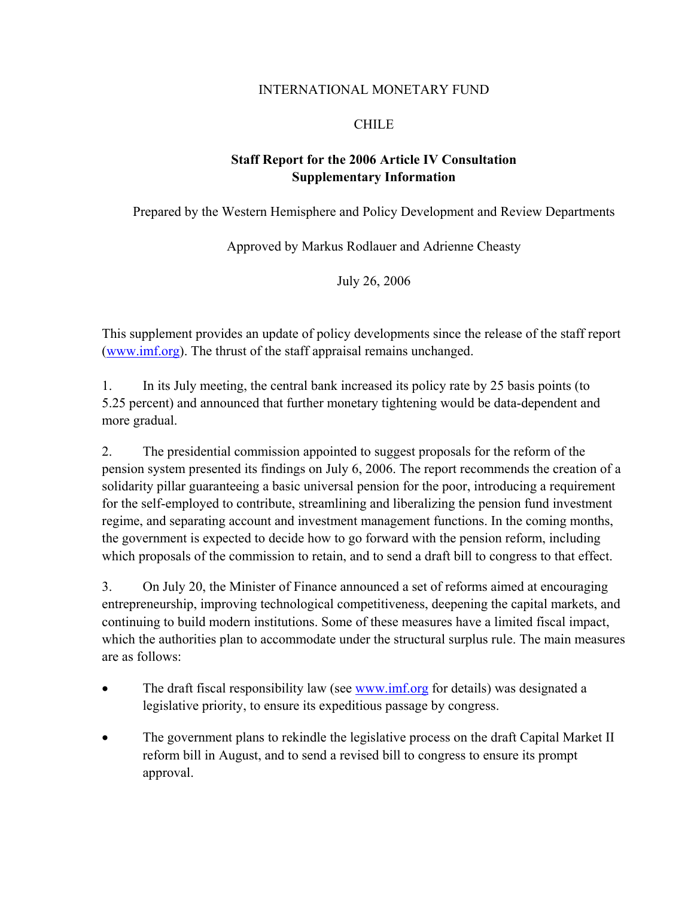#### INTERNATIONAL MONETARY FUND

# CHILE

# **Staff Report for the 2006 Article IV Consultation Supplementary Information**

Prepared by the Western Hemisphere and Policy Development and Review Departments

Approved by Markus Rodlauer and Adrienne Cheasty

July 26, 2006

This supplement provides an update of policy developments since the release of the staff report (www.imf.org). The thrust of the staff appraisal remains unchanged.

1. In its July meeting, the central bank increased its policy rate by 25 basis points (to 5.25 percent) and announced that further monetary tightening would be data-dependent and more gradual.

2. The presidential commission appointed to suggest proposals for the reform of the pension system presented its findings on July 6, 2006. The report recommends the creation of a solidarity pillar guaranteeing a basic universal pension for the poor, introducing a requirement for the self-employed to contribute, streamlining and liberalizing the pension fund investment regime, and separating account and investment management functions. In the coming months, the government is expected to decide how to go forward with the pension reform, including which proposals of the commission to retain, and to send a draft bill to congress to that effect.

3. On July 20, the Minister of Finance announced a set of reforms aimed at encouraging entrepreneurship, improving technological competitiveness, deepening the capital markets, and continuing to build modern institutions. Some of these measures have a limited fiscal impact, which the authorities plan to accommodate under the structural surplus rule. The main measures are as follows:

- The draft fiscal responsibility law (see <u>www.imf.org</u> for details) was designated a legislative priority, to ensure its expeditious passage by congress.
- The government plans to rekindle the legislative process on the draft Capital Market II reform bill in August, and to send a revised bill to congress to ensure its prompt approval.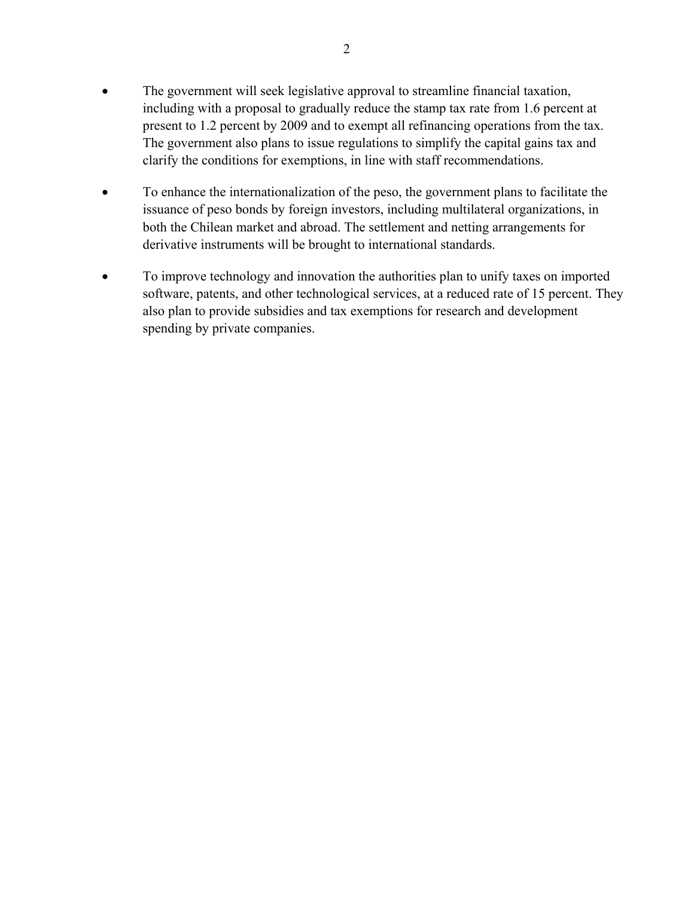- The government will seek legislative approval to streamline financial taxation, including with a proposal to gradually reduce the stamp tax rate from 1.6 percent at present to 1.2 percent by 2009 and to exempt all refinancing operations from the tax. The government also plans to issue regulations to simplify the capital gains tax and clarify the conditions for exemptions, in line with staff recommendations.
- To enhance the internationalization of the peso, the government plans to facilitate the issuance of peso bonds by foreign investors, including multilateral organizations, in both the Chilean market and abroad. The settlement and netting arrangements for derivative instruments will be brought to international standards.
- To improve technology and innovation the authorities plan to unify taxes on imported software, patents, and other technological services, at a reduced rate of 15 percent. They also plan to provide subsidies and tax exemptions for research and development spending by private companies.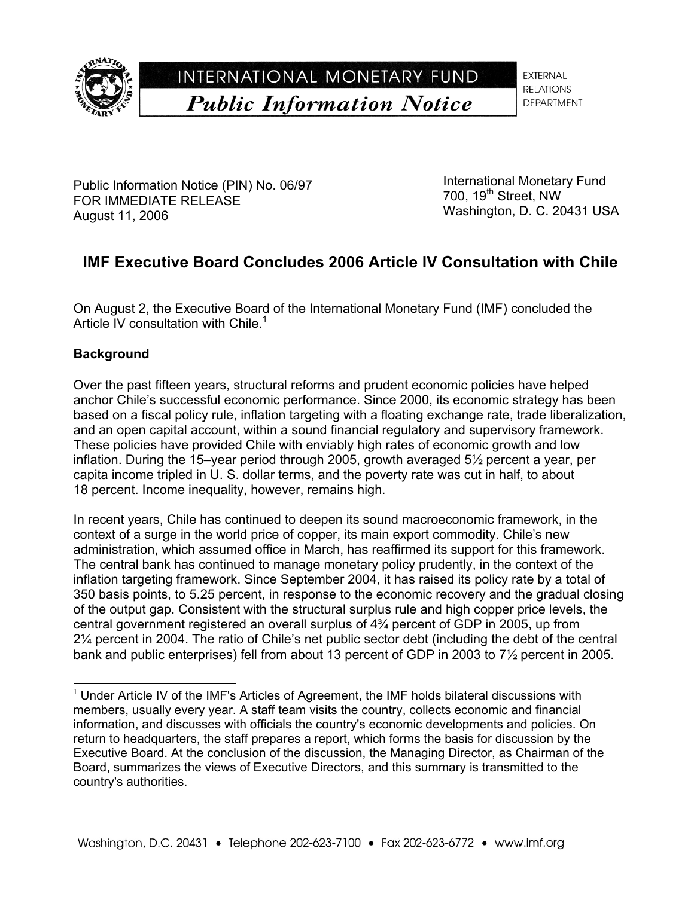

INTERNATIONAL MONETARY FUND **Public Information Notice** 

**EXTERNAL RELATIONS DEPARTMENT** 

Public Information Notice (PIN) No. 06/97 FOR IMMEDIATE RELEASE August 11, 2006

International Monetary Fund 700, 19<sup>th</sup> Street, NW Washington, D. C. 20431 USA

# **IMF Executive Board Concludes 2006 Article IV Consultation with Chile**

On August 2, the Executive Board of the International Monetary Fund (IMF) concluded the Article IV consultation with Chile.<sup>1</sup>

# **Background**

l

Over the past fifteen years, structural reforms and prudent economic policies have helped anchor Chile's successful economic performance. Since 2000, its economic strategy has been based on a fiscal policy rule, inflation targeting with a floating exchange rate, trade liberalization, and an open capital account, within a sound financial regulatory and supervisory framework. These policies have provided Chile with enviably high rates of economic growth and low inflation. During the 15–year period through 2005, growth averaged 5½ percent a year, per capita income tripled in U. S. dollar terms, and the poverty rate was cut in half, to about 18 percent. Income inequality, however, remains high.

In recent years, Chile has continued to deepen its sound macroeconomic framework, in the context of a surge in the world price of copper, its main export commodity. Chile's new administration, which assumed office in March, has reaffirmed its support for this framework. The central bank has continued to manage monetary policy prudently, in the context of the inflation targeting framework. Since September 2004, it has raised its policy rate by a total of 350 basis points, to 5.25 percent, in response to the economic recovery and the gradual closing of the output gap. Consistent with the structural surplus rule and high copper price levels, the central government registered an overall surplus of 4¾ percent of GDP in 2005, up from 2¼ percent in 2004. The ratio of Chile's net public sector debt (including the debt of the central bank and public enterprises) fell from about 13 percent of GDP in 2003 to 7½ percent in 2005.

 $1$  Under Article IV of the IMF's Articles of Agreement, the IMF holds bilateral discussions with members, usually every year. A staff team visits the country, collects economic and financial information, and discusses with officials the country's economic developments and policies. On return to headquarters, the staff prepares a report, which forms the basis for discussion by the Executive Board. At the conclusion of the discussion, the Managing Director, as Chairman of the Board, summarizes the views of Executive Directors, and this summary is transmitted to the country's authorities.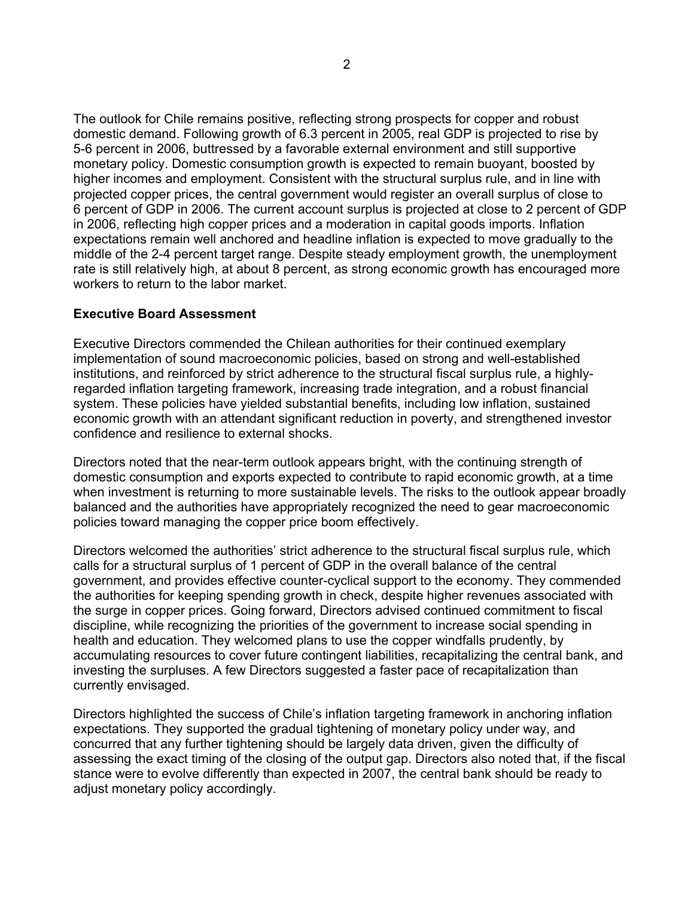The outlook for Chile remains positive, reflecting strong prospects for copper and robust domestic demand. Following growth of 6.3 percent in 2005, real GDP is projected to rise by 5-6 percent in 2006, buttressed by a favorable external environment and still supportive monetary policy. Domestic consumption growth is expected to remain buoyant, boosted by higher incomes and employment. Consistent with the structural surplus rule, and in line with projected copper prices, the central government would register an overall surplus of close to 6 percent of GDP in 2006. The current account surplus is projected at close to 2 percent of GDP in 2006, reflecting high copper prices and a moderation in capital goods imports. Inflation expectations remain well anchored and headline inflation is expected to move gradually to the middle of the 2-4 percent target range. Despite steady employment growth, the unemployment rate is still relatively high, at about 8 percent, as strong economic growth has encouraged more workers to return to the labor market.

#### **Executive Board Assessment**

Executive Directors commended the Chilean authorities for their continued exemplary implementation of sound macroeconomic policies, based on strong and well-established institutions, and reinforced by strict adherence to the structural fiscal surplus rule, a highlyregarded inflation targeting framework, increasing trade integration, and a robust financial system. These policies have yielded substantial benefits, including low inflation, sustained economic growth with an attendant significant reduction in poverty, and strengthened investor confidence and resilience to external shocks.

Directors noted that the near-term outlook appears bright, with the continuing strength of domestic consumption and exports expected to contribute to rapid economic growth, at a time when investment is returning to more sustainable levels. The risks to the outlook appear broadly balanced and the authorities have appropriately recognized the need to gear macroeconomic policies toward managing the copper price boom effectively.

Directors welcomed the authorities' strict adherence to the structural fiscal surplus rule, which calls for a structural surplus of 1 percent of GDP in the overall balance of the central government, and provides effective counter-cyclical support to the economy. They commended the authorities for keeping spending growth in check, despite higher revenues associated with the surge in copper prices. Going forward, Directors advised continued commitment to fiscal discipline, while recognizing the priorities of the government to increase social spending in health and education. They welcomed plans to use the copper windfalls prudently, by accumulating resources to cover future contingent liabilities, recapitalizing the central bank, and investing the surpluses. A few Directors suggested a faster pace of recapitalization than currently envisaged.

Directors highlighted the success of Chile's inflation targeting framework in anchoring inflation expectations. They supported the gradual tightening of monetary policy under way, and concurred that any further tightening should be largely data driven, given the difficulty of assessing the exact timing of the closing of the output gap. Directors also noted that, if the fiscal stance were to evolve differently than expected in 2007, the central bank should be ready to adjust monetary policy accordingly.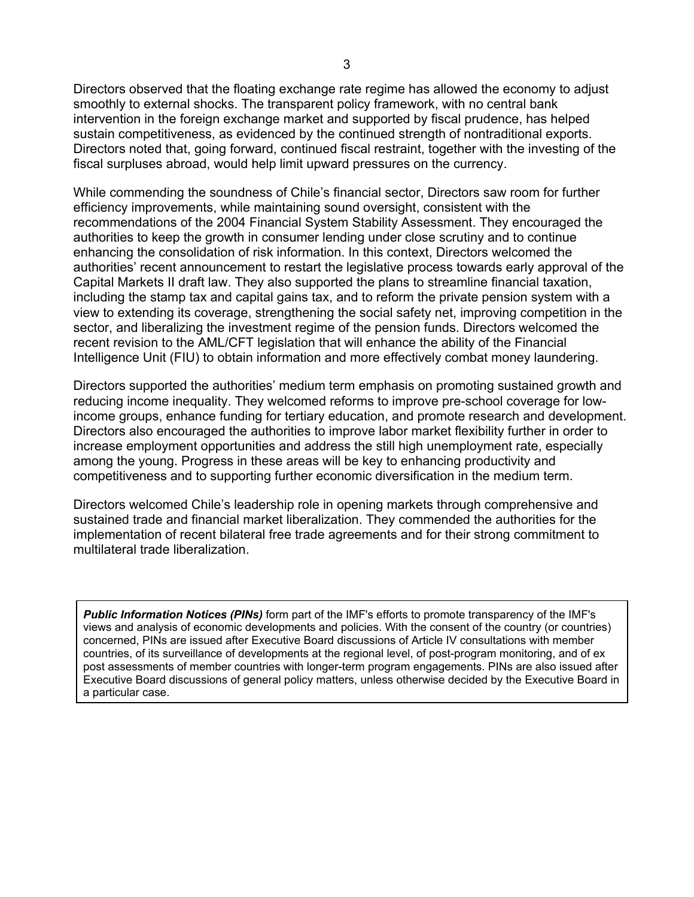Directors observed that the floating exchange rate regime has allowed the economy to adjust smoothly to external shocks. The transparent policy framework, with no central bank intervention in the foreign exchange market and supported by fiscal prudence, has helped sustain competitiveness, as evidenced by the continued strength of nontraditional exports. Directors noted that, going forward, continued fiscal restraint, together with the investing of the fiscal surpluses abroad, would help limit upward pressures on the currency.

While commending the soundness of Chile's financial sector, Directors saw room for further efficiency improvements, while maintaining sound oversight, consistent with the recommendations of the 2004 Financial System Stability Assessment. They encouraged the authorities to keep the growth in consumer lending under close scrutiny and to continue enhancing the consolidation of risk information. In this context, Directors welcomed the authorities' recent announcement to restart the legislative process towards early approval of the Capital Markets II draft law. They also supported the plans to streamline financial taxation, including the stamp tax and capital gains tax, and to reform the private pension system with a view to extending its coverage, strengthening the social safety net, improving competition in the sector, and liberalizing the investment regime of the pension funds. Directors welcomed the recent revision to the AML/CFT legislation that will enhance the ability of the Financial Intelligence Unit (FIU) to obtain information and more effectively combat money laundering.

Directors supported the authorities' medium term emphasis on promoting sustained growth and reducing income inequality. They welcomed reforms to improve pre-school coverage for lowincome groups, enhance funding for tertiary education, and promote research and development. Directors also encouraged the authorities to improve labor market flexibility further in order to increase employment opportunities and address the still high unemployment rate, especially among the young. Progress in these areas will be key to enhancing productivity and competitiveness and to supporting further economic diversification in the medium term.

Directors welcomed Chile's leadership role in opening markets through comprehensive and sustained trade and financial market liberalization. They commended the authorities for the implementation of recent bilateral free trade agreements and for their strong commitment to multilateral trade liberalization.

*Public Information Notices (PINs)* form part of the IMF's efforts to promote transparency of the IMF's views and analysis of economic developments and policies. With the consent of the country (or countries) concerned, PINs are issued after Executive Board discussions of Article IV consultations with member countries, of its surveillance of developments at the regional level, of post-program monitoring, and of ex post assessments of member countries with longer-term program engagements. PINs are also issued after Executive Board discussions of general policy matters, unless otherwise decided by the Executive Board in a particular case.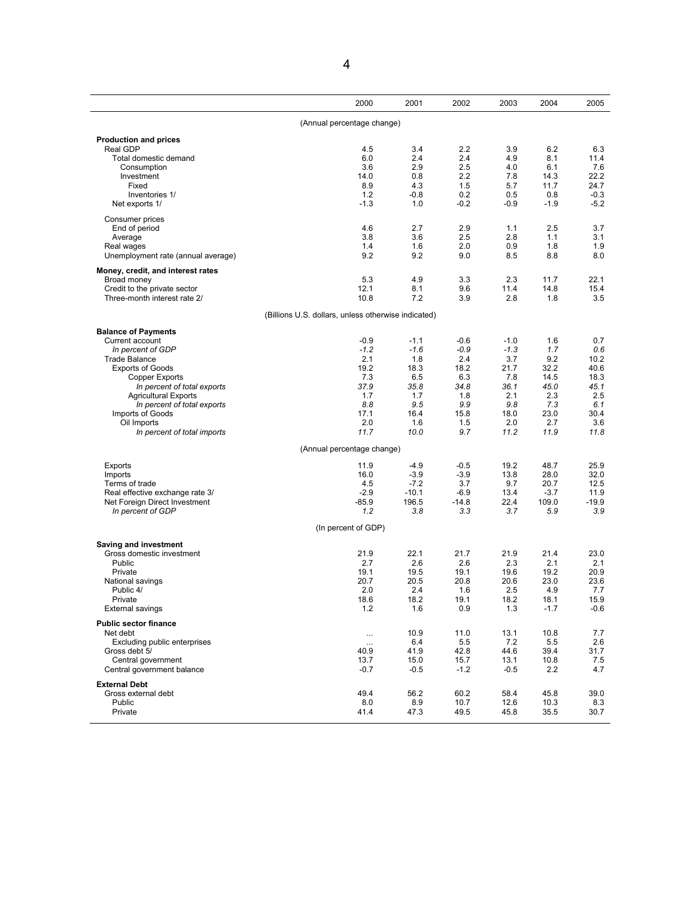|                                                  | 2000                                                | 2001           | 2002           | 2003           | 2004           | 2005           |
|--------------------------------------------------|-----------------------------------------------------|----------------|----------------|----------------|----------------|----------------|
|                                                  | (Annual percentage change)                          |                |                |                |                |                |
| <b>Production and prices</b>                     |                                                     |                |                |                |                |                |
| Real GDP                                         | 4.5                                                 | 3.4            | 2.2            | 3.9            | 6.2            | 6.3            |
| Total domestic demand                            | 6.0                                                 | 2.4            | 2.4            | 4.9            | 8.1            | 11.4           |
| Consumption<br>Investment                        | 3.6<br>14.0                                         | 2.9<br>0.8     | 2.5<br>2.2     | 4.0<br>7.8     | 6.1<br>14.3    | 7.6<br>22.2    |
| Fixed                                            | 8.9                                                 | 4.3            | 1.5            | 5.7            | 11.7           | 24.7           |
| Inventories 1/                                   | 1.2                                                 | -0.8           | 0.2            | 0.5            | 0.8            | $-0.3$         |
| Net exports 1/                                   | $-1.3$                                              | 1.0            | $-0.2$         | $-0.9$         | $-1.9$         | $-5.2$         |
|                                                  |                                                     |                |                |                |                |                |
| Consumer prices<br>End of period                 | 4.6                                                 | 2.7            | 2.9            | 1.1            | 2.5            | 3.7            |
| Average                                          | 3.8                                                 | 3.6            | 2.5            | 2.8            | 1.1            | 3.1            |
| Real wages                                       | 1.4                                                 | 1.6            | 2.0            | 0.9            | 1.8            | 1.9            |
| Unemployment rate (annual average)               | 9.2                                                 | 9.2            | 9.0            | 8.5            | 8.8            | 8.0            |
| Money, credit, and interest rates                |                                                     |                |                |                |                |                |
| Broad money                                      | 5.3                                                 | 4.9            | 3.3            | 2.3            | 11.7           | 22.1           |
| Credit to the private sector                     | 12.1                                                | 8.1            | 9.6            | 11.4           | 14.8           | 15.4           |
| Three-month interest rate 2/                     | 10.8                                                | 7.2            | 3.9            | 2.8            | 1.8            | 3.5            |
|                                                  | (Billions U.S. dollars, unless otherwise indicated) |                |                |                |                |                |
| <b>Balance of Payments</b>                       |                                                     |                |                |                |                |                |
| Current account                                  | $-0.9$                                              | $-1.1$         | $-0.6$         | $-1.0$         | 1.6            | 0.7            |
| In percent of GDP                                | $-1.2$                                              | $-1.6$         | $-0.9$         | $-1.3$         | 1.7            | 0.6            |
| <b>Trade Balance</b>                             | 2.1                                                 | 1.8            | 2.4            | 3.7            | 9.2            | 10.2           |
| <b>Exports of Goods</b>                          | 19.2                                                | 18.3           | 18.2           | 21.7           | 32.2           | 40.6           |
| <b>Copper Exports</b>                            | 7.3                                                 | 6.5            | 6.3            | 7.8            | 14.5           | 18.3           |
| In percent of total exports                      | 37.9                                                | 35.8           | 34.8           | 36.1           | 45.0           | 45.1           |
| <b>Agricultural Exports</b>                      | 1.7                                                 | 1.7            | 1.8            | 2.1            | 2.3            | 2.5            |
| In percent of total exports                      | 8.8                                                 | 9.5            | 9.9            | 9.8            | 7.3            | 6.1            |
| Imports of Goods                                 | 17.1                                                | 16.4           | 15.8           | 18.0           | 23.0           | 30.4           |
| Oil Imports                                      | 2.0                                                 | 1.6            | 1.5            | 2.0            | 2.7            | 3.6            |
| In percent of total imports                      | 11.7                                                | 10.0           | 9.7            | 11.2           | 11.9           | 11.8           |
|                                                  | (Annual percentage change)                          |                |                |                |                |                |
| Exports                                          | 11.9                                                | $-4.9$         | $-0.5$         | 19.2           | 48.7           | 25.9           |
| Imports                                          | 16.0                                                | $-3.9$         | $-3.9$         | 13.8           | 28.0           | 32.0           |
| Terms of trade                                   | 4.5                                                 | $-7.2$         | 3.7            | 9.7            | 20.7           | 12.5           |
| Real effective exchange rate 3/                  | $-2.9$                                              | $-10.1$        | $-6.9$         | 13.4           | $-3.7$         | 11.9           |
| Net Foreign Direct Investment                    | $-85.9$                                             | 196.5          | $-14.8$        | 22.4           | 109.0          | $-19.9$        |
| In percent of GDP                                | 1.2                                                 | 3.8            | 3.3            | 3.7            | 5.9            | 3.9            |
|                                                  | (In percent of GDP)                                 |                |                |                |                |                |
| Saving and investment                            |                                                     |                |                |                |                |                |
| Gross domestic investment                        | 21.9                                                | 22.1           | 21.7           | 21.9           | 21.4           | 23.0           |
| Public                                           | 2.7                                                 | 2.6            | 2.6            | 2.3            | 2.1            | 2.1            |
| Private                                          | 19.1                                                | 19.5           | 19.1           | 19.6           | 19.2           | 20.9           |
| National savings                                 | 20.7                                                | 20.5           | 20.8           | 20.6           | 23.0           | 23.6           |
| Public 4/                                        | 2.0                                                 | 2.4            | 1.6            | 2.5            | 4.9            | 7.7            |
| Private                                          | 18.6<br>1.2                                         | 18.2<br>1.6    | 19.1<br>0.9    | 18.2<br>1.3    | 18.1<br>$-1.7$ | 15.9<br>$-0.6$ |
| <b>External savings</b>                          |                                                     |                |                |                |                |                |
| <b>Public sector finance</b>                     |                                                     |                |                |                |                |                |
| Net debt                                         |                                                     | 10.9           | 11.0           | 13.1           | 10.8           | 7.7            |
| Excluding public enterprises                     | $\cdots$                                            | 6.4            | 5.5            | 7.2            | 5.5            | 2.6            |
| Gross debt 5/                                    | 40.9                                                | 41.9           | 42.8           | 44.6           | 39.4           | 31.7           |
| Central government<br>Central government balance | 13.7<br>$-0.7$                                      | 15.0<br>$-0.5$ | 15.7<br>$-1.2$ | 13.1<br>$-0.5$ | 10.8<br>2.2    | 7.5<br>4.7     |
|                                                  |                                                     |                |                |                |                |                |
| <b>External Debt</b>                             |                                                     |                |                |                |                |                |
| Gross external debt                              | 49.4                                                | 56.2           | 60.2           | 58.4           | 45.8           | 39.0           |
| Public                                           | 8.0                                                 | 8.9            | 10.7           | 12.6           | 10.3           | 8.3            |
| Private                                          | 41.4                                                | 47.3           | 49.5           | 45.8           | 35.5           | 30.7           |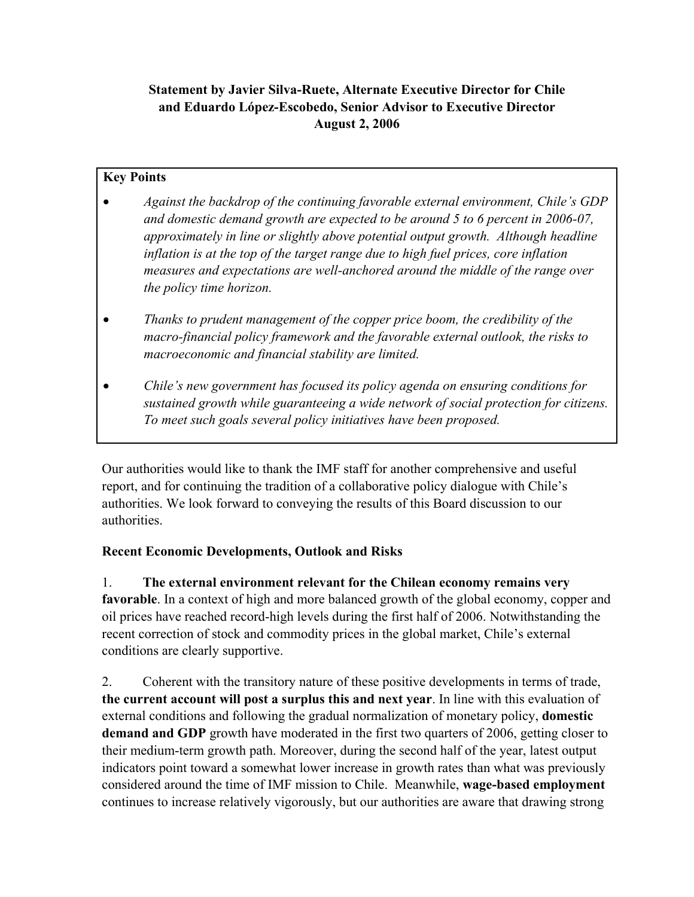**Statement by Javier Silva-Ruete, Alternate Executive Director for Chile and Eduardo López-Escobedo, Senior Advisor to Executive Director August 2, 2006** 

# **Key Points**

- *Against the backdrop of the continuing favorable external environment, Chile's GDP and domestic demand growth are expected to be around 5 to 6 percent in 2006-07, approximately in line or slightly above potential output growth. Although headline inflation is at the top of the target range due to high fuel prices, core inflation measures and expectations are well-anchored around the middle of the range over the policy time horizon.*
- *Thanks to prudent management of the copper price boom, the credibility of the macro-financial policy framework and the favorable external outlook, the risks to macroeconomic and financial stability are limited.*
- *Chile's new government has focused its policy agenda on ensuring conditions for sustained growth while guaranteeing a wide network of social protection for citizens. To meet such goals several policy initiatives have been proposed.*

Our authorities would like to thank the IMF staff for another comprehensive and useful report, and for continuing the tradition of a collaborative policy dialogue with Chile's authorities. We look forward to conveying the results of this Board discussion to our authorities.

## **Recent Economic Developments, Outlook and Risks**

1. **The external environment relevant for the Chilean economy remains very favorable**. In a context of high and more balanced growth of the global economy, copper and oil prices have reached record-high levels during the first half of 2006. Notwithstanding the recent correction of stock and commodity prices in the global market, Chile's external conditions are clearly supportive.

2. Coherent with the transitory nature of these positive developments in terms of trade, **the current account will post a surplus this and next year**. In line with this evaluation of external conditions and following the gradual normalization of monetary policy, **domestic demand and GDP** growth have moderated in the first two quarters of 2006, getting closer to their medium-term growth path. Moreover, during the second half of the year, latest output indicators point toward a somewhat lower increase in growth rates than what was previously considered around the time of IMF mission to Chile. Meanwhile, **wage-based employment**  continues to increase relatively vigorously, but our authorities are aware that drawing strong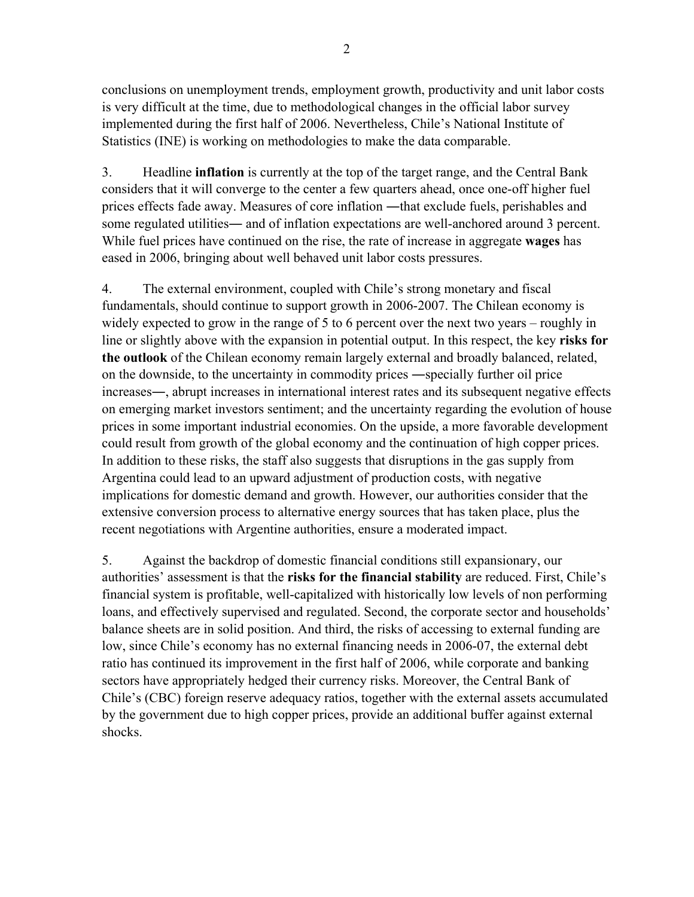conclusions on unemployment trends, employment growth, productivity and unit labor costs is very difficult at the time, due to methodological changes in the official labor survey implemented during the first half of 2006. Nevertheless, Chile's National Institute of Statistics (INE) is working on methodologies to make the data comparable.

3. Headline **inflation** is currently at the top of the target range, and the Central Bank considers that it will converge to the center a few quarters ahead, once one-off higher fuel prices effects fade away. Measures of core inflation ―that exclude fuels, perishables and some regulated utilities— and of inflation expectations are well-anchored around 3 percent. While fuel prices have continued on the rise, the rate of increase in aggregate **wages** has eased in 2006, bringing about well behaved unit labor costs pressures.

4. The external environment, coupled with Chile's strong monetary and fiscal fundamentals, should continue to support growth in 2006-2007. The Chilean economy is widely expected to grow in the range of 5 to 6 percent over the next two years – roughly in line or slightly above with the expansion in potential output. In this respect, the key **risks for the outlook** of the Chilean economy remain largely external and broadly balanced, related, on the downside, to the uncertainty in commodity prices ―specially further oil price increases―, abrupt increases in international interest rates and its subsequent negative effects on emerging market investors sentiment; and the uncertainty regarding the evolution of house prices in some important industrial economies. On the upside, a more favorable development could result from growth of the global economy and the continuation of high copper prices. In addition to these risks, the staff also suggests that disruptions in the gas supply from Argentina could lead to an upward adjustment of production costs, with negative implications for domestic demand and growth. However, our authorities consider that the extensive conversion process to alternative energy sources that has taken place, plus the recent negotiations with Argentine authorities, ensure a moderated impact.

5. Against the backdrop of domestic financial conditions still expansionary, our authorities' assessment is that the **risks for the financial stability** are reduced. First, Chile's financial system is profitable, well-capitalized with historically low levels of non performing loans, and effectively supervised and regulated. Second, the corporate sector and households' balance sheets are in solid position. And third, the risks of accessing to external funding are low, since Chile's economy has no external financing needs in 2006-07, the external debt ratio has continued its improvement in the first half of 2006, while corporate and banking sectors have appropriately hedged their currency risks. Moreover, the Central Bank of Chile's (CBC) foreign reserve adequacy ratios, together with the external assets accumulated by the government due to high copper prices, provide an additional buffer against external shocks.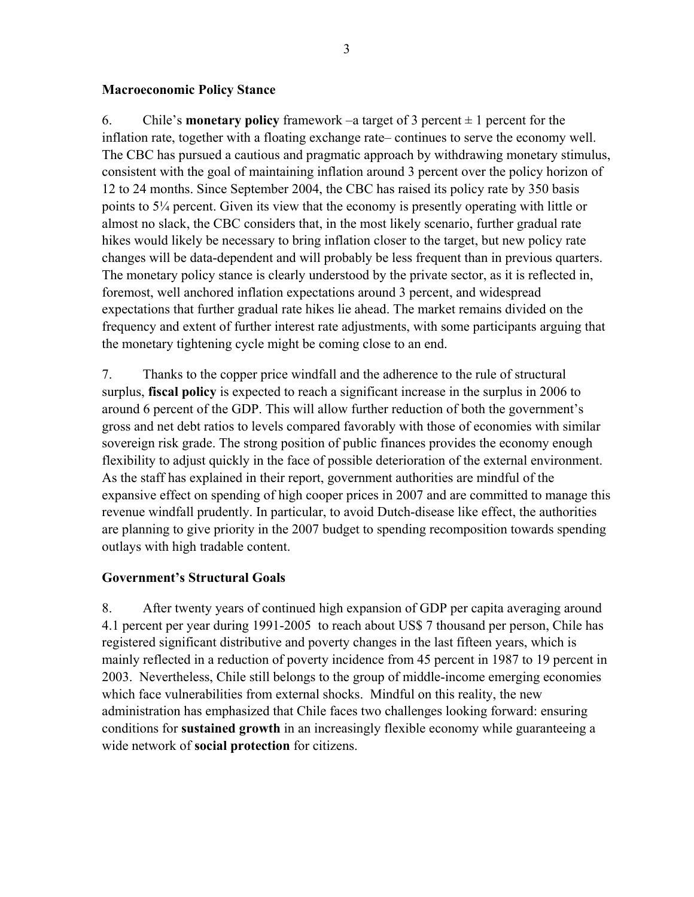#### **Macroeconomic Policy Stance**

6. Chile's **monetary policy** framework –a target of 3 percent  $\pm 1$  percent for the inflation rate, together with a floating exchange rate– continues to serve the economy well. The CBC has pursued a cautious and pragmatic approach by withdrawing monetary stimulus, consistent with the goal of maintaining inflation around 3 percent over the policy horizon of 12 to 24 months. Since September 2004, the CBC has raised its policy rate by 350 basis points to 5¼ percent. Given its view that the economy is presently operating with little or almost no slack, the CBC considers that, in the most likely scenario, further gradual rate hikes would likely be necessary to bring inflation closer to the target, but new policy rate changes will be data-dependent and will probably be less frequent than in previous quarters. The monetary policy stance is clearly understood by the private sector, as it is reflected in, foremost, well anchored inflation expectations around 3 percent, and widespread expectations that further gradual rate hikes lie ahead. The market remains divided on the frequency and extent of further interest rate adjustments, with some participants arguing that the monetary tightening cycle might be coming close to an end.

7. Thanks to the copper price windfall and the adherence to the rule of structural surplus, **fiscal policy** is expected to reach a significant increase in the surplus in 2006 to around 6 percent of the GDP. This will allow further reduction of both the government's gross and net debt ratios to levels compared favorably with those of economies with similar sovereign risk grade. The strong position of public finances provides the economy enough flexibility to adjust quickly in the face of possible deterioration of the external environment. As the staff has explained in their report, government authorities are mindful of the expansive effect on spending of high cooper prices in 2007 and are committed to manage this revenue windfall prudently. In particular, to avoid Dutch-disease like effect, the authorities are planning to give priority in the 2007 budget to spending recomposition towards spending outlays with high tradable content.

## **Government's Structural Goals**

8. After twenty years of continued high expansion of GDP per capita averaging around 4.1 percent per year during 1991-2005 to reach about US\$ 7 thousand per person, Chile has registered significant distributive and poverty changes in the last fifteen years, which is mainly reflected in a reduction of poverty incidence from 45 percent in 1987 to 19 percent in 2003. Nevertheless, Chile still belongs to the group of middle-income emerging economies which face vulnerabilities from external shocks. Mindful on this reality, the new administration has emphasized that Chile faces two challenges looking forward: ensuring conditions for **sustained growth** in an increasingly flexible economy while guaranteeing a wide network of **social protection** for citizens.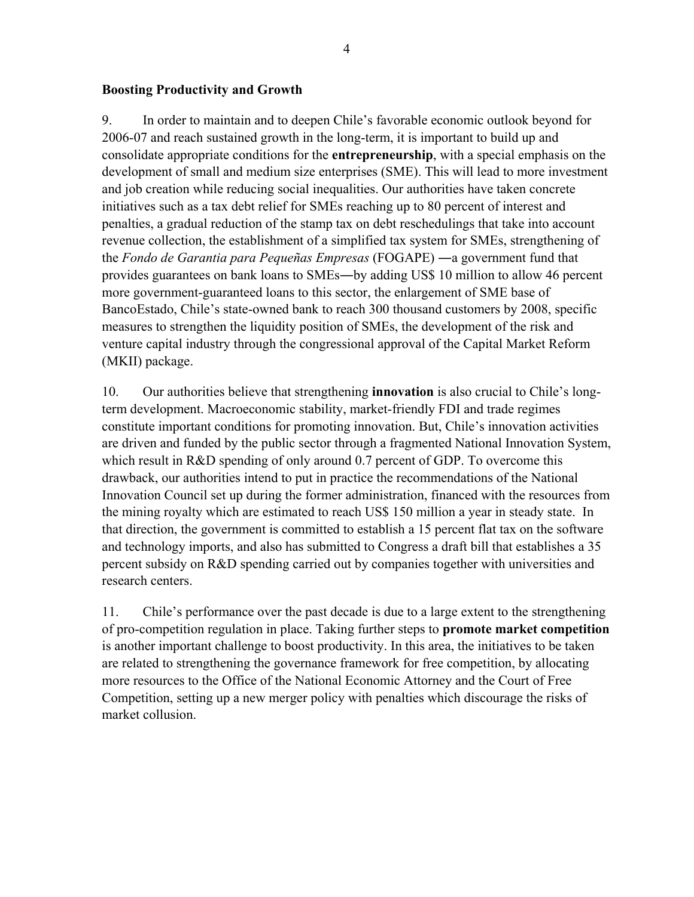#### **Boosting Productivity and Growth**

9. In order to maintain and to deepen Chile's favorable economic outlook beyond for 2006-07 and reach sustained growth in the long-term, it is important to build up and consolidate appropriate conditions for the **entrepreneurship**, with a special emphasis on the development of small and medium size enterprises (SME). This will lead to more investment and job creation while reducing social inequalities. Our authorities have taken concrete initiatives such as a tax debt relief for SMEs reaching up to 80 percent of interest and penalties, a gradual reduction of the stamp tax on debt reschedulings that take into account revenue collection, the establishment of a simplified tax system for SMEs, strengthening of the *Fondo de Garantia para Pequeñas Empresas* (FOGAPE) ―a government fund that provides guarantees on bank loans to SMEs―by adding US\$ 10 million to allow 46 percent more government-guaranteed loans to this sector, the enlargement of SME base of BancoEstado, Chile's state-owned bank to reach 300 thousand customers by 2008, specific measures to strengthen the liquidity position of SMEs, the development of the risk and venture capital industry through the congressional approval of the Capital Market Reform (MKII) package.

10. Our authorities believe that strengthening **innovation** is also crucial to Chile's longterm development. Macroeconomic stability, market-friendly FDI and trade regimes constitute important conditions for promoting innovation. But, Chile's innovation activities are driven and funded by the public sector through a fragmented National Innovation System, which result in R&D spending of only around 0.7 percent of GDP. To overcome this drawback, our authorities intend to put in practice the recommendations of the National Innovation Council set up during the former administration, financed with the resources from the mining royalty which are estimated to reach US\$ 150 million a year in steady state. In that direction, the government is committed to establish a 15 percent flat tax on the software and technology imports, and also has submitted to Congress a draft bill that establishes a 35 percent subsidy on R&D spending carried out by companies together with universities and research centers.

11. Chile's performance over the past decade is due to a large extent to the strengthening of pro-competition regulation in place. Taking further steps to **promote market competition** is another important challenge to boost productivity. In this area, the initiatives to be taken are related to strengthening the governance framework for free competition, by allocating more resources to the Office of the National Economic Attorney and the Court of Free Competition, setting up a new merger policy with penalties which discourage the risks of market collusion.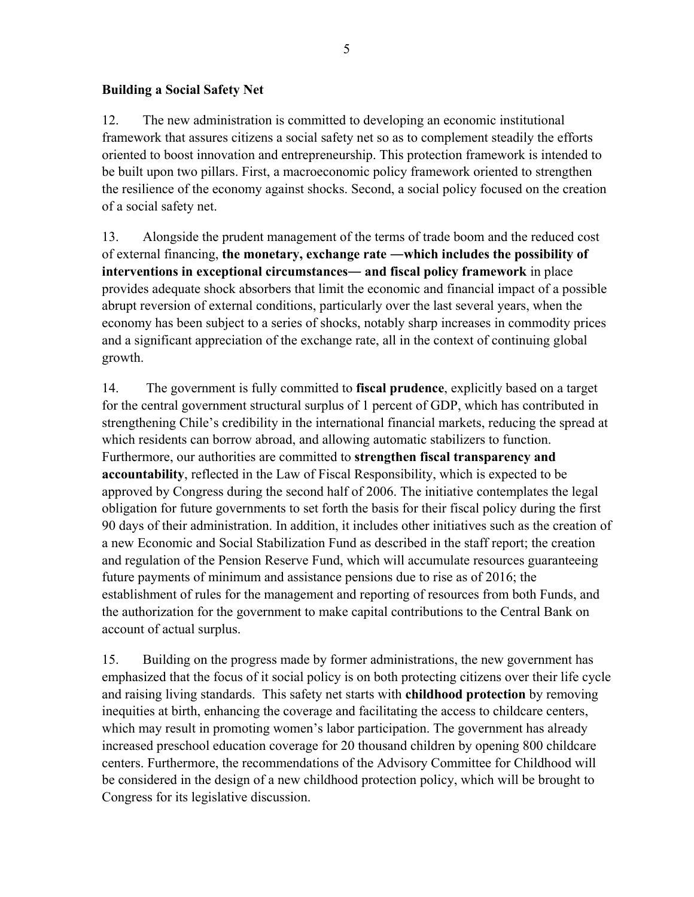#### **Building a Social Safety Net**

12. The new administration is committed to developing an economic institutional framework that assures citizens a social safety net so as to complement steadily the efforts oriented to boost innovation and entrepreneurship. This protection framework is intended to be built upon two pillars. First, a macroeconomic policy framework oriented to strengthen the resilience of the economy against shocks. Second, a social policy focused on the creation of a social safety net.

13. Alongside the prudent management of the terms of trade boom and the reduced cost of external financing, **the monetary, exchange rate ―which includes the possibility of interventions in exceptional circumstances― and fiscal policy framework** in place provides adequate shock absorbers that limit the economic and financial impact of a possible abrupt reversion of external conditions, particularly over the last several years, when the economy has been subject to a series of shocks, notably sharp increases in commodity prices and a significant appreciation of the exchange rate, all in the context of continuing global growth.

14. The government is fully committed to **fiscal prudence**, explicitly based on a target for the central government structural surplus of 1 percent of GDP, which has contributed in strengthening Chile's credibility in the international financial markets, reducing the spread at which residents can borrow abroad, and allowing automatic stabilizers to function. Furthermore, our authorities are committed to **strengthen fiscal transparency and accountability**, reflected in the Law of Fiscal Responsibility, which is expected to be approved by Congress during the second half of 2006. The initiative contemplates the legal obligation for future governments to set forth the basis for their fiscal policy during the first 90 days of their administration. In addition, it includes other initiatives such as the creation of a new Economic and Social Stabilization Fund as described in the staff report; the creation and regulation of the Pension Reserve Fund, which will accumulate resources guaranteeing future payments of minimum and assistance pensions due to rise as of 2016; the establishment of rules for the management and reporting of resources from both Funds, and the authorization for the government to make capital contributions to the Central Bank on account of actual surplus.

15. Building on the progress made by former administrations, the new government has emphasized that the focus of it social policy is on both protecting citizens over their life cycle and raising living standards. This safety net starts with **childhood protection** by removing inequities at birth, enhancing the coverage and facilitating the access to childcare centers, which may result in promoting women's labor participation. The government has already increased preschool education coverage for 20 thousand children by opening 800 childcare centers. Furthermore, the recommendations of the Advisory Committee for Childhood will be considered in the design of a new childhood protection policy, which will be brought to Congress for its legislative discussion.